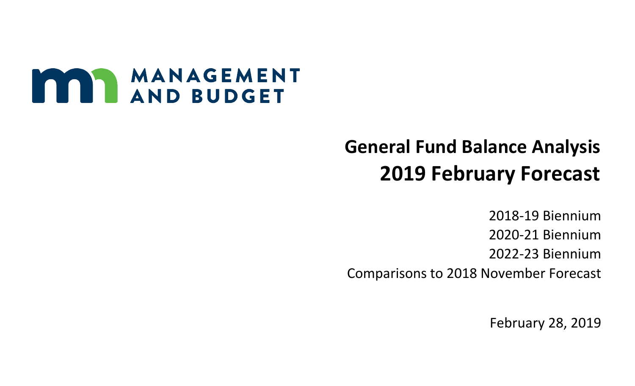

## **General Fund Balance Analysis 2019 February Forecast**

2018-19 Biennium 2020-21 Biennium 2022-23 Biennium Comparisons to 2018 November Forecast

February 28, 2019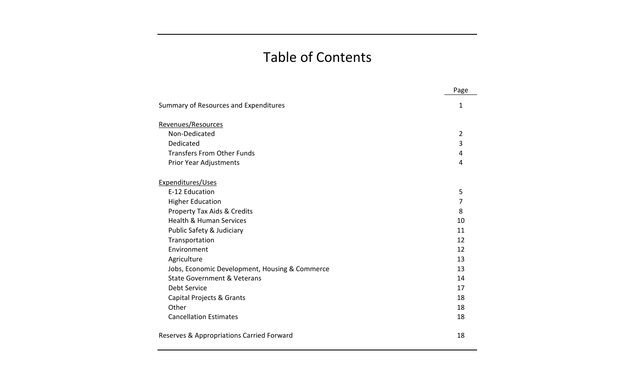## Table of Contents

|                                                | Page           |
|------------------------------------------------|----------------|
| Summary of Resources and Expenditures          | 1              |
| Revenues/Resources                             |                |
| Non-Dedicated                                  | $\overline{2}$ |
| Dedicated                                      | 3              |
| <b>Transfers From Other Funds</b>              | 4              |
| Prior Year Adjustments                         | 4              |
| Expenditures/Uses                              |                |
| E-12 Education                                 | 5              |
| <b>Higher Education</b>                        | 7              |
| Property Tax Aids & Credits                    | 8              |
| <b>Health &amp; Human Services</b>             | 10             |
| Public Safety & Judiciary                      | 11             |
| Transportation                                 | 12             |
| Environment                                    | 12             |
| Agriculture                                    | 13             |
| Jobs, Economic Development, Housing & Commerce | 13             |
| <b>State Government &amp; Veterans</b>         | 14             |
| <b>Debt Service</b>                            | 17             |
| Capital Projects & Grants                      | 18             |
| Other                                          | 18             |
| <b>Cancellation Estimates</b>                  | 18             |
| Reserves & Appropriations Carried Forward      | 18             |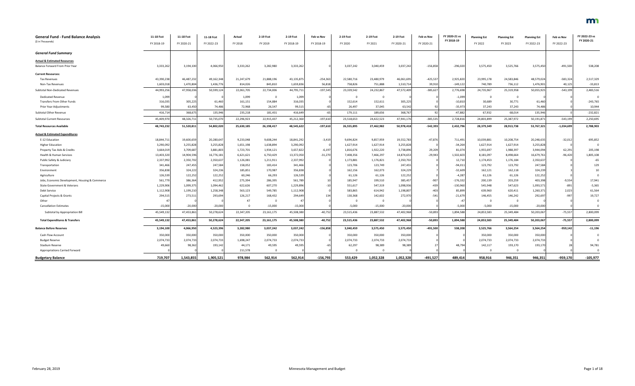| <b>General Fund - Fund Balance Analysis</b>       | 11-18 Fcst | 11-18 Fcst | 11-18 Fcst | Actual     | 2-19 Fcst    | 2-19 Fcst  | Feb vs Nov   | 2-19 Fcst    | 2-19 Fcst               | 2-19 Fcst  | Feb vs Nov | FY 2020-21 vs | <b>Planning Est</b> | <b>Planning Est</b> | <b>Planning Est</b> | Feb vs Nov   | FY 2022-23 vs |
|---------------------------------------------------|------------|------------|------------|------------|--------------|------------|--------------|--------------|-------------------------|------------|------------|---------------|---------------------|---------------------|---------------------|--------------|---------------|
| (\$ in Thousands)                                 | FY 2018-19 | FY 2020-21 | FY 2022-23 | FY 2018    | FY 2019      | FY 2018-19 | FY 2018-19   | FY 2020      | FY 2021                 | FY 2020-21 | FY 2020-21 | FY 2018-19    | FY 2022             | FY 2023             | FY 2022-23          | FY 2022-23   | FY 2020-21    |
| General Fund Summary                              |            |            |            |            |              |            |              |              |                         |            |            |               |                     |                     |                     |              |               |
| <b>Actual &amp; Estimated Resources</b>           |            |            |            |            |              |            |              |              |                         |            |            |               |                     |                     |                     |              |               |
| Balance Forward From Prior Year                   | 3,333,262  | 3,194,100  | 4,066,950  | 3,333,262  | 3,282,980    | 3,333,262  |              | 3,037,242    | 3,040,459               | 3,037,24   | $-156,85$  | $-296,020$    | 3,575,450           | 3,525,766           | 3,575,450           | $-491,500$   | 538,208       |
| <b>Current Resources:</b>                         |            |            |            |            |              |            |              |              |                         |            |            |               |                     |                     |                     |              |               |
| <b>Tax Revenues</b>                               | 43,390,238 | 46,487,232 | 49,162,348 | 21,247,679 | 21,888,196   | 43,135,875 | $-254,363$   | 22,580,716   | 23,480,979              | 46,061,695 | $-425,537$ | 2,925,820     | 23,995,178          | 24,583,846          | 48,579,024          | $-583,324$   | 2,517,329     |
| Non-Tax Revenues                                  | 1,603,01   | 1,470,804  | 1,436,776  | 814,026    | 845,810      | 1,659,836  | 56,818       | 758,826      | 751,888                 | 1,510,71   | 39,91      | $-149,122$    | 740,789             | 736,112             | 1,476,90            | 40,125       | $-33,813$     |
| subtotal Non-Dedicated Revenues                   | 44,993,25  | 47,958,03  | 50,599,124 | 22,061,705 | 22,734,006   | 44,795,711 | $-197,545$   | 23,339,542   | 24,232,867              | 47,572,409 | $-385,627$ | 2,776,698     | 24,735,967          | 25,319,958          | 50,055,925          | $-543,199$   | 2,483,516     |
| <b>Dedicated Revenue</b>                          | 1,099      |            |            | 1,099      | $^{\circ}$   | 1,099      |              | $\Omega$     | $^{\circ}$              |            |            | $-1,099$      | $\Omega$            | $^{\circ}$          |                     |              |               |
| Transfers From Other Funds                        | 316,035    | 305,225    | 61,460     | 161,151    | 154,884      | 316,035    |              | 152,614      | 152,611                 | 305,22     |            | $-10,810$     | 30,689              | 30,771              | 61,460              |              | $-243,765$    |
| Prior Year Adjustments                            | 99,58      | 63,450     | 74,486     | 72,968     | 26,547       | 99,515     |              | 26,497       | 37,045                  | 63,542     |            | $-35,975$     | 37,243              | 37,243              | 74,486              |              | 10,944        |
| Subtotal Other Revenue                            | 416,71     | 368,675    | 135,946    | 235,218    | 181,431      | 416,649    | $-65$        | 179,111      | 189,656                 | 368,767    |            | $-47,882$     | 67,932              | 68,014              | 135,946             |              | $-232,821$    |
| Subtotal Current Resources                        | 45,409,97  | 48,326,71  | 50,735,070 | 22,296,923 | 22,915,437   | 45,212,360 | $-197,610$   | 23,518,653   | 24,422,523              | 47,941,176 | $-385,535$ | 2,728,816     | 24,803,899          | 25,387,972          | 50,191,87           | $-543,199$   | 2,250,695     |
| <b>Total Resources Available</b>                  | 48,743,232 | 51,520,81  | 54,802,020 | 25,630,185 | 26,198,417   | 48,545,622 | $-197,610$   | 26,555,895   | 27,462,982              | 50,978,418 | $-542,393$ | 2,432,796     | 28,379,349          | 28,913,738          | 53,767,321          | $-1,034,699$ | 2,788,903     |
| <u><b>Actual &amp; Estimated Expenditures</b></u> |            |            |            |            |              |            |              |              |                         |            |            |               |                     |                     |                     |              |               |
| E-12 Education                                    | 18,844,71  | 19,600,659 | 20,280,647 | 9,233,048  | 9,608,244    | 18,841,292 | $-3,419$     | 9,694,824    | 9,857,959               | 19,552,783 | $-47,876$  | 711,491       | 10,039,881          | 10,208,754          | 20,248,635          | $-32,012$    | 695,852       |
| <b>Higher Education</b>                           | 3,290,092  | 3,255,828  | 3,255,828  | 1,651,198  | 1,638,894    | 3,290,092  |              | 1,627,914    | 1,627,914               | 3,255,828  |            | $-34,264$     | 1,627,914           | 1,627,914           | 3,255,828           |              | $\Omega$      |
| Property Tax Aids & Credits                       | 3,664,019  | 3,709,68   | 3,881,803  | 1,723,701  | 1,934,121    | 3,657,822  | $-6,197$     | 1,816,676    | 1,922,220               | 3,738,896  | 29,209     | 81,074        | 1,955,697           | 1,988,397           | 3,944,094           | 62,291       | 205,198       |
| Health & Human Services                           | 13,403,320 | 14,904,596 | 16,776,181 | 6,621,621  | 6,750,429    | 13,372,050 | $-31,270$    | 7,408,356    | 7,466,297               | 14,874,653 | $-29,943$  | 1,502,603     | 8,181,097           | 8,498,664           | 16,679,76:          | $-96,420$    | 1,805,108     |
| Public Safety & Judiciary                         | 2,337,992  | 2,350,702  | 2,350,637  | 1,126,081  | 1,211,911    | 2,337,992  |              | 1,173,881    | 1,176,821               | 2,350,702  |            | 12,710        | 1,174,453           | 1,176,184           | 2,350,637           |              | $-65$         |
| Transportation                                    | 341,466    | 247,455    | 247,584    | 158,052    | 183,414      | 341,466    |              | 123,706      | 123,749                 | 247,45     |            | $-94,011$     | 123,792             | 123,792             | 247,584             |              | 129           |
| Environment                                       | 356,838    | 324,222    | 324,236    | 185,851    | 170,987      | 356,838    |              | 162,156      | 162,073                 | 324,229    |            | $-32,609$     | 162,121             | 162,118             | 324,239             |              | 10            |
| Agriculture                                       | 126,539    | 122,252    | 122,252    | 60,246     | 66,293       | 126,539    |              | 61,126       | 61,126                  | 122,252    |            | $-4,287$      | 61,126              | 61,126              | 122,252             |              |               |
| Jobs, Economic Development, Housing & Commerce    | 561,779    | 386,364    | 412,952    | 275,394    | 286,395      | 561,789    | 10           | 185,947      | 199,510                 | 385,457    | $-907$     | $-176,332$    | 200,139             | 203,259             | 403,398             | $-9,554$     | 17,941        |
| State Government & Veterans                       | 1,229,906  | 1,099,375  | 1,094,462  | 622,626    | 607,270      | 1,229,896  | $-10$        | 551,617      | 547,319                 | 1,098,936  | $-439$     | $-130,960$    | 545,948             | 547,623             | 1,093,57            | $-891$       | $-5,365$      |
| <b>Debt Service</b>                               | 1,112,908  | 1,199,210  | 1,258,348  | 563,123    | 549,785      | 1,112,908  |              | 583,865      | 614,942                 | 1,198,807  | $-403$     | 85,899        | 639,960             | 620,411             | 1,260,37            | 2,02         | 61,564        |
| Capital Projects & Grants                         | 294,51     | 273,51     | 293,694    | 126,217    | 168,432      | 294,649    | 134          | 130,368      | 142,602                 | 272,970    | $-54$      | $-21,679$     | 146,455             | 146,242             | 292,697             | $-997$       | 19,727        |
| Other                                             |            |            |            | 47         | $^{\circ}$   |            |              | $\mathbf{0}$ | $\overline{\mathbf{0}}$ |            |            | $-47$         | $\mathbf{0}$        | $\overline{0}$      |                     |              | $\Omega$      |
| <b>Cancellation Estimates</b>                     | $-15,000$  | $-20,000$  | $-20,000$  | $\Omega$   | $-15,000$    | $-15,000$  |              | $-5,000$     | $-15,000$               | $-20,000$  |            | $-5,000$      | $-5,000$            | $-15,000$           | $-20,000$           |              | $\Omega$      |
| Subtotal by Appropriation Bill                    | 45,549,13  | 47,453,86  | 50,278,624 | 22,347,205 | 23, 161, 175 | 45,508,380 | $-40,752$    | 23,515,436   | 23,887,532              | 47,402,968 | $-50,893$  | 1,894,588     | 24,853,583          | 25,349,484          | 50,203,067          | $-75,557$    | 2,800,099     |
| <b>Total Expenditures &amp; Transfers</b>         | 45,549,13  | 47,453,861 | 50,278,624 | 22,347,205 | 23,161,175   | 45,508,380 | $-40,752$    | 23,515,436   | 23,887,532              | 47,402,968 | $-50,893$  | 1,894,588     | 24,853,583          | 25,349,484          | 50,203,067          | $-75,557$    | 2,800,099     |
| <b>Balance Before Reserves</b>                    | 3,194,100  | 4,066,950  | 4,523,396  | 3,282,980  | 3,037,242    | 3,037,242  | $-156,858$   | 3,040,459    | 3,575,450               | 3,575,450  | $-491,500$ | 538,208       | 3,525,766           | 3,564,254           | 3,564,254           | $-959,142$   | $-11,196$     |
| Cash Flow Account                                 | 350,000    | 350,000    | 350,000    | 350,000    | 350,000      | 350,000    |              | 350,000      | 350,000                 | 350,000    |            |               | 350,000             | 350,000             | 350,000             |              | $\Omega$      |
| <b>Budget Reserve</b>                             | 2,074,733  | 2,074,733  | 2,074,733  | 1,698,247  | 2,074,733    | 2,074,733  |              | 2,074,733    | 2,074,733               | 2,074,733  |            |               | 2,074,733           | 2,074,733           | 2,074,733           |              |               |
| Stadium Reserve                                   | 49,660     | 98,36      | 193,142    | 44,171     | 49,595       | 49,595     | $-6^{\circ}$ | 62,297       | 98,389                  | 98,389     |            | 48,794        | 142,117             | 193,170             | 193,170             |              | 94,781        |
| Appropriations Carried Forward                    |            |            |            | 211,578    | $\Omega$     |            |              | $\Omega$     | $\Omega$                |            |            |               | $\Omega$            | $\Omega$            |                     |              |               |
| <b>Budgetary Balance</b>                          | 719,707    | 1,543,855  | 1,905,521  | 978,984    | 562,914      | 562,914    | $-156,793$   | 553,429      | 1,052,328               | 1,052,328  | $-491,527$ | 489,414       | 958,916             | 946,351             | 946,351             | $-959,170$   | $-105,977$    |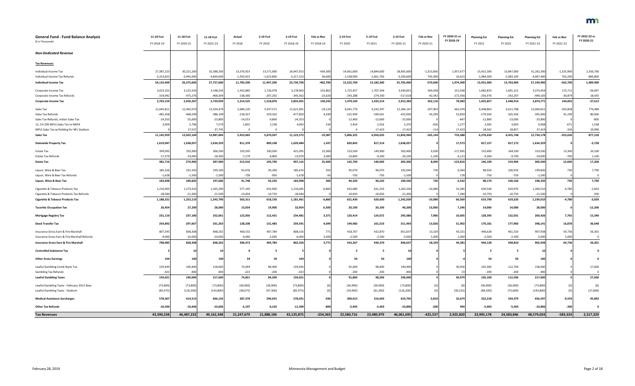| General Fund - Fund Balance Analysis            | 11-18 Fcst  | 11-18 Fcst   | 11-18 Fcst   | Actual       | 2-19 Fcst    | 2-19 Fcst    | Feb vs Nov      | 2-19 Fcst    | 2-19 Fcst    | 2-19 Fcst    | Feb ys Nov   | FY 2020-21 vs  | <b>Planning Est</b> | <b>Planning Est</b> | <b>Planning Est</b> | Feb vs Nov   | FY 2022-23 vs |
|-------------------------------------------------|-------------|--------------|--------------|--------------|--------------|--------------|-----------------|--------------|--------------|--------------|--------------|----------------|---------------------|---------------------|---------------------|--------------|---------------|
| (\$ in Thousands)                               | FY 2018-19  | FY 2020-21   | FY 2022-23   | FY 2018      | FY 2019      | FY 2018-19   | FY 2018-19      | FY 2020      | FY 2021      | FY 2020-21   | FY 2020-21   | FY 2018-19     | FY 2022             | FY 2023             | FY 2022-23          | FY 2022-23   | FY 2020-21    |
| Non-Dedicated Revenue                           |             |              |              |              |              |              |                 |              |              |              |              |                |                     |                     |                     |              |               |
| Tax Revenues:                                   |             |              |              |              |              |              |                 |              |              |              |              |                |                     |                     |                     |              |               |
| Individual Income Tax                           | 27,387,223  | 30,221,200   | 32,588,200   | 13,376,923   | 13,571,000   | 26,947,923   | $-439,300$      | 14,061,600   | 14,844,000   | 28,905,600   | $-1,315,600$ | 1,957,677      | 15,415,300          | 15,847,000          | 31,262,300          | $-1,325,900$ | 2,356,700     |
| Individual Income Tax Refunds                   | $-3,253,82$ | $-3,945,600$ | $-4,830,600$ | $-1,593,423$ | $-1,623,800$ | $-3,217,223$ | 36,600          | $-1,538,900$ | $-1,661,700$ | $-3,200,600$ | 745,000      | 16,623         | $-1,984,300$        | $-2,083,100$        | $-4,067,400$        | 763,200      | $-866,800$    |
| <b>Individual Income Tax</b>                    | 24,133,400  | 26,275,600   | 27,757,600   | 11,783,500   | 11,947,200   | 23,730,700   | $-402,700$      | 12,522,700   | 13,182,300   | 25,705,000   | $-570,600$   | 1,974,300      | 13,431,000          | 13,763,900          | 27,194,900          | $-562,700$   | 1,489,900     |
| Corporate Income Tax                            | 3,023,101   | 3,125,543    | 3,198,243    | 1,452,885    | 1,726,078    | 3,178,963    | 155,862         | 1,722,457    | 1,707,544    | 3,430,001    | 304,458      | 251,038        | 1,682,833           | 1,691,121           | 3,373,954           | 175,711      | $-56,047$     |
| Corporate Income Tax Refunds                    | $-319,942$  | $-475,276$   | $-468,304$   | $-138,360$   | $-207,202$   | $-345,562$   | $-25,620$       | $-243,288$   | $-274,330$   | $-517,618$   | $-42,342$    | $-172,056$     | $-256,976$          | $-242,207$          | $-499,183$          | $-30,879$    | 18,435        |
| Corporate Income Tax                            | 2,703,159   | 2,650,267    | 2,729,939    | 1,314,525    | 1,518,876    | 2,833,401    | 130,242         | 1,479,169    | 1,433,214    | 2,912,383    | 262,116      | 78,982         | 1,425,857           | 1,448,914           | 2,874,771           | 144,832      | $-37,612$     |
| Sales Tax                                       | 11,645,81   | 12,492,070   | 13,354,479   | 5,684,120    | 5,937,571    | 11,621,691   | $-24,120$       | 6,041,770    | 6,242,397    | 12,284,167   | $-207,903$   | 662,476        | 6,448,863           | 6,611,788           | 13,060,651          | $-293,828$   | 776,484       |
| Sales Tax Refunds                               | $-482,458$  | $-468,299$   | $-386,199$   | $-218,357$   | $-259,502$   | $-477,859$   | 4,599           | $-225,499$   | $-199,501$   | $-425,000$   | 43,299       | 52,859         | $-179,500$          | $-165,500$          | $-345,000$          | 41,199       | 80,000        |
| Sales Tax Refunds, Indian Sales Tax             | $-24,35$    | $-25,000$    | $-25,800$    | $-14,553$    | $-9,800$     | $-24,353$    |                 | $-12,400$    | $-12,600$    | $-25,000$    |              | $-647$         | $-12,800$           | $-13,000$           | $-25,800$           |              | $-800$        |
| 12, CH 299 MPLS Sales Tax to MSFA               | 3,95        | 5,796        | 7,579        | 1,855        | 2,238        | 4,093        | 134             | 2,454        | 2,916        | 5,370        | $-426$       | 1,277          | 3,305               | 3,603               | 6,908               | $-671$       | 1,538         |
| MPLS Sales Tax w/Holding for NFL Stadium        |             | 17,537       | 37,745       | $\Omega$     | $\Omega$     |              |                 | $\Omega$     | 17,423       | 17,423       | $-114$       | 17,423         | 18,562              | 18,857              | 37,419              | $-326$       | 19,996        |
| Sales Tax                                       | 11,142,959  | 12,022,104   | 12,987,804   | 5,453,065    | 5,670,507    | 11,123,572   | $-19,387$       | 5,806,325    | 6,050,635    | 11,856,960   | $-165, 144$  | 733,388        | 6,278,430           | 6,455,748           | 12,734,178          | $-253,626$   | 877,218       |
| <b>Statewide Property Tax</b>                   | 1,619,047   | 1,638,057    | 1,634,329    | 811,376      | 809,108      | 1,620,484    | 1,437           | 820,843      | 817,214      | 1,638,057    |              | 17,573         | 817,157             | 817,172             | 1,634,329           |              | $-3,728$      |
| Estate Tax                                      | 399,095     | 293,900      | 306,200      | 220,595      | 200,500      | 421,095      | 22,000          | 153,500      | 149,900      | 303,400      | 9,500        | $-117,695$     | 155,400             | 164,100             | 319,500             | 13,300       | 16,100        |
| <b>Estate Tax Refunds</b>                       | $-17,37$    | $-19,000$    | $-18,300$    | $-7,179$     | $-6,800$     | $-13,97$     | 3,400           | $-10,800$    | $-9,300$     | $-20,100$    | $-1,100$     | $-6,121$       | $-9,300$            | $-9,700$            | $-19,000$           | $-700$       | 1,100         |
| Estate Tax                                      | 381,716     | 274,900      | 287,900      | 213,416      | 193,700      | 407,116      | 25,400          | 142,700      | 140,600      | 283,300      | 8,400        | $-123,816$     | 146,100             | 154,400             | 300,500             | 12,600       | 17,200        |
| Liquor, Wine & Beer Tax                         | 185,326     | 191,320      | 199,100      | 92,476       | 93,200       | 185,676      | 350             | 95,070       | 96,970       | 192,040      | 720          | 6,364          | 98,920              | 100,910             | 199,830             | 730          | 7,790         |
| Liquor, Wine & Beer Tax Refunds                 | $-1,628$    | $-1,500$     | $-1,500$     | $-728$       | $-950$       | $-1,678$     | $-50$           | $-750$       | $-750$       | $-1,500$     |              | 178            | $-750$              | $-750$              | $-1,500$            |              |               |
| Liquor, Wine & Beer Tax                         | 183,698     | 189,820      | 197,600      | 91,748       | 92,250       | 183,998      | 300             | 94,320       | 96,220       | 190,540      | 720          | 6,542          | 98,170              | 100,160             | 198,330             | 730          | 7,790         |
| Cigarette & Tobacco Products Tax                | 1,216,905   | 1,273,410    | 1,265,290    | 577,145      | 632,900      | 1,210,045    | $-6,860$        | 632,080      | 631,250      | 1,263,330    | $-10,080$    | 53,285         | 630,540             | 629,970             | 1,260,510           | $-4,780$     | $-2,820$      |
| Cigarette & Tobacco Products Tax Refunds        | $-28,584$   | $-21,300$    | $-21,500$    | $-13,834$    | $-14,750$    | $-28,584$    |                 | $-10,650$    | $-10,650$    | $-21,300$    |              | 7,284          | $-10,750$           | $-10,750$           | $-21,500$           |              | $-200$        |
| Cigarette & Tobacco Products Tax                | 1,188,321   | 1,252,110    | 1,243,790    | 563,311      | 618,150      | 1,181,461    | $-6,860$        | 621,430      | 620,600      | 1,242,030    | $-10,080$    | 60,569         | 619,790             | 619,220             | 1,239,010           | $-4,780$     | $-3,020$      |
| <b>Taconite Occupation Tax</b>                  | 26,454      | 27,200       | 28,000       | 13,054       | 19,900       | 32,954       | 6,500           | 20,100       | 20,100       | 40,200       | 13,000       | 7,246          | 14,000              | 14,000              | 28,000              |              | $-12,200$     |
| Mortgage Registry Tax                           | 231,110     | 237,180      | 252,661      | 122,050      | 112,431      | 234,481      | 3,371           | 120,414      | 124,672      | 245,086      | 7,906        | 10,605         | 128,395             | 132,031             | 260,426             | 7,765        | 15,340        |
| <b>Deed Transfer Tax</b>                        | 254,892     | 297,667      | 331,263      | 128,108      | 131,483      | 259,591      | 4,699           | 149,983      | 161,510      | 311,493      | 13,826       | 51,902         | 170,181             | 177,960             | 348,141             | 16,878       | 36,648        |
| Insurance Gross Earn & Fire Marshall            | 807,545     | 838,308      | 848,202      | 400,532      | 407,784      | 808,31       | 771             | 418,767      | 432,870      | 851,637      | 13,329       | 43,321         | 446,628             | 461,310             | 907,938             | 59,736       | 56,301        |
| Insurance Gross Earn & Fire Marshall Refunds    | $-9.060$    | $-10,000$    | $-10,000$    | $-4.060$     | $-2,000$     | $-6.060$     | 3,000           | $-2,500$     | $-2.500$     | $-5,000$     | 5,000        | 1,060          | $-2,500$            | $-2,500$            | $-5,000$            | 5,000        |               |
| <b>Insurance Gross Earn &amp; Fire Marshall</b> | 798,485     | 828,308      | 838,202      | 396,472      | 405,784      | 802,256      | 3,771           | 416,267      | 430,370      | 846,637      | 18,329       | 44,381         | 444,128             | 458,810             | 902,938             | 64,736       | 56,301        |
| <b>Controlled Substance Tax</b>                 |             | 10           | 10           | $\mathbf{0}$ | 5            |              |                 | 5            | 5            | 10           |              |                | 5                   | - 5                 | 10                  |              | $\mathbf{o}$  |
| <b>Other Gross Earnings</b>                     | 10          | 100          | 100          | 54           | 50           | 104          |                 | 50           | 50           | 100          |              |                | 50                  | 50                  | 100                 |              | $\Omega$      |
| Lawful Gambling Comb Rcpts Tax                  | 159,444     | 190,400      | 218,000      | 75,044       | 84,400       | 159,444      |                 | 92,000       | 98,400       | 190,400      |              | 30,956         | 105,300             | 112,700             | 218,000             |              | 27,600        |
| Gambling Tax Refunds                            | $-42$       | $-400$       | $-400$       | $-223$       | $-200$       | $-423$       |                 | $-200$       | $-200$       | $-400$       |              | 2 <sup>5</sup> | $-200$              | $-200$              | $-400$              |              |               |
| <b>Lawful Gambling Taxes</b>                    | 159,021     | 190,000      | 217,600      | 74,821       | 84,200       | 159,021      |                 | 91,800       | 98.200       | 190,000      |              | 30,979         | 105,100             | 112,500             | 217,600             |              | 27,600        |
| Lawful Gambling Taxes - February 2012 Base      | [73, 800]   | [73, 800]    | [73,800]     | [36,900]     | [36,900]     | [73, 800]    | $\overline{10}$ | [36,900]     | [36,900]     | [73,800]     |              | [0]            | [36,900]            | [36,900]            | [73,800]            | ſ0           | [0]           |
| Lawful Gambling Taxes - Stadium                 | [85, 975]   | [116, 200]   | [143,800]    | [38, 675]    | [47, 300]    | [85, 975]    | $[0]$           | [54,900]     | [61, 300]    | [116, 200]   |              | [30, 225]      | [68, 200]           | [75,600]            | [143, 800]          | [O           | [27,600]      |
| <b>Medical Assistance Surcharges</b>            | 578,367     | 614,515      | 666,156      | 287,376      | 290,655      | 578,031      | $-336$          | 300,013      | 310,692      | 610,705      | $-3,810$     | 32,674         | 322,218             | 334,379             | 656,597             | $-9,559$     | 45,892        |
|                                                 |             |              |              |              |              |              |                 |              |              |              |              |                |                     |                     |                     |              |               |
| <b>Other Tax Refunds</b>                        | $-10,500$   | $-10,606$    | $-10,606$    | $-5,197$     | $-6,103$     | $-11,300$    | $-800$          | $-5,403$     | $-5,403$     | $-10,806$    | $-200$       | 494            | $-5,403$            | $-5,403$            | $-10,806$           | $-200$       | $\mathbf 0$   |
| <b>Tax Revenues</b>                             | 43.390.238  | 46,487,232   | 49,162,348   | 21,247,679   | 21,888,196   | 43,135,875   | $-254,363$      | 22,580,716   | 23,480,979   | 46,061,695   | $-425,537$   | 2,925,820      | 23,995,178          | 24,583,846          | 48,579,024          | $-583.324$   | 2,517,329     |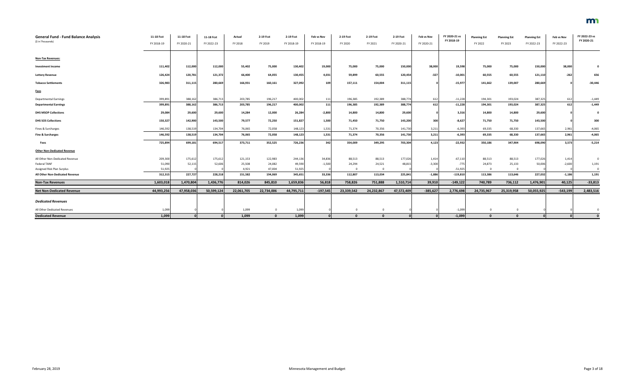| General Fund - Fund Balance Analysis | 11-18 Fcst | 11-18 Fcst | 11-18 Fcst | Actual     | 2-19 Fcst  | 2-19 Fcst  | Feb vs Nov | 2-19 Fcst   | 2-19 Fcst  | 2-19 Fcst  | Feb vs Nov | FY 2020-21 vs<br>FY 2018-19 | <b>Planning Est</b> | <b>Planning Est</b> | <b>Planning Est</b> | Feb vs Nov | FY 2022-23 vs<br>FY 2020-21 |
|--------------------------------------|------------|------------|------------|------------|------------|------------|------------|-------------|------------|------------|------------|-----------------------------|---------------------|---------------------|---------------------|------------|-----------------------------|
| (\$ in Thousands)                    | FY 2018-19 | FY 2020-21 | FY 2022-23 | FY 2018    | FY 2019    | FY 2018-19 | FY 2018-19 | FY 2020     | FY 2021    | FY 2020-21 | FY 2020-21 |                             | FY 2022             | FY 2023             | FY 2022-23          | FY 2022-23 |                             |
|                                      |            |            |            |            |            |            |            |             |            |            |            |                             |                     |                     |                     |            |                             |
| <b>Non-Tax Revenues:</b>             |            |            |            |            |            |            |            |             |            |            |            |                             |                     |                     |                     |            |                             |
| <b>Investment Income</b>             | 111,402    | 112,000    | 112,000    | 55,402     | 75,000     | 130,402    | 19,000     | 75,000      | 75,000     | 150,000    | 38,000     | 19,598                      | 75,000              | 75,000              | 150,000             | 38,000     |                             |
| <b>Lottery Revenue</b>               | 126,424    | 120,781    | 121,372    | 66,400     | 64,055     | 130,455    | 4,031      | 59,899      | 60,555     | 120,454    | $-327$     | $-10,001$                   | 60,555              | 60,555              | 121,110             | $-262$     | 656                         |
| <b>Tobacco Settlements</b>           | 326,983    | 311,115    | 280,669    | 166,931    | 160,161    | 327,092    | 109        | 157,111     | 154,004    | 311,115    |            | $-15,977$                   | 141,662             | 139,007             | 280,669             |            | $-30,446$                   |
| <u>Fees</u>                          |            |            |            |            |            |            |            |             |            |            |            |                             |                     |                     |                     |            |                             |
| <b>Departmental Earnings</b>         | 399,891    | 388,162    | 386,713    | 203,785    | 196,217    | 400,002    | 111        | 196,385     | 192,389    | 388,774    | 612        | $-11,228$                   | 194,301             | 193,024             | 387,325             | 612        | $-1,449$                    |
| <b>Departmental Earnings</b>         | 399,891    | 388,162    | 386,713    | 203,785    | 196,217    | 400,002    | 111        | 196,385     | 192,389    | 388,774    | 612        | $-11,228$                   | 194,301             | 193,024             | 387,325             | 612        | $-1,449$                    |
| <b>DHS MSOP Collections</b>          | 29,084     | 29,600     | 29,600     | 14,284     | 12,000     | 26,284     | $-2,800$   | 14,800      | 14,800     | 29,600     |            | 3,316                       | 14,800              | 14,800              | 29,600              |            |                             |
| <b>DHS SOS Collections</b>           | 150,327    | 142,900    | 143,500    | 79,577     | 72,250     | 151,827    | 1,500      | 71,450      | 71,750     | 143,200    | 300        | $-8,627$                    | 71,750              | 71,750              | 143,500             |            | 300                         |
| Fines & Surcharges                   | 146,592    | 138,519    | 134,704    | 76,065     | 72,058     | 148,123    | 1,531      | 71,374      | 70,356     | 141,730    | 3,211      | $-6,393$                    | 69,335              | 68,330              | 137,665             | 2,961      | $-4,065$                    |
| Fine & Surcharges                    | 146,592    | 138,519    | 134,704    | 76,065     | 72,058     | 148,123    | 1,531      | 71,374      | 70,356     | 141,730    | 3,211      | $-6,393$                    | 69,335              | 68,330              | 137,665             | 2,961      | $-4,065$                    |
| Fees                                 | 725,894    | 699,181    | 694,517    | 373,711    | 352,525    | 726,236    | 342        | 354,009     | 349,295    | 703,304    | 4,123      | $-22,932$                   | 350,186             | 347,904             | 698,090             | 3,573      | $-5,214$                    |
| <b>Other Non-Dedicated Revenue</b>   |            |            |            |            |            |            |            |             |            |            |            |                             |                     |                     |                     |            |                             |
| All Other Non-Dedicated Revenue      | 209,300    | 175,612    | 175,612    | 121,153    | 122,983    | 244,136    | 34,836     | 88,513      | 88,513     | 177,026    | 1,414      | $-67,110$                   | 88,513              | 88,513              | 177,026             | 1,414      | $\Omega$                    |
| Federal TANF                         | 51,090     | 52,115     | 52,606     | 25,508     | 24,082     | 49,590     | $-1,500$   | 24,294      | 24,521     | 48,815     | $-3,300$   | $-775$                      | 24,873              | 25,133              | 50,006              | $-2,600$   | 1,191                       |
| <b>Assigned Risk Plan Surplus</b>    | 51,925     |            |            | 4,921      | 47,004     | 51,925     |            | $\Omega$    | $\Omega$   |            |            | $-51,925$                   | $\Omega$            | $\Omega$            |                     |            | $\Omega$                    |
| All Other Non-Dedicated Revenue      | 312,315    | 227,727    | 228,218    | 151,582    | 194,069    | 345,651    | 33,336     | 112,807     | 113,034    | 225,841    | $-1.886$   | $-119,810$                  | 113,386             | 113,646             | 227,032             | $-1,186$   | 1,191                       |
| <b>Non-Tax Revenues</b>              | 1,603,018  | 1,470,804  | 1,436,776  | 814.026    | 845,810    | 1,659,836  | 56,818     | 758,826     | 751.888    | 1,510,714  | 39,910     | $-149,122$                  | 740.789             | 736.112             | 1,476,901           | 40.125     | $-33,813$                   |
| <b>Net Non-Dedicated Revenue</b>     | 44.993.256 | 47,958,036 | 50,599,124 | 22,061,705 | 22,734,006 | 44,795,711 | $-197,545$ | 23,339,542  | 24.232.867 | 47,572,409 | $-385,627$ | 2,776,698                   | 24,735,967          | 25,319,958          | 50,055,925          | $-543.199$ | 2,483,516                   |
| <b>Dedicated Revenues</b>            |            |            |            |            |            |            |            |             |            |            |            |                             |                     |                     |                     |            |                             |
|                                      |            |            |            |            |            |            |            |             |            |            |            |                             |                     |                     |                     |            |                             |
| All Other Dedicated Revenues         | 1,099      |            |            | 1,099      |            | 1,099      |            | $\mathbf 0$ | $\Omega$   |            |            | $-1,099$                    | $\Omega$            | $\Omega$            |                     |            |                             |
| <b>Dedicated Revenue</b>             | 1,099      |            |            | 1,099      | $\Omega$   | 1,099      |            | $\Omega$    | $\Omega$   |            |            | $-1,099$                    | $\Omega$            | $\Omega$            |                     |            |                             |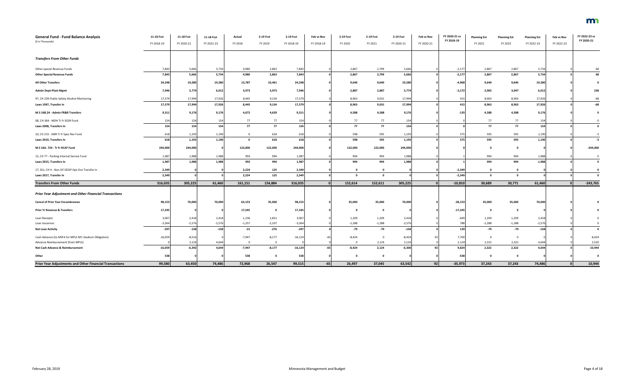| General Fund - Fund Balance Analysis<br>(\$ in Thousands)      | 11-18 Fcst<br>FY 2018-19 | 11-18 Fcst<br>FY 2020-21 | 11-18 Fcst<br>FY 2022-23 | Actual<br>FY 2018 | 2-19 Fcst<br>FY 2019 | 2-19 Fcst<br>FY 2018-19 | Feb vs Nov<br>FY 2018-19 | 2-19 Fcst<br>FY 2020 | 2-19 Fcst<br>FY 2021 | 2-19 Fcst<br>FY 2020-21 | Feb vs Nov<br>FY 2020-21 | FY 2020-21 vs<br>FY 2018-19 | <b>Planning Est</b><br>FY 2022 | <b>Planning Est</b><br>FY 2023 | <b>Planning Est</b><br>FY 2022-23 | Feb vs Nov<br>FY 2022-23 | FY 2022-23 vs<br>FY 2020-21 |
|----------------------------------------------------------------|--------------------------|--------------------------|--------------------------|-------------------|----------------------|-------------------------|--------------------------|----------------------|----------------------|-------------------------|--------------------------|-----------------------------|--------------------------------|--------------------------------|-----------------------------------|--------------------------|-----------------------------|
| <b>Transfers From Other Funds</b>                              |                          |                          |                          |                   |                      |                         |                          |                      |                      |                         |                          |                             |                                |                                |                                   |                          |                             |
| Other special Revenue Funds                                    | 7,843                    | 5,666                    | 5,734                    | 4,980             | 2,863                | 7,843                   |                          | 2,867                | 2,799                | 5,666                   |                          | $-2,177$                    | 2,867                          | 2,867                          | 5,734                             |                          |                             |
| <b>Other Special Revenue Funds</b>                             | 7,843                    | 5,666                    | 5,734                    | 4,980             | 2,863                | 7,843                   |                          | 2,867                | 2,799                | 5,666                   |                          | $-2,177$                    | 2,867                          | 2,867                          | 5,734                             |                          |                             |
| All Other Transfers                                            | 24,248                   | 19,280                   | 19,280                   | 13,787            | 10,461               | 24,248                  |                          | 9,640                | 9,640                | 19,280                  |                          | $-4,968$                    | 9,640                          | 9,640                          | 19,280                            |                          |                             |
| <b>Admin Dept-Plant Mgmt</b>                                   | 7,946                    | 5,774                    | 6,012                    | 3,973             | 3,973                | 7,946                   |                          | 2,887                | 2,887                | 5,774                   |                          | $-2,172$                    | 2,965                          | 3,047                          | 6,012                             |                          | 238                         |
| 97, CH 239-Public Safety Alcohol Monitoring                    | 17,579                   | 17,994                   | 17,926                   | 8,445             | 9,134                | 17,579                  |                          | 8,963                | 9,031                | 17,994                  |                          | 415                         | 8,963                          | 8,963                          | 17,926                            |                          | $-68$                       |
| Laws 1997, Transfer In                                         | 17,579                   | 17,994                   | 17,926                   | 8,445             | 9,134                | 17,579                  |                          | 8,963                | 9,031                | 17,994                  |                          | 415                         | 8,963                          | 8,963                          | 17,926                            |                          | $-68$                       |
| M.S 16B.24 - Admin FR&R Transfers                              | 9,311                    | 9,176                    | 9,176                    | 4,672             | 4,639                | 9,311                   |                          | 4,588                | 4,588                | 9,176                   |                          | $-135$                      | 4,588                          | 4,588                          | 9,176                             |                          |                             |
| 08, CH 364 - MDH Tr fr SGSR Fund                               | 154                      | 154                      | 154                      | 77                | 77                   | 154                     |                          | 77                   | 77                   | 154                     |                          |                             | 77                             | 77                             | 154                               |                          |                             |
| Laws 2008, Transfers In                                        | 154                      | 154                      | 154                      | 77                | 77                   | 154                     |                          | 77                   | 77                   | 154                     |                          |                             | 77                             | 77                             | 154                               |                          | $\mathbf{0}$                |
| 10, CH 215 - DNR Tr fr Spec Rev Fund                           | 61                       | 1,193                    | 1,190                    | $\overline{0}$    | 618                  | 618                     |                          | 598                  | 595                  | 1,193                   |                          | 575                         | 595                            | 595                            | 1,190                             |                          | $-3$                        |
| Laws 2010, Transfers In                                        | 618                      | 1,193                    | 1,190                    | $\mathbf 0$       | 618                  | 618                     |                          | 598                  | 595                  | 1,193                   |                          | 575                         | 595                            | 595                            | 1,190                             |                          | -3                          |
| M.S 16A. 724 - Tr fr HCAF Fund                                 | 244,000                  | 244,000                  |                          | 122,000           | 122,000              | 244,000                 |                          | 122,000              | 122,000              | 244,000                 |                          |                             | $\Omega$                       | $\mathbf{0}$                   |                                   |                          | $-244,000$                  |
| 15, CH 77 - Parking Internal Service Fund                      | 1,987                    | 1,988                    | 1,988                    | 993               | 994                  | 1,987                   |                          | 994                  | 994                  | 1,988                   |                          |                             | 994                            | 994                            | 1,988                             |                          |                             |
| Laws 2015, Transfers In                                        | 1,987                    | 1,988                    | 1,988                    | 993               | 994                  | 1,987                   |                          | 994                  | 994                  | 1,988                   |                          |                             | 994                            | 994                            | 1,988                             |                          | $\Omega$                    |
| 17, SS1, CH 4 - Non-GF SEGIP Opt-Out Transfer In               | 2,349                    |                          |                          | 2,224             | 125                  | 2,349                   |                          | $\mathbf{0}$         | $\mathbf{0}$         |                         |                          | $-2,349$                    | $\mathbf 0$                    | $\mathbf{0}$                   |                                   |                          | $\mathbf{r}$                |
| Laws 2017, Transfer In                                         | 2,349                    |                          |                          | 2,224             | 125                  | 2,349                   |                          | $\mathbf{0}$         | $\mathbf{0}$         |                         |                          | $-2,349$                    | $\mathbf{0}$                   | $\Omega$                       |                                   |                          | $\mathbf{r}$                |
| <b>Transfers From Other Funds</b>                              | 316,035                  | 305,225                  | 61,460                   | 161,151           | 154,884              | 316,035                 |                          | 152,614              | 152,611              | 305,225                 |                          | $-10,810$                   | 30,689                         | 30,771                         | 61,460                            |                          | $-243,765$                  |
| <b>Prior Year Adjustment and Other Financial Transactions</b>  |                          |                          |                          |                   |                      |                         |                          |                      |                      |                         |                          |                             |                                |                                |                                   |                          |                             |
| <b>Cancel of Prior Year Encumbrances</b>                       | 98,153                   | 70,000                   | 70,000                   | 63,153            | 35,000               | 98,153                  |                          | 35,000               | 35,000               | 70,000                  |                          | $-28,153$                   | 35,000                         | 35,000                         | 70,000                            |                          |                             |
| Prior Yr Revenue & Transfers                                   | 17,245                   |                          |                          | 17,245            | $\mathbf{0}$         | 17,245                  |                          | $\mathbf{0}$         | $\mathbf{0}$         |                         |                          | $-17,245$                   | $\Omega$                       | $\mathbf{0}$                   |                                   |                          |                             |
| Loan Receipts                                                  | 3,067                    | 2,418                    | 2,418                    | 1,236             | 1,831                | 3,067                   |                          | 1,209                | 1,209                | 2,418                   |                          | $-649$                      | 1,209                          | 1,209                          | 2,418                             |                          | $\Omega$                    |
| Loan Issuances                                                 | $-3,364$                 | $-2,576$                 | $-2,576$                 | $-1,257$          | $-2,107$             | $-3,364$                |                          | $-1,288$             | $-1,288$             | $-2,576$                |                          | 788                         | $-1,288$                       | $-1,288$                       | $-2,576$                          |                          |                             |
| <b>Net Loan Activity</b>                                       | $-297$                   | $-158$                   | $-158$                   | $-21$             | $-276$               | $-297$                  |                          | -79                  | $-79$                | $-158$                  |                          | 139                         | $-79$                          | $-79$                          | $-158$                            |                          | $\mathbf{a}$                |
| Cash Advance (to MSFA for MPLS NFL Stadium Obligation)         | $-16,059$                | $-8,516$                 |                          | $-7,947$          | $-8,177$             | $-16,124$               | $-65$                    | $-8,424$             | $\mathbf{0}$         | $-8,424$                |                          | 7,700                       | $\mathbf{0}$                   | $\overline{\mathbf{0}}$        |                                   |                          | 8,424                       |
| Advance Reimbursement (from MPLS)                              |                          | 2,124                    | 4,644                    | $\Omega$          | $\Omega$             |                         |                          | $\Omega$             | 2,124                | 2,124                   |                          | 2,124                       | 2,322                          | 2,322                          | 4,644                             |                          | 2,520                       |
| Net Cash Advance & Reimbursement                               | $-16,059$                | $-6,392$                 | 4,644                    | $-7,947$          | $-8,177$             | $-16,124$               | $-65$                    | $-8,424$             | 2,124                | $-6,300$                |                          | 9,824                       | 2,322                          | 2,322                          | 4,644                             |                          | 10,944                      |
| Other                                                          | 538                      |                          |                          | 538               | $\Omega$             | 538                     |                          | $\Omega$             | $\Omega$             |                         |                          | $-538$                      | $\Omega$                       | $\mathbf{0}$                   |                                   |                          | $\Omega$                    |
| <b>Prior Year Adjustments and Other Financial Transactions</b> | 99,580                   | 63,450                   | 74.486                   | 72,968            | 26,547               | 99,515                  | $-65$                    | 26,497               | 37,045               | 63,542                  | 92                       | $-35,973$                   | 37,243                         | 37,243                         | 74,486                            |                          | 10,944                      |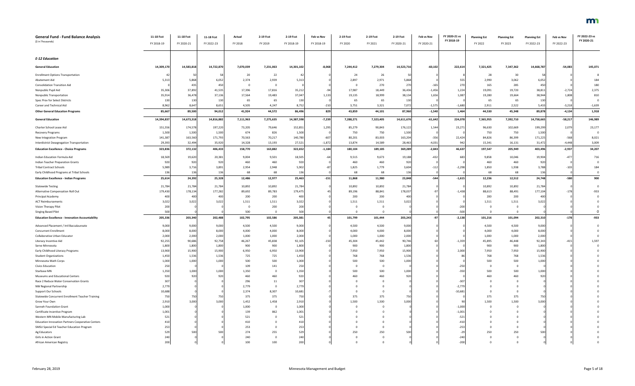| General Fund - Fund Balance Analysis                          | 11-18 Fcst        | 11-18 Fcst        | 11-18 Fcst        | Actual           | 2-19 Fcst        | 2-19 Fcst      | Feb vs Nov | 2-19 Fcst        | 2-19 Fcst        | 2-19 Fcst      | Feb vs Nov | FY 2020-21 vs | <b>Planning Est</b> | <b>Planning Est</b> | <b>Planning Est</b> | Feb vs Nov | FY 2022-23 vs |
|---------------------------------------------------------------|-------------------|-------------------|-------------------|------------------|------------------|----------------|------------|------------------|------------------|----------------|------------|---------------|---------------------|---------------------|---------------------|------------|---------------|
| (\$ in Thousands)                                             | FY 2018-19        | FY 2020-21        | FY 2022-23        | FY 2018          | FY 2019          | FY 2018-19     | FY 2018-19 | FY 2020          | FY 2021          | FY 2020-21     | FY 2020-21 | FY 2018-19    | FY 2022             | FY 2023             | FY 2022-23          | FY 2022-23 | FY 2020-21    |
|                                                               |                   |                   |                   |                  |                  |                |            |                  |                  |                |            |               |                     |                     |                     |            |               |
|                                                               |                   |                   |                   |                  |                  |                |            |                  |                  |                |            |               |                     |                     |                     |            |               |
| <b>E-12 Education</b>                                         |                   |                   |                   |                  |                  |                |            |                  |                  |                |            |               |                     |                     |                     |            |               |
|                                                               |                   |                   |                   |                  |                  |                |            |                  |                  |                |            |               |                     |                     |                     |            |               |
| <b>General Education</b>                                      | 14,309,170        | 14,583,818        | 14,722,870        | 7,070,039        | 7,231,063        | 14,301,102     | $-8,068$   | 7,244,412        | 7,279,304        | 14,523,716     | $-60,102$  | 222,614       | 7,321,425           | 7,347,362           | 14,668,787          | $-54,083$  | 145,071       |
| <b>Enrollment Options Transportation</b>                      |                   |                   |                   | 20               | 22               |                |            | 24               | 26               |                |            |               | 28                  | 30                  |                     |            |               |
| Abatement Aid                                                 | 5,313             | 5,86              | 6,05              | 2,374            | 2,939            | 5,313          |            | 2,897            | 2,971            | 5,868          |            | 555           | 2,990               | 3,062               | 6,052               |            | 184           |
| <b>Consolidation Transition Aid</b>                           |                   | 435               | 450               | $\overline{0}$   |                  |                |            | $\theta$         | 270              | 270            | $-16$      | 270           | 165                 | 285                 | 450                 |            | 180           |
| Nonpublic Pupil Aid                                           | 35,306            | 37,892            | 41,535            | 17,396           | 17,816           | 35,212         | $-94$      | 17,987           | 18,449           | 36,436         | $-1,456$   | 1,224         | 19,091              | 19,720              | 38,811              | $-2,72$    | 2,375         |
| Nonpublic Transportation                                      | 35,914            | 36,478            | 37,136            | 17,564           | 19,483           | 37,047         | 1,133      | 19,135           | 18,999           | 38,134         | 1,656      | 1,087         | 19,280              | 19,664              | 38,944              | 1,808      | 810           |
| Spec Prov for Select Districts                                | 130               | 130               | 130               | 65               | 65               | 130            |            | 65               | 65               | 130            |            |               | 65                  | 65                  | 131                 |            |               |
| Career and Technical Aid                                      | 8,962             | 8,647             | 8,651             | 4,505            | 4,247            | 8,752          | $-210$     | 3,751            | 3,321            | 7,072          | $-1,575$   | $-1,680$      | 2,911               | 2,522               | 5,433               | $-3,21$    | $-1,639$      |
| <b>Other General Education Programs</b>                       | 85,667            | 89,500            | 94,012            | 41,924           | 44,572           | 86,496         | 829        | 43,859           | 44,101           | 87,960         | $-1,540$   | 1,464         | 44,530              | 45,348              | 89,878              | $-4,134$   | 1,918         |
|                                                               |                   |                   |                   |                  |                  |                |            |                  |                  |                |            |               |                     |                     |                     |            |               |
| <b>General Education</b>                                      | 14,394,837        | 14,673,318        | 14,816,882        | 7,111,963        | 7,275,635        | 14,387,598     | $-7,239$   | 7,288,271        | 7,323,405        | 14,611,676     | $-61,642$  | 224,078       | 7,365,955           | 7,392,710           | 14,758,665          | $-58,217$  | 146,989       |
| Charter School Lease Aid                                      | 151,556           | 174,578           | 197,22            | 73,205           | 79,646           | 152,851        | 1,295      | 85,279           | 90,843           | 176,122        | 1,544      | 23,271        | 96,630              | 102,669             | 199,29              | 2,07       | 23,177        |
| Recovery Programs                                             | 1,500             | 1,500             | 1,500             | 674              | 826              | 1,500          |            | 750              | 750              | 1,500          |            |               | 750                 | 750                 | 1,500               |            |               |
| New Integration Program                                       | 141,387           | 163,560           | 171,793           | 70,563           | 70,217           | 140,780        | $-607$     | 80,201           | 83,003           | 163,204        | $-356$     | 22,424        | 84,826              | 86,399              | 171,225             | $-568$     | 8,021         |
| Interdistrict Desegregation Transportation                    | 29,393            | 32,494            | 35,920            | 14,328           | 13,193           | 27,521         | $-1,872$   | 13.874           | 14,589           | 28.463         | $-4,031$   | 942           | 15,341              | 16,131              | 31,472              | $-4.44$    | 3,009         |
| <b>Education Excellence - Choice Programs</b>                 | 323,836           | 372,132           | 406,433           | 158,770          | 163,882          | 322,652        | $-1,184$   | 180,104          | 189,185          | 369,289        | $-2,843$   | 46,637        | 197,547             | 205,949             | 403,496             | $-2,937$   | 34,207        |
|                                                               |                   |                   |                   |                  |                  |                |            |                  |                  |                |            |               |                     |                     |                     |            |               |
| Indian Education Formula Aid                                  | 18,569            | 19,620            | 20,381            | 9,004            | 9,501            | 18,505         | $-64$      | 9,515            | 9,673            | 19,188         | $-432$     | 683           | 9,858               | 10,046              | 19,904              | $-477$     | 716           |
| Indian Teacher Preparation Grants                             | 920               | 920               | 920               | 460              | 460              | 920            |            | 460              | 460              | 920            |            |               | 460                 | 460                 | 920                 |            |               |
| <b>Tribal Contract Schools</b>                                | 5,989             | 3,716             | 3,891             | 2,954            | 2,948            | 5,902          | $-8$       | 1,825            | 1,779            | 3,604          | $-112$     | $-2,298$      | 1,850               | 1,938               | 3,788               | $-103$     | 184           |
| Early Childhood Programs at Tribal Schools                    | 136               | 136               | 136               | 68               | 68               | 136            |            | 68               | 68               | 136            |            |               | 68                  | 68                  | 136                 |            | $\Omega$      |
| <b>Education Excellence - Indian Programs</b>                 | 25,614            | 24,392            | 25,328            | 12,486           | 12,977           | 25,463         | $-151$     | 11,868           | 11,980           | 23,848         | $-544$     | $-1,615$      | 12,236              | 12,512              | 24,748              | $-580$     | 900           |
|                                                               |                   |                   |                   |                  |                  |                |            |                  |                  |                |            |               |                     |                     |                     |            |               |
| <b>Statewide Testing</b><br>Alternative Compensation Roll Out | 21,784<br>179,430 | 21,784<br>178,134 | 21,784<br>177,282 | 10,892<br>89,692 | 10,892<br>89,783 | 21,784         |            | 10,892<br>89,196 | 10,892<br>88,841 | 21,784         |            | $-1,438$      | 10,892<br>88,613    | 10,892<br>88,491    | 21,784<br>177,104   | $-178$     | $\Omega$      |
| Principal Academy                                             | 400               | 40                | 401               | 200              | 200              | 179,475<br>400 |            | 200              | 200              | 178,037<br>400 |            |               | 200                 | 200                 | 400                 |            | $-933$        |
| <b>ACT Reimbursements</b>                                     | 3,022             | 3,022             | 3,022             | 1,511            | 1,511            | 3,022          |            | 1,511            | 1,511            | 3,022          |            |               | 1,511               | 1,511               | 3,022               |            |               |
|                                                               | 200               |                   |                   | $\overline{0}$   |                  |                |            | $\theta$         | $\mathbf 0$      |                |            | $-200$        | $\mathbf{0}$        | $\overline{0}$      |                     |            |               |
| Vision Therapy Pilot                                          | 500               |                   |                   | 500              | 200<br>$\Omega$  | 200<br>500     |            | $\mathbf{0}$     | $\overline{0}$   |                |            | $-500$        | $\mathbf{0}$        | $\Omega$            |                     |            | $\Omega$      |
| <b>Singing Based Pilot</b>                                    |                   |                   |                   |                  |                  |                | 45         |                  |                  |                | $-97$      |               |                     |                     |                     |            |               |
| <b>Education Excellence - Innovation Accountability</b>       | 205,336           | 203,340           | 202,488           | 102,795          | 102,586          | 205,381        |            | 101,799          | 101,444          | 203,243        |            | $-2,138$      | 101,216             | 101,094             | 202,310             | $-178$     | -933          |
| Advanced Placement / Intl Baccalaureate                       | 9,000             | 9,000             | 9,000             | 4,500            | 4,500            | 9,000          |            | 4,500            | 4,500            | 9,000          |            |               | 4,500               | 4,500               | 9,000               |            |               |
| <b>Concurrent Enrollment</b>                                  | 8,000             | 8,000             | 8,000             | 4,000            | 4,000            | 8,000          |            | 4,000            | 4,000            | 8,000          |            |               | 4,000               | 4,000               | 8,000               |            |               |
| Collaborative Urban Educator                                  | 2,000             | 2,000             | 2,00              | 1,000            | 1,000            | 2,000          |            | 1,000            | 1,000            | 2,000          |            |               | 1,000               | 1,000               | 2,000               |            |               |
| Literacy Incentive Aid                                        | 92,255            | 90,686            | 92,758            | 46,267           | 45,838           | 92,105         | $-150$     | 45,304           | 45,442           | 90,746         |            | $-1,359$      | 45,895              | 46,448              | 92,343              | $-415$     | 1,597         |
| Serve Minnesota                                               | 1,800             | 1,800             | 1,800             | 900              | 900              | 1,800          |            | 900              | 900              | 1,800          |            |               | 900                 | 900                 | 1,800               |            |               |
| Early Childhood Literacy Programs                             | 13,900            | 15,900            | 15,900            | 6,950            | 6.950            | 13,900         |            | 7,950            | 7,950            | 15,900         |            | 2,000         | 7,950               | 7,950               | 15,900              |            |               |
| <b>Student Organizations</b>                                  | 1,450             | 1,536             | 1,53              | 725              | 725              | 1,450          |            | 768              | 768              | 1,536          |            | 80            | 768                 | 768                 | 1,536               |            |               |
| Minnesota Math Corps                                          | 1,000             | 1,000             | 1,000             | 500              | 500              | 1,000          |            | 500              | 500              | 1,000          |            |               | 500                 | 500                 | 1,000               |            |               |
| <b>Civics Education</b>                                       | 250               |                   |                   | 109              | 141              | 250            |            | $\overline{0}$   | $\mathbf 0$      |                |            | $-250$        | $\overline{0}$      | $\mathbf{C}$        |                     |            |               |
| Starbase MN                                                   | 1,350             | 1,000             | 1,000             | 1,350            |                  | 1,350          |            | 500              | 500              | 1,000          |            | $-350$        | 500                 | 500                 | 1,000               |            |               |
| Museums and Educational Centers                               | 920               | 920               | 920               | 460              | 460              | 920            |            | 460              | 460              | 921            |            |               | 460                 | 460                 | 920                 |            |               |
| Race 2 Reduce Water Conservation Grants                       | 307               |                   |                   | 296              | 11               | 307            |            | $\Omega$         | $\mathbf 0$      |                |            | $-307$        | $\Omega$            | O                   |                     |            |               |
| NW Regional Partnership                                       | 2,779             |                   |                   | 2,779            | $\Omega$         | 2,779          |            | $\Omega$         | $\mathbf{0}$     |                |            | $-2,775$      | $\Omega$            | $\Omega$            |                     |            |               |
| Support Our Schools                                           | 10,688            |                   |                   | 2,374            | 8,307            | 10,681         |            | $\Omega$         | $\Omega$         |                |            | $-10,681$     | $\Omega$            | $\Omega$            |                     |            |               |
| Statewide Concurrent Enrollment Teacher Training              | 750               | 750               | 750               | 375              | 375              | 750            |            | 375              | 375              | 75             |            |               | 375                 | 375                 | 750                 |            |               |
| Grow Your Own                                                 | 2,910             | 3,000             | 3,000             | 1,452            | 1,458            | 2,910          |            | 1,500            | 1,500            | 3,000          |            | 90            | 1,500               | 1,500               | 3,000               |            |               |
| Sanneh Foundation Grant                                       | 1,000             |                   |                   | 1,000            |                  | 1,000          |            | $\Omega$         | $\overline{0}$   |                |            | $-1,000$      | $\Omega$            | $\Omega$            |                     |            |               |
| Certificate Incentive Program                                 | 1,001             |                   |                   | 139              | 862              | 1,001          |            |                  | $\mathbf 0$      |                |            | $-1,00$       | $\mathbf 0$         |                     |                     |            |               |
| Western MN Mobile Manufacturing Lab                           | 521               |                   |                   | 521              |                  | 521            |            |                  | $\mathbf 0$      |                |            | $-521$        | $\mathbf 0$         | $\mathbf 0$         |                     |            |               |
| <b>Education Innovation Partners Cooperative Centers</b>      | 410               |                   |                   | 410              |                  | 410            |            | $\Omega$         | $\mathbf 0$      |                |            | $-41($        | $\Omega$            | $\Omega$            |                     |            |               |
| SMSU Special Ed Teacher Education Program                     | 253               |                   |                   | 253              |                  | 253            |            | $\Omega$         | $\mathbf 0$      |                |            | $-253$        | $\mathbf{0}$        | O                   |                     |            |               |
| Ag Educators                                                  | 529               | 500               | 500               | 274              | 255              | 529            |            | 250              | 250              |                |            | $-29$         | 250                 | 250                 | 500                 |            |               |
| Girls in Action Grant                                         | 240               |                   |                   | 240              |                  | 240            |            | $\mathbf 0$      | $\mathbf 0$      |                |            | $-240$        | $\overline{0}$      | $\overline{0}$      |                     |            |               |
| African American Registry                                     | 200               |                   |                   | 100              | 100              | 200            |            | $\Omega$         | $\Omega$         |                |            | $-200$        | $\Omega$            | $\Omega$            |                     |            |               |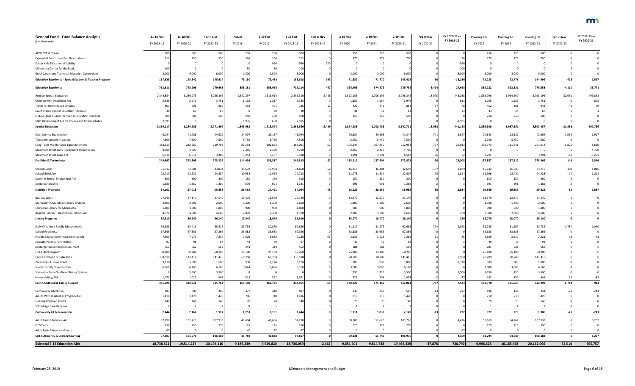m

| General Fund - Fund Balance Analysis                                           | 11-18 Fcst        | 11-18 Fcst       | 11-18 Fcst        | Actual        | 2-19 Fcst     | 2-19 Fcst       | Feb vs Nov | 2-19 Fcst          | 2-19 Fcst          | 2-19 Fcst        | Feb vs Nov | FY 2020-21 vs | <b>Planning Est</b> | <b>Planning Est</b>   | <b>Planning Est</b> | Feb vs Nov      | FY 2022-23 vs           |
|--------------------------------------------------------------------------------|-------------------|------------------|-------------------|---------------|---------------|-----------------|------------|--------------------|--------------------|------------------|------------|---------------|---------------------|-----------------------|---------------------|-----------------|-------------------------|
| (\$ in Thousands)                                                              | FY 2018-19        | FY 2020-21       | FY 2022-23        | FY 2018       | FY 2019       | FY 2018-19      | FY 2018-19 | FY 2020            | FY 2021            | FY 2020-21       | FY 2020-21 | FY 2018-19    | FY 2022             | FY 2023               | FY 2022-23          | FY 2022-23      | FY 2020-21              |
|                                                                                |                   |                  |                   |               |               |                 |            |                    |                    |                  |            |               |                     |                       |                     |                 |                         |
| AP/IB STEM Grants                                                              | 500               | 500              | 500               | 250           | 250           | 500             |            | 250                | 250                | 500              |            |               | 250                 | 250                   | 500                 |                 | $\overline{\mathbf{0}}$ |
| <b>Expanded Concurrent Enrollment Grants</b>                                   | 712               | 750              | 750               | 356           | 356           | 712             |            | 375                | 375                | 750              |            |               | 375                 | 375                   | 75                  |                 |                         |
| Foster Kids Educational Stability                                              |                   |                  |                   |               | 950           | 95              |            |                    | $^{\circ}$         |                  |            | $-95$         |                     | $\mathbf 0$           |                     |                 |                         |
| Minnesota Center for the Book                                                  | 100               |                  |                   | 50            | 50            | 10              |            |                    | $\Omega$           |                  |            | $-100$        | $\Omega$            | $^{\circ}$            |                     |                 |                         |
| Rural Career and Technical Education Consortium                                | 3,000             | 6,000            | 6,000             | 1.500         | 1.500         | 3,000           |            | 3.000              | 3,000              | 6.000            |            | 3.00          | 3,000               | 3,000                 | 6,000               |                 | $\Omega$                |
| <b>Education Excellence - Special Student &amp; Teacher Program</b>            | 157,825           | 143,342          | 145,414           | 79,130        | 79,488        | 158,618         | 793        | 71,632             | 71,770             | 143,402          | 60         | $-15,210$     | 72,223              | 72,776                | 144,999             | $-415$          | 1,597                   |
| <b>Education Excellence</b>                                                    | 712,611           | 743,206          | 779,663           | 353,181       | 358,933       | 712,114         | $-497$     | 365,403            | 374,379            | 739,782          | $-3,424$   | 27,668        | 383,222             | 392,331               | 775,553             | $-4,110$        | 35,771                  |
| <b>Regular Special Education</b>                                               | 2,849,854         | 3,280,273        | 3,766,165         | 1,342,297     | 1,513,013     | 2,855,31        | 5,456      | 1,592,153          | 1,706,195          | 3,298,348        | 18,075     | 443,038       | 1,833,796           | 1,964,400             | 3,798,196           | 32,031          | 499,848                 |
| Children with Disabilities Aid                                                 | 2,335             | 2,946            | 3,75              | 1,118         | 1,217         | 2,33!           |            | 1,382              | 1,564              | 2,94             |            | 61            | 1,765               | 1,986                 | 3,751               |                 | 805                     |
| Travel for Home Based Services                                                 | 803               | 901              | 98                | 382           | 404           | 786             |            | 422                | 442                | 864              | $-37$      |               | 462                 | 481                   | 94                  |                 | 79                      |
| Court Placed Special Education Revenue                                         |                   |                  |                   |               | 30            |                 |            | 31                 | 32                 |                  |            |               | 33                  | 34                    |                     |                 |                         |
| Out-of-State Tuition for Special Education Students                            | 500               | 500              | 500               | 250           | 250           | 50              |            | 250                | 250                | 500              |            |               | 250                 | 250                   | 50                  |                 |                         |
| Staff Development Aid for Co-ops and Intermediates                             | 2,595             |                  |                   | 1,935         | 660           | 2,59            |            |                    | $\Omega$           |                  |            | $-2,595$      | $\Omega$            | $\Omega$              |                     |                 |                         |
| <b>Special Education</b>                                                       | 2,856,117         | 3,284,683        | 3,771,469         | 1,345,982     | 1,515,574     | 2,861,556       | 5,439      | 1,594,238          | 1,708,483          | 3,302,721        | 18,038     | 441,165       | 1,836,306           | 1,967,151             | 3,803,457           | 31,988          | 500,736                 |
| Debt Service Equalization                                                      | 48,044            | 41,788           | 44,629            | 24,907        | 23,137        | 48,04           |            | 20,684             | 20,363             | 41,04            | $-741$     | $-6,99$       | 20,843              | 22,121                | 42,964              | $-1,665$        | 1,917                   |
| <b>Telecommunications Access</b>                                               | 7,500             | 7,500            | 7,500             | 3,750         | 3,750         | 7,500           |            | 3,750              | 3,750              | 7,500            |            |               | 3,750               | 3,750                 | 7,500               |                 |                         |
| Long-Term Maintenance Equalization Aid                                         | 183,113           | 212,287          | 219,788           | 80,238        | 102,823       | 183,06:         |            | 105,144            | 107,850            | 212,994          | 707        | 29,93         | 109,973             | 111,641               | 221,614             | 1,82            | 8,620                   |
| Maximum Effort Early Repayment Incentive Aid                                   | 4,700             | 4,700            |                   | 2,350         | 2,350         | 4,700           |            | 2,350              | 2,350              | 4,700            |            |               | $\overline{0}$      | $\mathbf 0$           |                     |                 | $-4,700$                |
| Maximum Effort Loan Aid                                                        | 6,510             | 6,618            | 3,309             | 3,253         | 3,257         | 6,51            |            | 3,291              | 3,291              | 6,582            | $-36$      |               | 3,291               | $\overline{0}$        | 3,291               |                 | $-3,291$                |
| <b>Facilities &amp; Technology</b>                                             | 249,867           | 272,893          | 275,226           | 114,498       | 135,317       | 249,815         | $-52$      | 135,219            | 137,604            | 272,823          | $-70$      | 23,008        | 137,857             | 137,512               | 275,369             | 14 <sup>3</sup> | 2,546                   |
|                                                                                |                   |                  |                   |               |               |                 |            |                    |                    |                  |            |               |                     |                       |                     |                 |                         |
| School Lunch                                                                   | 31,712            | 32,806           | 33,824            | 15,670        | 15,990        | 31,660          | $-52$      | 16,215             | 16,484             | 32,699           | $-107$     | 1,039         | 16,732              | 16,983                | 33,715              | $-10$           | 1,016                   |
| School Breakfast                                                               | 20,710            | 22,532           | 24,35             | 10,053        | 10,660        | 20,71           |            | 11,073             | 11,534             | 22,60            |            | 1,89          | 11,996              | 12,432                | 24,428              |                 | 1,821                   |
| Summer School Service Repl Aid                                                 | 300               | 300              | 300               | 150           | 150           | 300             |            | 150                | 150                | 300              |            |               | 150                 | 150                   | 300                 |                 | $\mathbf 0$             |
| Kindergarten Milk                                                              | 1,380             | 1,380            | 1,380             | 690           | 691           | 1,381           |            | 691                | 691                | 1,382            |            |               | 691                 | 691                   | 1,382               |                 | $\Omega$                |
| <b>Nutrition Programs</b>                                                      | 54,102            | 57,018           | 59,858            | 26,563        | 27,491        | 54,054          | $-48$      | 28,129             | 28,859             | 56,988           | $-30$      | 2,934         | 29,569              | 30,256                | 59,825              |                 | 2,837                   |
| <b>Basic Support</b>                                                           | 27,140            | 27,140           | 27,140            | 13,570        | 13,570        | 27,140          |            | 13,570             | 13,570             | 27,140           |            |               | 13,570              | 13,570                | 27,140              |                 |                         |
| Multicounty, Multitype Library Systems                                         | 2,600             | 2,600            | 2,600             | 1,300         | 1,300         | 2,600           |            | 1,300              | 1,300              | 2,600            |            |               | 1,300               | 1,300                 | 2,600               |                 |                         |
| Electronic Library for Minnesota                                               | 1,800             | 1,800            | 1,800             | 900           | 900           | 1,800           |            | 900                | 900                | 1,800            |            |               | 900                 | 900                   | 1,800               |                 |                         |
| Regional Library Telecommunications Aid                                        | 4,370             | 4,600            | 4,600             | 2,070         | 2,300         | 4,370           |            | 2,300              | 2,300              | 4,600            |            | 230           | 2,300               | 2,300                 | 4,600               |                 | $\overline{0}$          |
| <b>Library Programs</b>                                                        | 35,910            | 36,140           | 36,140            | 17,840        | 18,070        | 35,910          |            | 18,070             | 18,070             | 36,140           |            | 230           | 18,070              | 18,070                | 36,140              |                 | $\mathbf{0}$            |
|                                                                                |                   |                  |                   |               |               |                 |            |                    |                    |                  |            |               |                     |                       |                     |                 |                         |
| Early Childhood Family Education Aid                                           | 60,629            | 63,416           | 65,516            | 29,759        | 30,870        | 60,62           |            | 31,217             | 31,475             | 62,692           | $-724$     | 2,063         | 31,735              | 31,997                | 63,732              | $-1,784$        | 1,040                   |
| <b>School Readiness</b>                                                        | 67,366            | 67,366           | 67,366            | 33,683        | 33,683        | 67,36           |            | 33,683             | 33,683             | 67,366           |            |               | 33,683              | 33,683                | 67,366              |                 |                         |
| Health & Developmental Screening Aid                                           | 7,303             | 7,275            | 7,234             | 3,606         | 3,632         | 7,23            |            | 3,639              | 3,625              | 7,264            | $-11$      |               | 3,609               | 3,612                 | 7,221               |                 | $-43$                   |
| <b>Educate Parents Partnership</b>                                             | q.                |                  |                   | 48            | 49            | 9               |            | 49                 | 49                 | 98               |            |               | 49                  | 49                    |                     |                 |                         |
| Kindergarten Entrance Assessment                                               | 562               | 562              | 562               | 243<br>25,100 | 319<br>25,100 | 562             |            | 281                | 281<br>25,100      | 562              |            |               | 281<br>25,100       | 281<br>25,100         | 562                 |                 |                         |
| <b>Head Start Program</b>                                                      | 50,200<br>138,518 | 50,200           | 50,200<br>141,418 | 69,258        | 69,260        | 50,20<br>138,51 |            | 25,100<br>70,709   | 70,709             | 50,200           |            | 2.900         | 70,709              | 70,709                | 50,200<br>141,418   |                 |                         |
| Early Childhood Scholarships<br>Parent Child Home Grant                        | 3,120             | 141,418<br>1,800 | 1,800             | 900           | 2,220         | 3,12            |            | 900                | 900                | 141,418<br>1,800 |            | $-1,320$      | 900                 | 900                   | 1,800               |                 |                         |
|                                                                                |                   | 6,160            | 6,160             | 3,074         | 3,086         | 6,160           |            | 3,080              | 3,080              |                  |            |               | 3,080               |                       | 6,160               |                 |                         |
| <b>Special Family Opportunities</b><br>Statewide Early Childhood Rating System | 6,160             | 3,500            | 3,500             | $\Omega$      | $^{\circ}$    |                 |            | 1,750              | 1,750              | 6,160<br>3,500   |            | 3,500         | 1,750               | 3,080<br>1,750        | 3,500               |                 | $\mathbf 0$             |
| Home Visiting Aid                                                              | 1.07              | 1,026            | 908               | 519           | 552           | 1,071           |            | 521                | 503                | 1,024            |            |               | 482                 | 459                   | 94'                 |                 | $-83$                   |
| Early Childhood & Family Support                                               | 335,026           | 342,821          | 344,762           | 166,190       | 168,771       | 334,961         | $-65$      | 170,929            | 171,155            | 342,084          | $-737$     | 7,123         | 171,378             | 171,620               | 342,998             | $-1,764$        | 914                     |
| <b>Community Education</b>                                                     | 887               | 600              | 365               | 477           | 410           | 88              |            | 330                | 257                | 587              | $-13$      | 222           | 196                 | 148                   | 34                  |                 | $-243$                  |
| Adults With Disabilities Program Aid                                           | 1,416             | 1,420            | 1,420             | 706           | 710           | 1,41            |            | 710                | 710                | 1.420            |            |               | 710                 | 710                   | 1,420               |                 |                         |
| <b>Hearing Impaired Adults</b>                                                 | 140               | 140              | 140               | 70            | 70            | 140             |            | 70                 | 70                 | 140              |            |               | 70                  | 70                    | 140                 |                 | $\overline{0}$          |
| School Age Care Revenue                                                        |                   |                  |                   |               |               |                 |            |                    | $\overline{1}$     |                  |            |               |                     | $\mathbf{1}$          |                     |                 | $\Omega$                |
| <b>Community Ed &amp; Prevention</b>                                           | 2,444             | 2,162            | 1,927             | 1,253         | 1,191         | 2,444           |            | 1,111              | 1,038              | 2,149            | $-13$      | 222           | 977                 | 929                   | 1,906               | $-21$           | $-243$                  |
|                                                                                |                   |                  |                   |               |               |                 |            |                    |                    |                  |            |               |                     |                       |                     |                 |                         |
| <b>Adult Basic Education Aid</b>                                               | 97,290            | 101,726          | 107,933           | 48,604        | 48,686        | 97,290          |            | 50,106             | 51,620             | 101,726          |            | 4,436         | 53,169              | 54,764                | 107,933             |                 | 6,207                   |
| <b>GED Tests</b>                                                               | 250               | 250              | 25                | 125           | 125           | 25              |            | 125                | 125                | 250              |            |               | 125                 | 125                   | 250                 |                 |                         |
| <b>Adult Basic Education Grants</b><br>Self-Sufficiency & Lifelong Learning    | 6<br>97,607       | 101,976          | 108,183           | 40<br>48,769  | 27<br>48,838  | 97,607          |            | $\Omega$<br>50,231 | $\Omega$<br>51,745 | 101,97           |            | 4,369         | $\Omega$<br>53,294  | $\mathbf 0$<br>54,889 | 108,183             |                 | $\Omega$<br>6,207       |
| <b>Subtotal E-12 Education Aids</b>                                            | 18,738,521        | 19,514,217       | 20,194,110        | 9,186,239     | 9,549,820     | 18,736,059      | $-2,462$   | 9,651,601          | 9,814,738          | 19,466,339       | $-47,878$  | 730,797       | 9,996,628           | 10,165,468            | 20,162,096          | $-32,014$       | 695,757                 |
|                                                                                |                   |                  |                   |               |               |                 |            |                    |                    |                  |            |               |                     |                       |                     |                 |                         |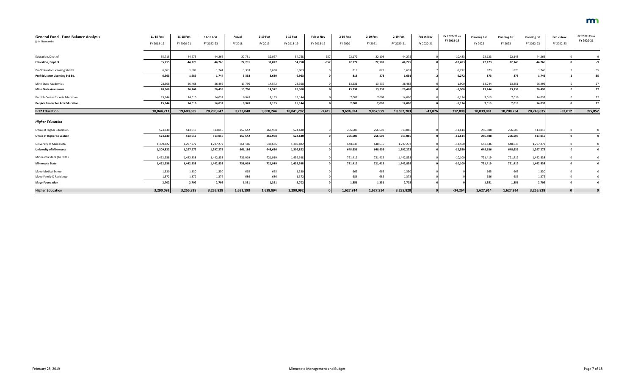| General Fund - Fund Balance Analysis<br>(\$ in Thousands) | 11-18 Fcst | 11-18 Fcst | 11-18 Fcst | Actual    | 2-19 Fcst | 2-19 Fcst  | Feb vs Nov | 2-19 Fcst | 2-19 Fcst | 2-19 Fcst  | Feb vs Nov | FY 2020-21 vs<br>FY 2018-19 | <b>Planning Est</b> | <b>Planning Est</b> | <b>Planning Est</b> | Feb vs Nov | FY 2022-23 vs<br>FY 2020-21 |
|-----------------------------------------------------------|------------|------------|------------|-----------|-----------|------------|------------|-----------|-----------|------------|------------|-----------------------------|---------------------|---------------------|---------------------|------------|-----------------------------|
|                                                           | FY 2018-19 | FY 2020-21 | FY 2022-23 | FY 2018   | FY 2019   | FY 2018-19 | FY 2018-19 | FY 2020   | FY 2021   | FY 2020-21 | FY 2020-21 |                             | FY 2022             | FY 2023             | FY 2022-23          | FY 2022-23 |                             |
| Education, Dept of                                        | 55,715     | 44,275     | 44,266     | 22,731    | 32,027    | 54,758     | $-957$     | 22,172    | 22,103    | 44,275     |            | $-10,483$                   | 22,123              | 22,143              | 44,266              |            |                             |
| <b>Education, Dept of</b>                                 | 55,715     | 44,275     | 44,266     | 22,731    | 32,027    | 54,758     | $-957$     | 22,172    | 22,103    | 44,275     |            | $-10,483$                   | 22,123              | 22,143              | 44,266              |            | -9                          |
| Prof Educator Licensing Std Bd.                           | 6,963      | 1,689      | 1,744      | 3,333     | 3,630     | 6,963      |            | 818       | 873       | 1,691      |            | $-5,272$                    | 873                 | 873                 | 1,746               |            | 55                          |
| Prof Educator Licensing Std Bd.                           | 6,963      | 1,689      | 1.744      | 3,333     | 3,630     | 6,963      |            | 818       | 873       | 1.691      |            | $-5,272$                    | 873                 | 873                 | 1.746               |            | 55                          |
| Minn State Academies                                      | 28,368     | 26,468     | 26,495     | 13,796    | 14,572    | 28,368     |            | 13,231    | 13,237    | 26,468     |            | $-1,900$                    | 13,244              | 13,251              | 26,495              |            | 27                          |
| <b>Minn State Academies</b>                               | 28,368     | 26,468     | 26,495     | 13,796    | 14,572    | 28,368     |            | 13,231    | 13,237    | 26,468     |            | $-1,900$                    | 13,244              | 13,251              | 26,495              |            | 27                          |
| Perpich Center for Arts Education                         | 15,144     | 14,010     | 14,032     | 6,949     | 8,195     | 15,144     |            | 7,002     | 7,008     | 14,010     |            | $-1,134$                    | 7,013               | 7,019               | 14,032              |            | 22                          |
| <b>Perpich Center for Arts Education</b>                  | 15,144     | 14,010     | 14,032     | 6,949     | 8,195     | 15,144     |            | 7,002     | 7,008     | 14,010     |            | $-1,134$                    | 7,013               | 7,019               | 14,032              |            | 22                          |
| <b>E-12 Education</b>                                     | 18,844,711 | 19,600,659 | 20,280,647 | 9,233,048 | 9,608,244 | 18,841,292 | $-3,419$   | 9,694,824 | 9,857,959 | 19,552,783 | $-47,876$  | 712,008                     | 10,039,881          | 10,208,754          | 20,248,635          | $-32,012$  | 695,852                     |
|                                                           |            |            |            |           |           |            |            |           |           |            |            |                             |                     |                     |                     |            |                             |
| <b>Higher Education</b>                                   |            |            |            |           |           |            |            |           |           |            |            |                             |                     |                     |                     |            |                             |
| Office of Higher Education                                | 524,630    | 513,016    | 513,016    | 257,642   | 266.988   | 524,630    |            | 256,508   | 256,508   | 513,016    |            | $-11,614$                   | 256,508             | 256,508             | 513,016             |            |                             |
| <b>Office of Higher Education</b>                         | 524,630    | 513,016    | 513,016    | 257,642   | 266,988   | 524,630    |            | 256,508   | 256,508   | 513,016    |            | $-11,614$                   | 256,508             | 256,508             | 513,016             |            |                             |
| University of Minnesota                                   | 1,309,822  | 1,297,272  | 1,297,272  | 661,186   | 648.636   | 1,309,822  |            | 648.636   | 648,636   | 1,297,272  |            | $-12,550$                   | 648,636             | 648,636             | 1,297,272           |            |                             |
| <b>University of Minnesota</b>                            | 1,309,822  | 1,297,272  | 1,297,272  | 661,186   | 648,636   | 1,309,822  |            | 648,636   | 648,636   | 1,297,272  |            | $-12,550$                   | 648,636             | 648,636             | 1,297,272           |            |                             |
| Minnesota State (TR OUT)                                  | 1,452,938  | 1,442,838  | 1,442,838  | 731,019   | 721,919   | 1,452,938  |            | 721,419   | 721,419   | 1,442,838  |            | $-10,100$                   | 721,419             | 721,419             | 1,442,838           |            |                             |
| <b>Minnesota State</b>                                    | 1,452,938  | 1,442,838  | 1,442,838  | 731,019   | 721,919   | 1,452,938  |            | 721,419   | 721,419   | 1,442,838  |            | $-10,100$                   | 721,419             | 721,419             | 1,442,838           |            |                             |
| Mayo Medical School                                       | 1,330      | 1,330      | 1,330      | 665       | 665       | 1,330      |            | 665       | 665       | 1,330      |            |                             | 665                 | 665                 | 1,330               |            |                             |
| Mayo Family & Residency                                   | 1,372      | 1,372      | 1,372      | 686       | 686       | 1,372      |            | 686       | 686       | 1,372      |            |                             | 686                 | 686                 | 1,372               |            |                             |
| <b>Mayo Foundation</b>                                    | 2,702      | 2,702      | 2,702      | 1,351     | 1,351     | 2,702      |            | 1,351     | 1,351     | 2,702      |            |                             | 1,351               | 1,351               | 2,702               |            |                             |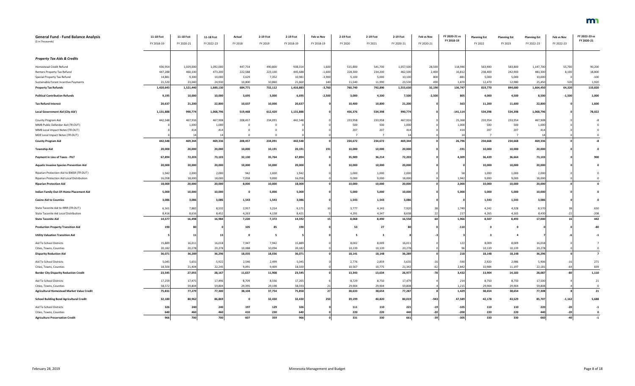| General Fund - Fund Balance Analysis              | 11-18 Fcst | 11-18 Fcst | 11-18 Fcst | Actual       | 2-19 Fcst  | 2-19 Fcst  | Feb vs Nov     | 2-19 Fcst | 2-19 Fcst | 2-19 Fcst  | <b>Feb vs Nov</b> | FY 2020-21 vs | <b>Planning Est</b>     | <b>Planning Est</b> | <b>Planning Est</b> | Feb vs Nov | FY 2022-23 vs  |
|---------------------------------------------------|------------|------------|------------|--------------|------------|------------|----------------|-----------|-----------|------------|-------------------|---------------|-------------------------|---------------------|---------------------|------------|----------------|
| (\$ in Thousands)                                 | FY 2018-19 | FY 2020-21 | FY 2022-23 | FY 2018      | FY 2019    | FY 2018-19 | FY 2018-19     | FY 2020   | FY 2021   | FY 2020-21 | FY 2020-21        | FY 2018-19    | FY 2022                 | FY 2023             | FY 2022-23          | FY 2022-23 | FY 2020-21     |
| <b>Property Tax Aids &amp; Credits</b>            |            |            |            |              |            |            |                |           |           |            |                   |               |                         |                     |                     |            |                |
| Homestead Credit Refund                           | 936,95     | 1,029,000  | 1,092,000  | 447,754      | 490,800    | 938,55     | 1,600          | 515,800   | 541,700   | 1,057,500  | 28,500            | 118,946       | 563,900                 | 583,800             | 1,147,700           | 55,700     | 90,200         |
| Renters Property Tax Refund                       | 447,288    | 460,100    | 473,200    | 222,588      | 223,100    | 445,688    | $-1,600$       | 228,300   | 234,200   | 462,500    | 2,400             | 16,812        | 238,400                 | 242,900             | 481,300             | 8,100      | 18,800         |
| Special Property Tax Refund                       | 14,881     | 9,300      | 10,000     | 3,629        | 7,352      | 10,981     | $-3,900$       | 5,100     | 5,000     | 10,100     | 800               | $-881$        | 5,000                   | 5,000               | 10,000              |            | $-100$         |
| Sustainable Forest Incentive Payments             | 21,52      | 23,040     | 24,930     | 10,800       | 10,860     | 21,66      | 140            | 11,540    | 11,990    | 23,530     | 490               | 1,870         | 12,470                  | 12,980              | 25,450              | 520        | 1,920          |
| <b>Property Tax Refunds</b>                       | 1,420,643  | 1,521,440  | 1,600,130  | 684,771      | 732,112    | 1,416,883  | $-3,760$       | 760,740   | 792,890   | 1,553,630  | 32,190            | 136,747       | 819,770                 | 844,680             | 1,664,450           | 64,320     | 110,820        |
| <b>Political Contribution Refunds</b>             | 9,195      | 10,000     | 10,000     | 3,695        | 3,000      | 6,695      | $-2,500$       | 3,000     | 4,500     | 7,500      | $-2,500$          | 805           | 4,000                   | 4,500               | 8,500               | $-1,500$   | 1,000          |
| <b>Tax Refund Interest</b>                        | 20,637     | 21,200     | 22,800     | 10,637       | 10,000     | 20,637     |                | 10,400    | 10,800    | 21,200     |                   | 563           | 11,200                  | 11,600              | 22,800              |            | 1,600          |
| Local Government Aid (City Aid)                   | 1,131,888  | 990,774    | 1,068,796  | 519,468      | 612,420    | 1,131,888  |                | 456,376   | 534,398   | 990,774    |                   | $-141, 114$   | 534,398                 | 534,398             | 1,068,796           |            | 78,022         |
| County Program Aid                                | 442,548    | 467,916    | 467,908    | 208,457      | 234,091    | 442,548    |                | 233,958   | 233,958   | 467,916    |                   | 25,368        | 233,954                 | 233,954             | 467,908             |            | -8             |
| MMB Public Defender Aid (TR OUT)                  |            | 1,000      | 1,000      | $^{\circ}$   | $\Omega$   |            |                | 500       | 500       | 1,000      |                   | 1,000         | 500                     | 500                 | 1,000               |            | $\Omega$       |
| MMB Local Impact Notes (TR OUT)                   |            | 414        | 414        | $^{\circ}$   | $^{\circ}$ |            |                | 207       | 207       | 414        |                   | 414           | 207                     | 207                 | 414                 |            | $\Omega$       |
| MDE Local Impact Notes (TR OUT)                   |            |            | 14         | $\Omega$     | $\Omega$   |            |                |           |           |            |                   | 14            |                         |                     | 14                  |            |                |
| <b>County Program Aid</b>                         | 442,548    | 469,344    | 469,336    | 208,457      | 234,091    | 442,548    |                | 234,672   | 234,672   | 469,344    |                   | 26,796        | 234,668                 | 234,668             | 469,336             |            | $-8$           |
| Township Aid                                      | 20,000     | 20,000     | 20,000     | 10,000       | 10,191     | 20,191     | 191            | 10,000    | 10,000    | 20,000     |                   | $-191$        | 10,000                  | 10,000              | 20,000              |            |                |
| Payment in Lieu of Taxes - PILT                   | 67,894     | 72,203     | 73,103     | 32,130       | 35,764     | 67,894     |                | 35,989    | 36,214    | 72,203     |                   | 4,309         | 36,439                  | 36,664              | 73,103              |            | 900            |
| <b>Aquatic Invasive Species Prevention Aid</b>    | 20,000     | 20,000     | 20,000     | 10,000       | 10,000     | 20,000     |                | 10,000    | 10,000    | 20,000     |                   | $\mathbf{0}$  | 10,000                  | 10,000              | 20,000              |            |                |
| Riparian Protection Aid to BWSR (TR OUT)          | 1,942      | 2,000      | 2,000      | 942          | 1,000      | 1,942      |                | 1,000     | 1,000     | 2,000      |                   | 58            | 1,000                   | 1,000               | 2,000               |            |                |
| Riparian Protection Aid Local Distribution        | 16,058     | 18,000     | 18,000     | 7,058        | 9,000      | 16,058     |                | 9,000     | 9,000     | 18,000     |                   | 1,942         | 9,000                   | 9,000               | 18,000              |            | $\Omega$       |
| <b>Riparian Protection Aid</b>                    | 18,000     | 20,000     | 20,000     | 8,000        | 10,000     | 18,000     |                | 10,000    | 10,000    | 20,000     |                   | 2,000         | 10,000                  | 10,000              | 20,000              |            | $\mathbf{0}$   |
| Indian Family Out-Of-Home Placement Aid           | 5,000      | 10,000     | 10,000     | $\mathbf 0$  | 5,000      | 5,000      |                | 5,000     | 5,000     | 10,000     |                   | 5,000         | 5,000                   | 5,000               | 10,000              |            | $\Omega$       |
| <b>Casino Aid to Counties</b>                     | 3,086      | 3,086      | 3,086      | 1,543        | 1,543      | 3,086      |                | 1,543     | 1,543     | 3,086      |                   |               | 1,543                   | 1,543               | 3,086               |            | $\Omega$       |
| State Taconite Aid to IRRR (TR OUT)               | 6,161      | 7,882      | 8,532      | 2,957        | 3,214      | 6,171      | 10             | 3,777     | 4,143     | 7,920      |                   | 1,749         | 4,242                   | 4,328               | 8,570               | 38         | 650            |
| State Taconite Aid Local Distribution             | 8,41       | 8,616      | 8,452      | 4,263        | 4,158      | 8,421      |                | 4,291     | 4,347     | 8,638      |                   | 217           | 4,265                   | 4,165               | 8,430               | $-22$      | $-208$         |
| <b>State Taconite Aid</b>                         | 14,577     | 16,498     | 16,984     | 7,220        | 7,372      | 14,592     | 15             | 8,068     | 8,490     | 16,558     | 60                | 1,966         | 8,507                   | 8,493               | 17,000              | 16         | 442            |
| <b>Production Property Transition Aid</b>         | 190        | 80         |            | 105          | 85         | 190        |                | 53        | 27        | 80         |                   | $-110$        | $\Omega$                | $\mathbf{0}$        |                     |            | -80            |
| <b>Utility Valuation Transition Aid</b>           |            | 11         | 13         | $\mathbf 0$  | 5          |            |                | 5         | 3         |            |                   |               | $\overline{\mathbf{3}}$ | $\overline{a}$      |                     |            | $-1$           |
| Aid To School Districts                           | 15,889     | 16,011     | 16,018     | 7,947        | 7,942      | 15,889     |                | 8,002     | 8,009     | 16,011     |                   | 122           | 8,009                   | 8,009               | 16,018              |            | $7^{\circ}$    |
| Cities, Towns, Counties                           | 20,182     | 20,278     | 20,278     | 10,088       | 10,094     | 20,182     |                | 10,139    | 10,139    | 20,278     |                   | 96            | 10,139                  | 10,139              | 20,278              |            | $\Omega$       |
| <b>Disparity Reduction Aid</b>                    | 36,071     | 36,289     | 36,296     | 18,035       | 18,036     | 36,071     |                | 18,141    | 18,148    | 36,289     |                   | 218           | 18,148                  | 18,148              | 36,296              |            | $\overline{7}$ |
| Aid To School Districts                           | 5,045      | 5,651      | 5,922      | 2,546        | 2,499      | 5,045      |                | 2,776     | 2,859     | 5,635      |                   | 590           | 2,920                   | 2,986               | 5,906               | $-16$      | 271            |
| Cities, Towns, Counties                           | 18,500     | 21,404     | 22,245     | 9,091        | 9,409      | 18,500     |                | 10,567    | 10,775    | 21,342     |                   | 2,842         | 10,984                  | 11,197              | 22,181              |            | 839            |
| <b>Border City Disparity Reduction Credit</b>     | 23,545     | 27,055     | 28,167     | 11,637       | 11,908     | 23,545     |                | 13,343    | 13,634    | 26,977     | $-78$             | 3,432         | 13,904                  | 14,183              | 28,087              | -80        | 1,110          |
| Aid To School Districts                           | 17,259     | 17,475     | 17,496     | 8,709        | 8,556      | 17,265     |                | 8,729     | 8,750     | 17,479     |                   | 214           | 8,750                   | 8,750               | 17,500              |            | 21             |
| Cities, Towns, Counties                           | 58,572     | 59,804     | 59,804     | 29,395       | 29,198     | 58,593     | $\overline{2}$ | 29,904    | 29,904    | 59,808     |                   | 1,215         | 29,904                  | 29,904              | 59,808              |            | $\Omega$       |
| <b>Agricultural Homestead Market Value Credit</b> | 75,831     | 77,279     | 77,300     | 38,104       | 37,754     | 75,858     | 27             | 38,633    | 38,654    | 77,287     |                   | 1,429         | 38,654                  | 38,654              | 77,308              |            | 21             |
| <b>School Building Bond Agricultural Credit</b>   | 32,180     | 80,962     | 86,869     | $\mathbf{0}$ | 32,430     | 32,430     | 250            | 39,199    | 40,820    | 80,019     | $-943$            | 47,589        | 42,178                  | 43,529              | 85,707              | $-1,162$   | 5,688          |
| Aid To School Districts                           | 326        | 240        | 240        | 197          | 129        | 326        |                | 111       | 110       | 221        | $-19$             | $-105$        | 110                     | 110                 | 220                 | $-20$      | $-1$           |
| Cities, Towns, Counties                           | 640        | 460        | 460        | 410          | 230        | 640        |                | 220       | 220       | 440        | $-20$             | $-200$        | 220                     | 220                 | 440                 | $-20$      | $\mathbf{a}$   |
| <b>Agriculture Preservation Credit</b>            | 966        | 700        | 700        | 607          | 359        | 966        |                | 331       | 330       | 661        | $-39$             | $-305$        | 330                     | 330                 | 660                 | $-40$      | $-1$           |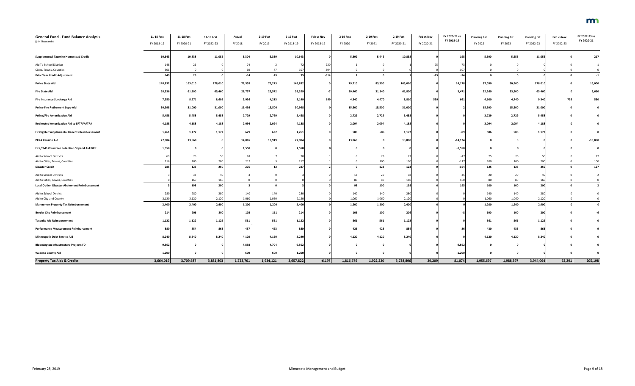| General Fund - Fund Balance Analysis<br>(\$ in Thousands) | 11-18 Fcst<br>FY 2018-19 | 11-18 Fcst<br>FY 2020-21 | 11-18 Fcst<br>FY 2022-23 | Actual<br>FY 2018       | 2-19 Fcst<br>FY 2019 | 2-19 Fcst<br>FY 2018-19 | Feb vs Nov<br>FY 2018-19 | 2-19 Fcst<br>FY 2020 | 2-19 Fcst<br>FY 2021 | 2-19 Fcst<br>FY 2020-21 | Feb vs Nov<br>FY 2020-21 | FY 2020-21 vs<br>FY 2018-19 | <b>Planning Est</b><br>FY 2022 | <b>Planning Est</b><br>FY 2023 | <b>Planning Est</b><br>FY 2022-23 | Feb vs Nov<br>FY 2022-23 | FY 2022-23 vs<br>FY 2020-21 |
|-----------------------------------------------------------|--------------------------|--------------------------|--------------------------|-------------------------|----------------------|-------------------------|--------------------------|----------------------|----------------------|-------------------------|--------------------------|-----------------------------|--------------------------------|--------------------------------|-----------------------------------|--------------------------|-----------------------------|
|                                                           |                          |                          |                          |                         |                      |                         |                          |                      |                      |                         |                          |                             |                                |                                |                                   |                          |                             |
| <b>Supplemental Taconite Homestead Credit</b>             | 10,643                   | 10,838                   | 11,055                   | 5,304                   | 5,339                | 10,643                  |                          | 5,392                | 5,446                | 10,838                  |                          | 195                         | 5,500                          | 5,555                          | 11,055                            |                          | 217                         |
| Aid To School Districts                                   | 148                      | 26                       |                          | $-74$                   | $\overline{2}$       | $-72$                   | $-220$                   | 1                    | $\mathbf 0$          |                         | $-25$                    | 73                          | $\mathbf 0$                    | $^{\circ}$                     |                                   |                          | $-1$                        |
| Cities, Towns, Counties                                   | 501                      |                          |                          | 60                      | 47                   | 107                     | $-394$                   | $^{\circ}$           | $\mathbf{0}$         |                         |                          | $-107$                      | $\mathbf{0}$                   | $\Omega$                       |                                   |                          | $\Omega$                    |
| <b>Prior Year Credit Adjustment</b>                       | 649                      | 26                       |                          | $-14$                   | 49                   | 35                      | $-614$                   | $\mathbf{1}$         | $\mathbf{0}$         |                         | $-25$                    | $-34$                       | $\mathbf{0}$                   | $\mathbf{0}$                   |                                   |                          | $-1$                        |
| <b>Police State Aid</b>                                   | 148,832                  | 163,010                  | 178,010                  | 72,559                  | 76,273               | 148,832                 |                          | 79,710               | 83,300               | 163,010                 |                          | 14,178                      | 87,050                         | 90,960                         | 178,010                           |                          | 15,000                      |
| <b>Fire State Aid</b>                                     | 58,336                   | 61,800                   | 65,460                   | 28,757                  | 29,572               | 58,329                  |                          | 30,460               | 31,340               | 61,800                  |                          | 3,471                       | 32,260                         | 33,200                         | 65,460                            |                          | 3,660                       |
| Fire Insurance Surcharge Aid                              | 7,950                    | 8,271                    | 8,605                    | 3,936                   | 4,213                | 8,149                   | 199                      | 4,340                | 4,470                | 8,810                   | 539                      | 661                         | 4,600                          | 4,740                          | 9,340                             | 735                      | 530                         |
| <b>Police-Fire Retirement Supp Aid</b>                    | 30,998                   | 31,000                   | 31,000                   | 15,498                  | 15,500               | 30,998                  |                          | 15,500               | 15,500               | 31,000                  |                          | $\overline{2}$              | 15,500                         | 15,500                         | 31,000                            |                          |                             |
| <b>Police/Fire Amortization Aid</b>                       | 5,458                    | 5,458                    | 5,458                    | 2,729                   | 2,729                | 5,458                   |                          | 2,729                | 2,729                | 5,458                   |                          |                             | 2,729                          | 2,729                          | 5,458                             |                          |                             |
| Redirected Amortization Aid to SPTRFA/TRA                 | 4,188                    | 4,188                    | 4,188                    | 2,094                   | 2,094                | 4,188                   |                          | 2,094                | 2,094                | 4,188                   |                          |                             | 2,094                          | 2,094                          | 4,188                             |                          |                             |
| <b>Firefighter Supplemental Benefits Reimbursement</b>    | 1,261                    | 1,172                    | 1,172                    | 629                     | 632                  | 1,261                   |                          | 586                  | 586                  | 1,172                   |                          | -89                         | 586                            | 586                            | 1,172                             |                          |                             |
| <b>PERA Pension Aid</b>                                   | 27,984                   | 13,860                   |                          | 14,065                  | 13,919               | 27,984                  |                          | 13,860               | $\mathbf{0}$         | 13,860                  |                          | $-14,124$                   | $\Omega$                       | $\Omega$                       |                                   |                          | $-13,860$                   |
| Fire/EMS Volunteer Retention Stipend Aid Pilot            | 1,558                    |                          |                          | 1,558                   | $\mathbf{0}$         | 1,558                   |                          | $\mathbf{0}$         | $\mathbf{0}$         |                         |                          | $-1,558$                    | $\mathbf{0}$                   | $\Omega$                       |                                   |                          | $\mathbf 0$                 |
| Aid to School Districts                                   |                          |                          | 50                       | 63                      | $\overline{7}$       |                         |                          | $\mathbf{0}$         | 23                   |                         |                          | $-47$                       | 25                             | 25                             |                                   |                          | 27                          |
| Aid to Cities, Towns, Counties                            | 216                      | 100                      | 200                      | 212                     |                      | 217                     |                          | $\mathbf{0}$         | 100                  | 100                     |                          | $-117$                      | 100                            | 100                            | 200                               |                          | 100                         |
| <b>Disaster Credit</b>                                    | 285                      | 123                      | 250                      | 275                     | 12                   | 287                     |                          | $\mathbf{0}$         | 123                  | 123                     |                          | $-164$                      | 125                            | 125                            | 250                               |                          | 127                         |
| Aid to School Districts                                   |                          | 38                       | 40                       | $\mathbf{R}$            | $\mathbf{0}$         |                         |                          | 18                   | 20                   |                         |                          | 35                          | 20                             | 20                             |                                   |                          | $\overline{2}$              |
| Aid to Cities, Towns, Counties                            |                          | 160                      | 160                      | $\overline{0}$          | $\mathbf{0}$         |                         |                          | 80                   | 80                   | 160                     |                          | 160                         | 80                             | 80                             | 160                               |                          | $\mathbf{0}$                |
| <b>Local Option Disaster Abatement Reimbursement</b>      |                          | 198                      | 200                      | $\overline{\mathbf{3}}$ | $\Omega$             |                         |                          | 98                   | 100                  | 198                     |                          | 195                         | 100                            | 100                            | 200                               |                          | $\overline{2}$              |
| Aid to School District                                    | 280                      | 280                      | 280                      | 140                     | 140                  | 280                     |                          | 140                  | 140                  | 280                     |                          |                             | 140                            | 140                            | 280                               |                          | $\Omega$                    |
| Aid to City and County                                    | 2,120                    | 2,120                    | 2,120                    | 1,060                   | 1,060                | 2,120                   |                          | 1,060                | 1,060                | 2,120                   |                          |                             | 1,060                          | 1,060                          | 2,120                             |                          | $\Omega$                    |
| <b>Mahnomen Property Tax Reimbursement</b>                | 2,400                    | 2,400                    | 2,400                    | 1,200                   | 1,200                | 2,400                   |                          | 1,200                | 1,200                | 2,400                   |                          |                             | 1,200                          | 1,200                          | 2,400                             |                          | $\mathbf 0$                 |
| <b>Border City Reimbursement</b>                          | 214                      | 206                      | 200                      | 103                     | 111                  | 214                     |                          | 106                  | 100                  | 206                     |                          |                             | 100                            | 100                            | 200                               |                          | -6                          |
| <b>Taconite Aid Reimbursement</b>                         | 1,122                    | 1,122                    | 1,122                    | 561                     | 561                  | 1,122                   |                          | 561                  | 561                  | 1,122                   |                          |                             | 561                            | 561                            | 1,122                             |                          |                             |
| <b>Performance Measurement Reimbursement</b>              | 880                      | 854                      | 863                      | 457                     | 423                  | 880                     |                          | 426                  | 428                  | 854                     |                          | $-26$                       | 430                            | 433                            | 863                               |                          |                             |
| <b>Minneapolis Debt Service Aid</b>                       | 8,240                    | 8,240                    | 8,240                    | 4,120                   | 4,120                | 8,240                   |                          | 4,120                | 4,120                | 8,240                   |                          |                             | 4,120                          | 4,120                          | 8,240                             |                          |                             |
| <b>Bloomington Infrastructure Projects FD</b>             | 9,562                    |                          |                          | 4,858                   | 4,704                | 9,562                   |                          | $\mathbf{0}$         | $\mathbf{0}$         |                         |                          | $-9,562$                    | 0                              | $\mathbf 0$                    |                                   |                          |                             |
| <b>Wadena County Aid</b>                                  | 1,200                    |                          |                          | 600                     | 600                  | 1,200                   |                          | $\Omega$             | $\Omega$             |                         |                          | $-1,200$                    | $\Omega$                       |                                |                                   |                          |                             |
| <b>Property Tax Aids &amp; Credits</b>                    | 3.664.019                | 3.709.687                | 3,881,803                | 1,723,701               | 1,934,121            | 3,657,822               | $-6,197$                 | 1,816,676            | 1.922.220            | 3.738.896               | 29.209                   | 81,074                      | 1.955.697                      | 1,988,397                      | 3,944,094                         | 62,291                   | 205,198                     |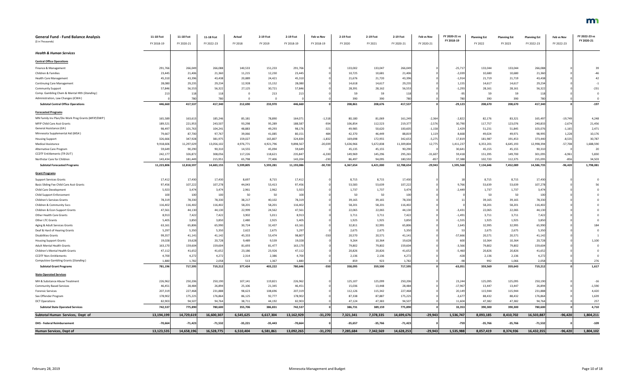| General Fund - Fund Balance Analysis<br>(\$ in Thousands)              | 11-18 Fcst<br>FY 2018-19 | 11-18 Fcst<br>FY 2020-21 | 11-18 Fcst<br>FY 2022-23 | Actual<br>FY 2018 | 2-19 Fcst<br>FY 2019 | 2-19 Fcst<br>FY 2018-19 | Feb vs Nov<br>FY 2018-19 | 2-19 Fcst<br>FY 2020 | 2-19 Fcst<br>FY 2021 | 2-19 Fcst<br>FY 2020-21 | Feb vs Nov<br>FY 2020-21 | FY 2020-21 vs<br>FY 2018-19 | <b>Planning Est</b><br>FY 2022 | <b>Planning Est</b><br>FY 2023 | <b>Planning Est</b><br>FY 2022-23 | <b>Feb vs Nov</b><br>FY 2022-23 | FY 2022-23 vs<br>FY 2020-21 |
|------------------------------------------------------------------------|--------------------------|--------------------------|--------------------------|-------------------|----------------------|-------------------------|--------------------------|----------------------|----------------------|-------------------------|--------------------------|-----------------------------|--------------------------------|--------------------------------|-----------------------------------|---------------------------------|-----------------------------|
| Health & Human Services                                                |                          |                          |                          |                   |                      |                         |                          |                      |                      |                         |                          |                             |                                |                                |                                   |                                 |                             |
| <b>Central Office Operations</b>                                       |                          |                          |                          |                   |                      |                         |                          |                      |                      |                         |                          |                             |                                |                                |                                   |                                 |                             |
| Finance & Management                                                   | 291,76                   | 266,049                  | 266,088                  | 140,533           | 151,233              | 291,766                 |                          | 133,002              | 133,047              | 266,049                 |                          | $-25,717$                   | 133,044                        | 133,044                        | 266,088                           |                                 | 39                          |
| Children & Families                                                    | 23,44                    | 21,406                   | 21,360                   | 11,215            | 12,230               | 23,44                   |                          | 10.725               | 10,681               | 21,406                  |                          | $-2,039$                    | 10,680                         | 10,680                         | 21,360                            |                                 | $-46$                       |
| <b>Health Care Management</b>                                          | 45,31                    | 43,396                   | 43,438                   | 20,889            | 24,421               | 45,31                   |                          | 21,676               | 21,720               | 43,396                  |                          | $-1,914$                    | 21,719                         | 21,719                         | 43,438                            |                                 | 42                          |
| Continuing Care Management                                             | 28,08                    | 29,235                   | 29,234                   | 12,928            | 15,152               | 28,080                  |                          | 14,618               | 14,617               | 29,235                  |                          | 1,155                       | 14,617                         | 14,617                         | 29,234                            |                                 | $-1$                        |
| <b>Community Support</b>                                               | 57,84                    | 56,553                   | 56,322                   | 27,125            | 30,721               | 57,846                  |                          | 28,391               | 28,162               | 56,553                  |                          | $-1,293$                    | 28,161                         | 28,161                         | 56,322                            |                                 | $-231$                      |
| Comp. Gambling Chem & Mental Hlth (Standing)                           | 21                       | 118                      | 118                      | $\overline{0}$    | 213                  | 213                     |                          | 59                   | 59                   | 118                     |                          | $-95$                       | 59                             | 59                             | 118                               |                                 | $\Omega$                    |
| Administration, Law Changes (ICWA)                                     |                          | 780                      | 780                      | $\Omega$          | $\Omega$             |                         |                          | 390                  | 390                  | 780                     |                          | 780                         | 390                            | 390                            | 780                               |                                 | $\Omega$                    |
| <b>Subtotal Central Office Operations</b>                              | 446,660                  | 417,537                  | 417,340                  | 212,690           | 233,970              | 446,660                 |                          | 208,861              | 208,676              | 417,537                 |                          | $-29,123$                   | 208,670                        | 208,670                        | 417,340                           |                                 | $-197$                      |
| <b>Forecasted Programs</b>                                             |                          |                          |                          |                   |                      |                         |                          |                      |                      |                         |                          |                             |                                |                                |                                   |                                 |                             |
| MN Family Inv Plan/Div Work Prog Grants (MFIP/DWP)                     | 165,58                   | 163,613                  | 185,246                  | 85,181            | 78,890               | 164,071                 | $-1,518$                 | 80,180               | 81,069               | 161,249                 | $-2,364$                 | $-2,822$                    | 82,176                         | 83,321                         | 165,497                           | $-19,749$                       | 4,248                       |
| MFIP Child Care Asst Grants                                            | 189,52                   | 221,953                  | 243,507                  | 93,298            | 95,289               | 188,587                 | $-934$                   | 106,854              | 112,523              | 219,37                  | $-2,576$                 | 30,790                      | 117,757                        | 123,076                        | 240,833                           | $-2,674$                        | 21,456                      |
| General Assistance (GA)                                                | 98,49                    | 101,763                  | 104,241                  | 48,883            | 49,293               | 98,17                   | $-321$                   | 49,985               | 50,620               | 100,605                 | $-1,158$                 | 2,429                       | 51,231                         | 51,845                         | 103,076                           | $-1,165$                        | 2,471                       |
| Minnesota Supplemental Aid (MSA)                                       | 79,66                    | 87,700                   | 97,767                   | 39,066            | 41,085               | 80,15                   | 484                      | 42,370               | 46,449               | 88,819                  | 1,11                     | 8,668                       | 49,024                         | 49,971                         | 98,995                            | 1,228                           | 10,176                      |
| <b>Housing Support</b>                                                 | 326,66                   | 347,928                  | 381,975                  | 159,027           | 165,807              | 324,83                  | $-1,832$                 | 169,698              | 172,955              | 342,65                  | $-5,275$                 | 17,819                      | 181,987                        | 191,453                        | 373,44                            | $-8,53$                         | 30,787                      |
| <b>Medical Assistance</b>                                              | 9,918,606                | 11,297,029               | 13,056,102               | 4,976,771         | 4,921,796            | 9,898,567               | $-20,039$                | 5,636,966            | 5,672,838            | 11,309,804              | 12,775                   | 1,411,237                   | 6,353,201                      | 6,645,193                      | 12,998,394                        | $-57,708$                       | 1,688,590                   |
| Alternative Care Program                                               | 59,64                    | 90,290                   | 90,310                   | 14,555            | 45,094               | 59,64                   |                          | 45,135               | 45,155               | 90,290                  |                          | 30,641                      | 45,155                         | 45,155                         | 90,310                            |                                 | 20                          |
| CCDTF Entitlements (TR OUT)                                            | 242,17                   | 326,872                  | 308,056                  | 117,226           | 118,621              | 235,847                 | $-6,330$                 | 149,969              | 145,296              | 295,265                 | $-31,60$                 | 59,418                      | 151,395                        | 149,700                        | 301,095                           | $-6,96$                         | 5,830                       |
| Northstar Care for Children                                            | 143,43                   | 181,449                  | 215,951                  | 65,798            | 77,406               | 143,20                  | $-230$                   | 86,497               | 94,095               | 180,592                 | $-85$                    | 37,388                      | 102,720                        | 112,375                        | 215,095                           | $-85$                           | 34,503                      |
| <b>Subtotal Forecasted Programs</b>                                    | 11,223,806               | 12,818,597               | 14,683,155               | 5,599,805         | 5,593,281            | 11,193,086              | $-30,720$                | 6,367,654            | 6,421,000            | 12,788,654              | $-29,943$                | 1,595,568                   | 7,134,646                      | 7,452,089                      | 14,586,735                        | $-96,420$                       | 1,798,081                   |
| <b>Grant Programs</b>                                                  |                          |                          |                          |                   |                      |                         |                          |                      |                      |                         |                          |                             |                                |                                |                                   |                                 |                             |
| <b>Support Services Grants</b>                                         | 17,41                    | 17,430                   | 17,430                   | 8,697             | 8,715                | 17,41                   |                          | 8,715                | 8,715                | 17,430                  |                          | 18                          | 8,715                          | 8,715                          | 17,430                            |                                 |                             |
| Basic Sliding Fee Child Care Asst Grants                               | 97,456                   | 107,222                  | 107,278                  | 44,043            | 53,413               | 97,456                  |                          | 53,583               | 53,639               | 107,222                 |                          | 9,766                       | 53,639                         | 53,639                         | 107,278                           |                                 | 56                          |
| Child Care Development                                                 | 5,92                     | 3,474                    | 3.474                    | 2,961             | 2,962                | 5,923                   |                          | 1,737                | 1,737                | 3,474                   |                          | $-2,449$                    | 1,737                          | 1,737                          | 3,474                             |                                 |                             |
| Child Support Enforcement                                              | 10                       | 100                      | 10                       | 50                | 50                   | 100                     |                          | 50                   | 50                   | 100                     |                          |                             | 50                             | 50                             | 100                               |                                 |                             |
| Children's Services Grants                                             | 78,31                    | 78,330                   | 78,330                   | 38,217            | 40,102               | 78,31                   |                          | 39,165               | 39,165               | 78,330                  |                          | 11                          | 39,165                         | 39,165                         | 78,330                            |                                 |                             |
| Children & Community Svcs                                              | 116,40                   | 116,402                  | 116,402                  | 58,201            | 58,201               | 116,402                 |                          | 58,201               | 58,201               | 116,402                 |                          |                             | 58,201                         | 58,201                         | 116,402                           |                                 |                             |
| Children & Econ Support Grants                                         | 47,561                   | 44,130                   | 44,130                   | 22,999            | 24,562               | 47,561                  |                          | 22,065               | 22,065               | 44,130                  |                          | $-3,431$                    | 22,065                         | 22,065                         | 44,130                            |                                 |                             |
| Other Health Care Grants                                               | 8,91                     | 7,422                    | 7,422                    | 3,902             | 5,011                | 8,91                    |                          | 3,711                | 3,711                | 7,422                   |                          | $-1,491$                    | 3,711                          | 3,711                          | 7,422                             |                                 |                             |
| Other LTC Grants                                                       | 5,405                    | 3,850                    | 3,850                    | 2.480             | 2,925                | 5,40                    |                          | 1,925                | 1,925                | 3,850                   |                          | $-1,555$                    | 1,925                          | 1,925                          | 3,850                             |                                 |                             |
| Aging & Adult Services Grants                                          | 63,16                    | 65,806                   | 65,990                   | 30,724            | 32,437               | 63,16                   |                          | 32,811               | 32,995               | 65,806                  |                          | 2,645                       | 32,995                         | 32,995                         | 65,990                            |                                 | 184                         |
| Deaf & Hard of Hearing Grants                                          | 5,29                     | 5,350                    | 5,350                    | 2,622             | 2,675                | 5,297                   |                          | 2,675                | 2,675                | 5,350                   |                          | 53                          | 2,675                          | 2,675                          | 5,350                             |                                 |                             |
| <b>Disabilities Grants</b>                                             | 99,35                    | 41,141                   | 41,142                   | 45,333            | 53,474               | 98,80                   | $-550$                   | 20,570               | 20,571               | 41,14                   |                          | $-57,666$                   | 20,571                         | 20,571                         | 41,142                            |                                 |                             |
| <b>Housing Support Grants</b>                                          | 19,02                    | 19,628                   | 20,728                   | 9,489             | 9,539                | 19,028                  |                          | 9,264                | 10,364               | 19,628                  |                          | 600                         | 10,364                         | 10,364                         | 20,728                            |                                 | 1,100                       |
| Adult Mental Health Grants                                             | 163,17                   | 159,604                  | 159,604                  | 81,693            | 81,477               | 163,17                  |                          | 79,802               | 79,802               | 159,604                 |                          | $-3,566$                    | 79,802                         | 79,802                         | 159,604                           |                                 | $\Omega$                    |
| Children's Mental Health Grants                                        | 47,11                    | 41,652                   | 41,652                   | 23,186            | 23,926               | 47,112                  |                          | 20,826               | 20,826               | 41,652                  |                          | $-5,460$<br>$-428$          | 20,826                         | 20,826                         | 41,65                             |                                 |                             |
| <b>CCDTF Non-Entitlements</b><br>Compulsive Gambling Grants (Standing) | 4,700                    | 4,272                    | 4,272<br>2,058           | 2,314             | 2,386<br>1,367       | 4,700                   |                          | 2,136                | 2,136                | 4,272<br>1,782          |                          | ٠q۶                         | 2,136                          | 2,136                          | 4,272<br>2,058                    |                                 | 276                         |
| <b>Subtotal Grant Programs</b>                                         | 1,88<br>781,196          | 1,782<br>717,595         | 719,212                  | 513<br>377,424    | 403,222              | 1,880<br>780,646        | $-550$                   | 859<br>358,095       | 923<br>359,500       | 717,595                 |                          | $-63,051$                   | 992<br>359,569                 | 1,066<br>359,643               | 719,212                           |                                 | 1,617                       |
| <b>State Operated Services</b>                                         |                          |                          |                          |                   |                      |                         |                          |                      |                      |                         |                          |                             |                                |                                |                                   |                                 |                             |
|                                                                        |                          |                          |                          |                   |                      |                         |                          |                      |                      |                         |                          |                             |                                |                                |                                   |                                 |                             |
| MH & Substance Abuse Treatment                                         | 226,962                  | 250,206                  | 250,190                  | 107,141           | 119,821              | 226,962                 |                          | 125,107              | 125,099              | 250,206                 |                          | 23,244                      | 125,095                        | 125,095                        | 250,190                           |                                 | $-16$                       |
| <b>Community Based Services</b>                                        | 46,45<br>207,31          | 28,484                   | 26,894<br>231,888        | 25,106<br>98,623  | 21,345<br>108,696    | 46,451                  |                          | 15.036<br>112,126    | 13,448               | 28,484<br>227,468       |                          | $-17,967$                   | 13,447<br>115,944              | 13,447<br>115,944              | 26,894                            |                                 | $-1,590$                    |
| <b>Forensic Services</b><br>Sex Offender Program                       | 178,90                   | 227,468<br>175,225       | 176,864                  | 86,125            | 92,777               | 207,319<br>178,902      |                          | 87,338               | 115,342<br>87,887    | 175,225                 |                          | 20,149<br>$-3,677$          | 88,432                         | 88,432                         | 231,888<br>176,864                |                                 | 4,420<br>1,639              |
| <b>DCT Operations</b>                                                  | 82,90                    | 94,507                   | 94,764                   | 38,711            | 44,192               | 82,903                  |                          | 47,124               | 47,383               | 94,507                  |                          | 11,604                      | 47,382                         | 47,382                         | 94,764                            |                                 | 257                         |
| <b>Subtotal State Operated Services</b>                                | 742,537                  | 775,890                  | 780,600                  | 355,706           | 386,831              | 742,537                 |                          | 386,731              | 389,159              | 775,890                 |                          | 33,353                      | 390,300                        | 390,300                        | 780,600                           |                                 | 4,710                       |
| Subtotal Human Services, Dept of                                       | 13,194,199               | 14,729,619               | 16,600,307               | 6,545,625         | 6,617,304            | 13,162,929              | $-31,270$                | 7,321,341            | 7,378,335            | 14,699,676              | $-29,943$                | 1,536,747                   | 8,093,185                      | 8,410,702                      | 16,503,887                        | $-96,420$                       | 1,804,211                   |
| <b>DHS - Federal Reimbursement</b>                                     | $-70,664$                | $-71,423$                | $-71,532$                | $-35,221$         | $-35,443$            | $-70,664$               |                          | $-35,657$            | $-35,766$            | $-71,423$               |                          | $-759$                      | $-35,766$                      | $-35,766$                      | $-71,532$                         |                                 | $-109$                      |
| Human Services, Dept of                                                | 13.123.535               | 14,658,196               | 16,528,775               | 6.510.404         | 6.581.861            | 13,092,265              | $-31,270$                | 7.285.684            | 7.342.569            | 14.628.253              | $-29.943$                | 1.535.988                   | 8,057,419                      | 8,374,936                      | 16.432.355                        | $-96.420$                       | 1,804,102                   |
|                                                                        |                          |                          |                          |                   |                      |                         |                          |                      |                      |                         |                          |                             |                                |                                |                                   |                                 |                             |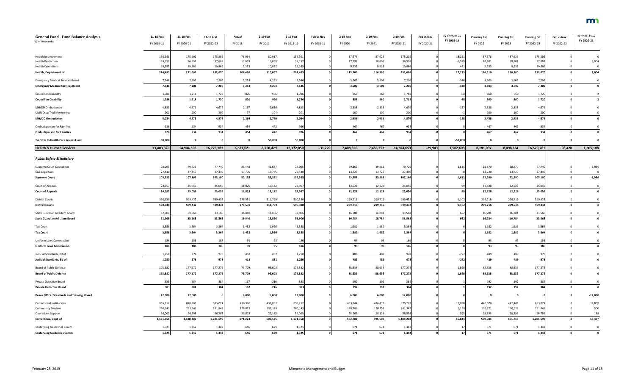| General Fund - Fund Balance Analysis                          | 11-18 Fcst      | 11-18 Fcst | 11-18 Fcst | Actual     | 2-19 Fcst  | 2-19 Fcst  | Feb vs Nov | 2-19 Fcst  | 2-19 Fcst  | 2-19 Fcst  | Feb vs Nov | FY 2020-21 vs | <b>Planning Est</b> | <b>Planning Est</b> | <b>Planning Est</b> | Feb vs Nov | FY 2022-23 vs |
|---------------------------------------------------------------|-----------------|------------|------------|------------|------------|------------|------------|------------|------------|------------|------------|---------------|---------------------|---------------------|---------------------|------------|---------------|
| (\$ in Thousands)                                             | FY 2018-19      | FY 2020-21 | FY 2022-23 | FY 2018    | FY 2019    | FY 2018-19 | FY 2018-19 | FY 2020    | FY 2021    | FY 2020-21 | FY 2020-21 | FY 2018-19    | FY 2022             | FY 2023             | FY 2022-23          | FY 2022-23 | FY 2020-21    |
|                                                               |                 |            |            |            |            |            |            |            |            |            |            |               |                     |                     |                     |            |               |
| <b>Health Improvement</b>                                     | 156,95          | 175,202    | 175,202    | 76,034     | 80,917     | 156,951    |            | 87,576     | 87,626     | 175,202    |            | 18,251        | 87,576              | 87,626              | 175,202             |            |               |
| <b>Health Protection</b>                                      | 38,157          | 36,598     | 37,602     | 19,059     | 19,098     | 38,157     |            | 17,797     | 18,801     | 36,598     |            | $-1,55$       | 18,801              | 18,801              | 37,602              |            | 1,004         |
| <b>Health Operations</b>                                      | 19,385          | 19,866     | 19,866     | 9.333      | 10.052     | 19,385     |            | 9.933      | 9,933      | 19,866     |            | 481           | 9,933               | 9,933               | 19,866              |            |               |
| Health, Department of                                         | 214,493         | 231,666    | 232,670    | 104,426    | 110,067    | 214,493    |            | 115,306    | 116,360    | 231,666    |            | 17,173        | 116,310             | 116,360             | 232,670             |            | 1,004         |
| <b>Emergency Medical Services Board</b>                       | 7,546           | 7,206      | 7,206      | 3,253      | 4,293      | 7,546      |            | 3,603      | 3,603      | 7,206      |            | $-340$        | 3,603               | 3,603               | 7,206               |            |               |
| <b>Emergency Medical Services Board</b>                       | 7,546           | 7,206      | 7,206      | 3,253      | 4,293      | 7,546      |            | 3,603      | 3,603      | 7,206      |            | $-340$        | 3,603               | 3,603               | 7,206               |            | $\Omega$      |
| Council on Disability                                         | 1,786           | 1,718      | 1,720      | 820        | 966        | 1,786      |            | 858        | 860        | 1,718      |            | $-68$         | 860                 | 860                 | 1,720               |            |               |
| <b>Council on Disability</b>                                  | 1,786           | 1,718      | 1,720      | 820        | 966        | 1,786      |            | 858        | 860        | 1,718      |            | $-68$         | 860                 | 860                 | 1,720               |            |               |
| MH/DD Ombudsman                                               | 4,833           | 4,676      | 4,676      | 2,167      | 2,666      | 4,833      |            | 2,338      | 2,338      | 4,676      |            | $-157$        | 2,338               | 2,338               | 4,676               |            |               |
| <b>UMN Drug Trial Monitoring</b>                              | 201             | 200        | 200        | 97         | 104        | 201        |            | 100        | 100        | 200        |            |               | 100                 | 100                 | 200                 |            |               |
| MH/DD Ombudsman                                               | 5,034           | 4,876      | 4,876      | 2,264      | 2,770      | 5,034      |            | 2,438      | 2,438      | 4,876      |            | $-158$        | 2,438               | 2,438               | 4,876               |            | $\Omega$      |
|                                                               |                 |            |            |            |            |            |            |            |            |            |            |               |                     |                     |                     |            |               |
| Ombudsperson for Families<br><b>Ombudsperson for Families</b> | 926<br>926      | 934<br>934 | 934<br>934 | 454<br>454 | 472<br>472 | 926<br>926 |            | 467<br>467 | 467<br>467 | 934<br>934 |            |               | 467<br>467          | 467<br>467          | 934<br>934          |            |               |
|                                                               |                 |            |            |            |            |            |            |            |            |            |            |               |                     |                     |                     |            |               |
| <b>Transfer to Health Care Access Fund</b>                    | 50,000          |            |            | $\Omega$   | 50,000     | 50,000     |            | $\Omega$   | $\Omega$   |            |            | $-50,000$     | $\Omega$            | $\Omega$            |                     |            |               |
| <b>Health &amp; Human Services</b>                            | 13,403,320      | 14,904,596 | 16,776,181 | 6,621,621  | 6,750,429  | 13,372,050 | $-31,270$  | 7,408,356  | 7,466,297  | 14,874,653 | $-29,943$  | 1,502,603     | 8,181,097           | 8,498,664           | 16,679,761          | $-96,420$  | 1,805,108     |
|                                                               |                 |            |            |            |            |            |            |            |            |            |            |               |                     |                     |                     |            |               |
| <b>Public Safety &amp; Judiciary</b>                          |                 |            |            |            |            |            |            |            |            |            |            |               |                     |                     |                     |            |               |
| <b>Supreme Court Operations</b>                               | 78,095          | 79,726     | 77,740     | 36,448     | 41,647     | 78,095     |            | 39,863     | 39,863     | 79,726     |            | 1,631         | 38,870              | 38,870              | 77,740              |            | $-1,986$      |
| Civil Legal Svcs                                              | 27,440          | 27,440     | 27,440     | 13,705     | 13,735     | 27,440     |            | 13,720     | 13,720     | 27,440     |            |               | 13,720              | 13,720              | 27,440              |            |               |
| <b>Supreme Court</b>                                          | 105,535         | 107,166    | 105,180    | 50,153     | 55,382     | 105,535    |            | 53,583     | 53,583     | 107,166    |            | 1,631         | 52,590              | 52,590              | 105,180             |            | $-1,986$      |
| Court of Appeals                                              | 24,957          | 25,056     | 25.056     | 11,825     | 13,132     | 24,957     |            | 12.528     | 12.528     | 25,056     |            | 99            | 12.528              | 12,528              | 25,056              |            |               |
| <b>Court of Appeals</b>                                       | 24,957          | 25,056     | 25,056     | 11,825     | 13,132     | 24,957     |            | 12,528     | 12,528     | 25,056     |            | 99            | 12,528              | 12,528              | 25,056              |            | $\mathbf{0}$  |
| <b>District Courts</b>                                        | 590,330         | 599,432    | 599,432    | 278,531    | 311,799    | 590,330    |            | 299,716    | 299,716    | 599,43     |            | 9,102         | 299,716             | 299,716             | 599,43              |            |               |
| <b>District Courts</b>                                        | 590,330         | 599,432    | 599,432    | 278,531    | 311,799    | 590,330    |            | 299,716    | 299,716    | 599,43     |            | 9,102         | 299,716             | 299,716             | 599,432             |            | $\mathbf{r}$  |
|                                                               |                 |            |            |            |            |            |            |            |            |            |            |               |                     |                     |                     |            |               |
| State Guardian Ad Litem Board                                 | 32,906          | 33,568     | 33,568     | 16,040     | 16,866     | 32,906     |            | 16,784     | 16,784     | 33,568     |            | 662           | 16,784              | 16,784              | 33,568              |            |               |
| <b>State Guardian Ad Litem Board</b>                          | 32,906          | 33,568     | 33,568     | 16,040     | 16,866     | 32,906     |            | 16,784     | 16,784     | 33,568     |            | 662           | 16,784              | 16,784              | 33,568              |            |               |
| <b>Tax Court</b>                                              | 3,358           | 3,364      | 3,364      | 1,432      | 1,926      | 3,358      |            | 1,682      | 1,682      | 3,364      |            |               | 1,682               | 1,682               | 3,364               |            |               |
| <b>Tax Court</b>                                              | 3,358           | 3,364      | 3,364      | 1,432      | 1,926      | 3,358      |            | 1,682      | 1,682      | 3,364      |            |               | 1,682               | 1,682               | 3,364               |            | $\mathbf 0$   |
| Uniform Laws Commission                                       | 186             | 186        | 186        | 91         | 95         | 186        |            | 93         | 93         | 186        |            |               | 93                  | 93                  | 186                 |            |               |
| <b>Uniform Laws Commission</b>                                | 186             | 186        | 186        | 91         | 95         | 186        |            | 93         | 93         | 186        |            |               | 93                  | 93                  | 186                 |            | $\Omega$      |
| Judicial Standards, Bd of                                     | 1,250           | 978        | 978        | 418        | 832        | 1,250      |            | 489        | 489        | 978        |            | $-272$        | 489                 | 489                 | 978                 |            |               |
| Judicial Standards, Bd of                                     | 1,250           | 978        | 978        | 418        | 832        | 1,250      |            | 489        | 489        | 978        |            | $-272$        | 489                 | 489                 | 978                 |            |               |
|                                                               |                 |            |            |            |            |            |            |            |            |            |            |               |                     |                     |                     |            |               |
| Board of Public Defense                                       | 175,38          | 177,272    | 177,272    | 79,779     | 95,603     | 175,382    |            | 88,636     | 88,636     | 177,272    |            | 1,890         | 88,636              | 88,636              | 177,272             |            |               |
| <b>Board of Public Defense</b>                                | 175,382         | 177,272    | 177,272    | 79,779     | 95,603     | 175,382    |            | 88,636     | 88,636     | 177,272    |            | 1,890         | 88,636              | 88,636              | 177,272             |            | $\Omega$      |
| Private Detective Board                                       | 38 <sup>1</sup> | 384        | 384        | 167        | 216        | 383        |            | 192        | 192        | 384        |            |               | 192                 | 192                 | 384                 |            | $\sqrt{2}$    |
| <b>Private Detective Board</b>                                | 383             | 384        | 384        | 167        | 216        | 383        |            | 192        | 192        | 384        |            |               | 192                 | 192                 | 384                 |            | $\mathbf{0}$  |
| Peace Officer Standards and Training, Board                   | 12,000          | 12,000     |            | 6,000      | 6,000      | 12,000     |            | 6,000      | 6,000      | 12,000     |            |               | $\mathbf 0$         | $\mathbf{0}$        |                     |            | $-12,000$     |
| <b>Correctional Institutions</b>                              | 855,212         | 870,262    | 883,071    | 416,320    | 438,892    | 855,212    |            | 433,844    | 436,418    | 870,262    |            | 15,050        | 440,670             | 442,401             | 883,071             |            | 12,809        |
| <b>Community Services</b>                                     | 260,143         | 261,342    | 261,842    | 128,025    | 132,118    | 260,143    |            | 130,589    | 130,753    | 261,34     |            | 1,199         | 130,921             | 130,921             | 261,842             |            | 500           |
| <b>Operations Support</b>                                     | 56,003          | 56,59      | 56,786     | 26,878     | 29,125     | 56,003     |            | 28,269     | 28,329     | 56,598     |            | 595           | 28,393              | 28,393              | 56,786              |            | 188           |
| Corrections, Dept of                                          | 1,171,358       | 1,188,202  | 1,201,699  | 571,223    | 600,135    | 1,171,358  |            | 592,702    | 595,500    | 1,188,202  |            | 16,844        | 599,984             | 601,715             | 1,201,699           |            | 13,497        |
| Sentencing Guidelines Comm                                    | 1,325           | 1,342      | 1,342      | 646        | 679        | 1,325      |            | 671        | 671        | 1,342      |            | 17            | 671                 | 671                 | 1,342               |            |               |
| <b>Sentencing Guidelines Comm</b>                             | 1,325           | 1,342      | 1,342      | 646        | 679        | 1,325      |            | 671        | 671        | 1,342      |            | 17            | 671                 | 671                 | 1,342               |            | $\mathbf{o}$  |
|                                                               |                 |            |            |            |            |            |            |            |            |            |            |               |                     |                     |                     |            |               |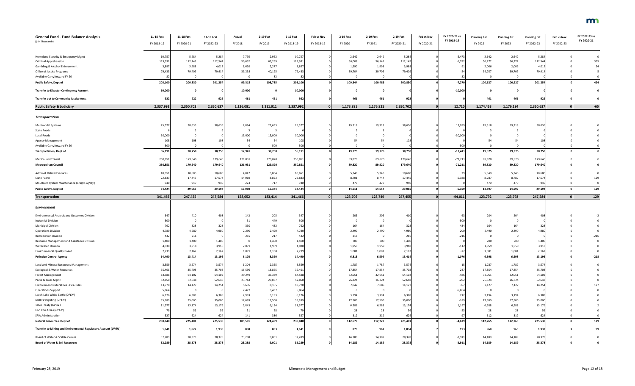| General Fund - Fund Balance Analysis<br>(\$ in Thousands)      | 11-18 Fcst         | 11-18 Fcst | 11-18 Fcst | Actual             | 2-19 Fcst    | 2-19 Fcst  | Feb vs Nov   | 2-19 Fcst    | 2-19 Fcst      | 2-19 Fcst  | Feb vs Nov | FY 2020-21 vs<br>FY 2018-19 | <b>Planning Est</b> | <b>Planning Est</b>     | <b>Planning Est</b> | Feb vs Nov | FY 2022-23 vs<br>FY 2020-21 |
|----------------------------------------------------------------|--------------------|------------|------------|--------------------|--------------|------------|--------------|--------------|----------------|------------|------------|-----------------------------|---------------------|-------------------------|---------------------|------------|-----------------------------|
|                                                                | FY 2018-19         | FY 2020-21 | FY 2022-23 | FY 2018            | FY 2019      | FY 2018-19 | FY 2018-19   | FY 2020      | FY 2021        | FY 2020-21 | FY 2020-21 |                             | FY 2022             | FY 2023                 | FY 2022-23          | FY 2022-23 |                             |
|                                                                |                    |            |            |                    |              |            |              |              |                |            |            |                             |                     |                         |                     |            |                             |
| Homeland Security & Emergency Mgmt                             | 10,757             | 5,284      | 5,284      | 7,795              | 2,962        | 10,757     |              | 2,642        | 2,642          | 5,284      |            | $-5,473$                    | 2,642               | 2,642                   | 5,284               |            |                             |
| <b>Criminal Apprehension</b>                                   | 113,931            | 112,149    | 112,544    | 50,662             | 63,269       | 113,931    |              | 56,008       | 56,141         | 112,149    |            | $-1,782$                    | 56,272              | 56,272                  | 112,544             |            | 395                         |
| Gambling & Alcohol Enforcement                                 | 3,897              | 3,988      | 4,012      | 1,620              | 2,277        | 3,897      |              | 1,990        | 1,998          | 3,988      |            |                             | 2,006               | 2,006                   | 4,012               |            | 24                          |
| Office of Justice Programs                                     | 79,433             | 79,409     | 79,414     | 39,238             | 40,195       | 79,433     |              | 39,704       | 39,705         | 79,409     |            | $-24$                       | 39,707              | 39,707                  | 79,414              |            | -5                          |
| Available Carryforward FY 20                                   | 83                 |            |            | $\Omega$           | 82           | 83         |              | $\Omega$     | $\Omega$       |            |            | $-82$                       | $\Omega$            | $\Omega$                |                     |            |                             |
| Public Safety, Dept of                                         | 208,100            | 200,830    | 201,254    | 99,315             | 108,785      | 208,100    |              | 100,344      | 100,486        | 200,830    |            | $-7,270$                    | 100,627             | 100,627                 | 201,254             |            | 424                         |
| <b>Transfer to Disaster Contingency Account</b>                | 10,000             |            |            | 10,000             | $\mathbf{a}$ | 10,000     |              | $\mathbf{0}$ | $\mathbf 0$    |            |            | $-10,000$                   | $\Omega$            | $\overline{\mathbf{0}}$ |                     |            | $\mathbf{a}$                |
| Transfer out to Community Justice Acct.                        | 922                | 922        | 922        | 461                | 461          | 922        |              | 461          | 461            | 92         |            |                             | 461                 | 461                     | 922                 |            |                             |
|                                                                |                    |            |            |                    |              |            | $\mathbf{0}$ |              |                |            | $\Omega$   |                             |                     |                         |                     | $\Omega$   |                             |
| <b>Public Safety &amp; Judiciary</b>                           | 2,337,992          | 2,350,702  | 2,350,637  | 1,126,081          | 1,211,911    | 2,337,992  |              | 1,173,881    | 1,176,821      | 2,350,702  |            | 12,710                      | 1,174,453           | 1,176,184               | 2,350,637           |            | $-65$                       |
| <b>Transportation</b>                                          |                    |            |            |                    |              |            |              |              |                |            |            |                             |                     |                         |                     |            |                             |
| Multimodal Systems                                             | 25,57              | 38,636     | 38,636     | 2,884              | 22,693       | 25,577     |              | 19,318       | 19,318         | 38,636     |            | 13,059                      | 19,318              | 19,318                  | 38,636              |            |                             |
| <b>State Roads</b>                                             |                    |            |            | -3                 |              |            |              | -3           | 3              |            |            |                             | 3                   | $\overline{3}$          |                     |            |                             |
| Local Roads                                                    | 30,000             |            |            | 15,000             | 15,000       | 30,000     |              | $\Omega$     | $\Omega$       |            |            | $-30.000$                   | $\Omega$            | $\Omega$                |                     |            |                             |
| Agency Management                                              | 108                | 108        | 108        | 54                 | 54           | 108        |              | 54           | 54             | 10         |            |                             | 54                  | 54                      | 108                 |            |                             |
| Available Carryforward FY 20                                   | 500                |            |            | $\Omega$           | 500          | 500        |              | $\mathbf{0}$ | $^{\circ}$     |            |            | $-500$                      | $\mathbf{0}$        | $\mathbf 0$             |                     |            |                             |
| <b>Transportation, Dept of</b>                                 | 56,191             | 38,750     | 38,750     | 17,941             | 38,250       | 56,191     |              | 19,375       | 19,375         | 38,750     |            | $-17,441$                   | 19,375              | 19,375                  | 38,750              |            | $\Omega$                    |
|                                                                |                    | 179,640    | 179,640    |                    | 129,820      | 250,851    |              | 89,820       | 89.820         | 179,640    |            | $-71,211$                   | 89,820              | 89,820                  |                     |            |                             |
| Met Council Transit<br><b>Metropolitan Council</b>             | 250,851<br>250,851 | 179,640    | 179,640    | 121,031<br>121,031 | 129,820      | 250,851    |              | 89,820       | 89,820         | 179,640    |            | $-71,211$                   | 89,820              | 89,820                  | 179,640<br>179,640  |            |                             |
|                                                                |                    |            |            |                    |              |            |              |              |                |            |            |                             |                     |                         |                     |            |                             |
| Admin & Related Services                                       | 10,651             | 10,680     | 10,680     | 4,847              | 5,804        | 10,651     |              | 5,340        | 5,340          | 10,680     |            | 2 <sup>c</sup>              | 5,340               | 5,340                   | 10,680              |            |                             |
| State Patrol                                                   | 22,833             | 17,44      | 17,574     | 14,010             | 8,823        | 22,833     |              | 8,701        | 8,744          | 17,445     |            | $-5,388$                    | 8,787               | 8,787                   | 17,574              |            | 129                         |
| MnCRASH System Maintenance (Traffic Safety)                    | 940                | 940        | 940        | 223                | 717          | 940        |              | 470          | 470            | 94         |            |                             | 470                 | 470                     | 940                 |            |                             |
|                                                                |                    |            |            |                    |              |            |              |              |                |            |            | $-5,359$                    | 14,597              | 14,597                  | 29,194              |            | 129                         |
| Public Safety, Dept of                                         | 34,424             | 29,065     | 29,194     | 19,080             | 15,344       | 34,424     |              | 14,511       | 14,554         | 29,065     |            |                             |                     |                         |                     |            |                             |
| Transportation                                                 | 341,466            | 247,455    | 247,584    | 158,052            | 183,414      | 341,466    | $\Omega$     | 123,706      | 123,749        | 247,455    |            | $-94,011$                   | 123,792             | 123,792                 | 247,584             | $\Omega$   | 129                         |
| <b>Environment</b>                                             |                    |            |            |                    |              |            |              |              |                |            |            |                             |                     |                         |                     |            |                             |
| <b>Environmental Analysis and Outcomes Division</b>            | 34'                | 410        | 408        | 142                | 205          | 34         |              | 205          | 205            |            |            |                             | 204                 | 204                     |                     |            |                             |
|                                                                | 500                |            |            |                    |              |            |              | $\mathbf 0$  | $\mathbf 0$    |            |            | $-50$                       | $\mathbf 0$         | $\mathbf 0$             |                     |            |                             |
| <b>Industrial Division</b>                                     |                    |            |            | 51                 | 449          | 500        |              |              |                |            |            |                             |                     |                         |                     |            |                             |
| Municipal Division                                             | 762                | 328        | 328        | 330                | 432          | 762        |              | 164          | 164            | 328        |            | $-434$                      | 164                 | 164                     | 328                 |            |                             |
| <b>Operations Division</b>                                     | 4,780              | 4,980      | 4,980      | 2,290              | 2,490        | 4,780      |              | 2,490        | 2,490          | 4,980      |            | 200                         | 2,490               | 2,490                   | 4,980               |            |                             |
| <b>Remediation Division</b>                                    | 43                 | 21         |            | 215                | 217          | 432        |              | 216          | $\overline{0}$ | 216        |            | $-216$                      | $\overline{0}$      | $\mathbf 0$             |                     |            | $-216$                      |
| Resource Management and Assistance Division                    | 1,400              | 1,400      | 1,400      | $\overline{0}$     | 1,400        | 1,400      |              | 700          | 700            | 1,400      |            |                             | 700                 | 700                     | 1,400               |            | $^{\circ}$                  |
| <b>Watershed Division</b>                                      | 4,030              | 3,918      | 3,918      | 2,071              | 1,959        | 4,030      |              | 1,959        | 1,959          | 3,918      |            | $-112$                      | 1,959               | 1,959                   | 3,918               |            | $\Omega$                    |
| <b>Environmental Quality Board</b>                             | 2,239              | 2,162      | 2,162      | 1.071              | 1.168        | 2,239      |              | 1.081        | 1.081          | 2,162      |            | $-77$                       | 1.081               | 1.081                   | 2,162               |            |                             |
| <b>Pollution Control Agency</b>                                | 14,490             | 13,414     | 13,196     | 6,170              | 8,320        | 14,490     |              | 6,815        | 6,599          | 13,414     |            | $-1,076$                    | 6,598               | 6,598                   | 13,196              |            | $-218$                      |
| Land and Mineral Resources Management                          | 3,559              | 3,574      | 3,574      | 1,204              | 2,355        | 3,559      |              | 1,787        | 1,787          | 3,574      |            | 15                          | 1,787               | 1,787                   | 3,574               |            |                             |
| Ecological & Water Resources                                   | 35,461             | 35,708     | 35,708     | 16,596             | 18,865       | 35,461     |              | 17,854       | 17,854         | 35,708     |            | 247                         | 17,854              | 17,854                  | 35,708              |            |                             |
| Forest Management                                              | 64,588             | 64,10      | 64,102     | 29,249             | 35,339       | 64,588     |              | 32,051       | 32,051         | 64,102     |            | $-486$                      | 32,051              | 32,051                  | 64,102              |            |                             |
| Parks & Trails Mgmt                                            | 52,850             | 52,648     | 52,648     | 23,763             | 29,087       | 52,850     |              | 26,324       | 26,324         | 52,648     |            | $-202$                      | 26,324              | 26,324                  | 52,648              |            |                             |
| Enforcement Natural Res Laws-Rules                             | 13,770             | 14,12      | 14,254     | 5,635              | 8,135        | 13,770     |              | 7,042        | 7,085          | 14,127     |            | 357                         | 7,127               | 7,127                   | 14,254              |            | 127                         |
|                                                                | 5,864              |            |            | 2,427              | 3.437        | 5,864      |              | $\Omega$     | $\overline{0}$ |            |            | $-5,864$                    | $\Omega$            | $\overline{0}$          |                     |            |                             |
| <b>Operations Support</b><br>Leech Lake White Earth (OPEN)     | 6,176              | 6,388      | 6,388      | 2,983              | 3,193        | 6,176      |              | 3,194        | 3,194          | 6,388      |            | 212                         | 3,194               | 3,194                   | 6,388               |            |                             |
|                                                                |                    |            |            |                    |              |            |              |              |                |            |            |                             |                     |                         |                     |            |                             |
| DNR Firefighting (OPEN)                                        | 35,189             | 35,000     | 35,000     | 17,689             | 17,500       | 35,189     |              | 17,500       | 17,500         | 35,000     |            | $-189$                      | 17,500              | 17,500                  | 35,000              |            |                             |
| 1854 Treaty (OPEN)                                             | 11,977             | 13,174     | 13,176     | 5,843              | 6,134        | 11,977     |              | 6,586        | 6,588          | 13,174     |            | 1,197                       | 6,588               | 6,588                   | 13,176              |            |                             |
| Con Con Areas (OPEN)                                           | 79                 | 5          |            | 51                 | 28           | 79         |              | 28           | 28             |            |            | $-23$                       | 28                  | 28                      |                     |            |                             |
| SFIA Administration                                            | 527                | 624        | 624        | 141                | 386          | 527        |              | 312          | 312            | 624        |            | 97                          | 312                 | 312                     | 624                 |            |                             |
| Natural Resources, Dept of                                     | 230,040            | 225,401    | 225,530    | 105,581            | 124,459      | 230,040    |              | 112,678      | 112,723        | 225,401    |            | $-4,639$                    | 112,765             | 112,765                 | 225,530             |            | 129                         |
| Transfer to Mining and Environmental Regulatory Account (OPEN) | 1,641              | 1,827      | 1,930      | 838                | 803          | 1,641      |              | 873          | 961            | 1,834      |            | 193                         | 968                 | 965                     | 1,933               |            | 99                          |

**Board of Water & Soil Resources 32,289 28,378 28,378 23,288 9,001 32,289 0 14,189 14,189 28,378 0 -3,911 14,189 14,189 28,378 0 0**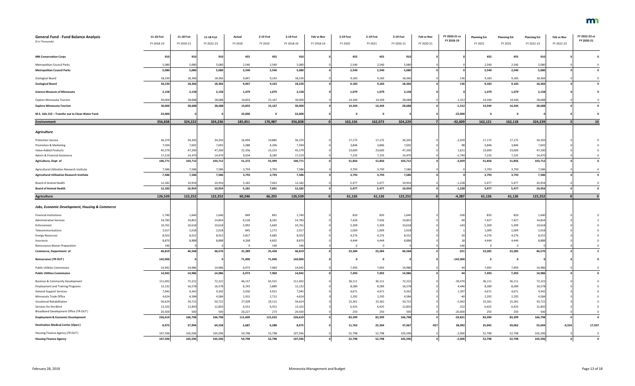| General Fund - Fund Balance Analysis<br>(\$ in Thousands) | 11-18 Fcst<br>FY 2018-19 | 11-18 Fcst<br>FY 2020-21 | 11-18 Fcst<br>FY 2022-23 | Actual<br>FY 2018 | 2-19 Fcst<br>FY 2019 | 2-19 Fcst<br>FY 2018-19 | Feb vs Nov<br>FY 2018-19 | 2-19 Fcst<br>FY 2020 | 2-19 Fcst<br>FY 2021 | 2-19 Fcst<br>FY 2020-21 | Feb vs Nov<br>FY 2020-21 | FY 2020-21 vs<br>FY 2018-19 | <b>Planning Est</b><br>FY 2022 | <b>Planning Est</b><br>FY 2023 | <b>Planning Est</b><br>FY 2022-23 | Feb vs Nov<br>FY 2022-23 | FY 2022-23 vs<br>FY 2020-21 |
|-----------------------------------------------------------|--------------------------|--------------------------|--------------------------|-------------------|----------------------|-------------------------|--------------------------|----------------------|----------------------|-------------------------|--------------------------|-----------------------------|--------------------------------|--------------------------------|-----------------------------------|--------------------------|-----------------------------|
| <b>MN Conservation Corps</b>                              | 910                      | 910                      | 910                      | 455               | 455                  | 910                     |                          | 455                  | 455                  | 910                     |                          |                             | 455                            | 455                            | 910                               |                          | $\mathbf 0$                 |
| Metropolitan Council Parks                                | 5,080                    | 5,080                    | 5,080                    | 2,540             | 2,540                | 5,080                   |                          | 2,540                | 2,540                | 5,080                   |                          |                             | 2,540                          | 2,540                          | 5,080                             |                          | $\Omega$                    |
| <b>Metropolitan Council Parks</b>                         | 5,080                    | 5,080                    | 5,080                    | 2,540             | 2,540                | 5,080                   |                          | 2,540                | 2,540                | 5,080                   |                          |                             | 2,540                          | 2,540                          | 5,080                             |                          | $\mathbf{0}$                |
| Zoological Board                                          | 18,230                   | 18,366                   | 18,366                   | 9.067             | 9,163                | 18,230                  |                          | 9,183                | 9,183                | 18,366                  |                          | 136                         | 9,183                          | 9,183                          | 18,366                            |                          | $\Omega$                    |
| <b>Zoological Board</b>                                   | 18,230                   | 18,366                   | 18,366                   | 9,067             | 9,163                | 18,230                  |                          | 9,183                | 9,183                | 18,366                  |                          | 136                         | 9,183                          | 9,183                          | 18,366                            |                          | $\mathbf 0$                 |
|                                                           |                          |                          |                          |                   |                      |                         |                          |                      |                      |                         |                          |                             |                                |                                |                                   |                          |                             |
| <b>Science Museum of Minnesota</b>                        | 2,158                    | 2,158                    | 2,158                    | 1,079             | 1,079                | 2,158                   |                          | 1,079                | 1,079                | 2,158                   |                          |                             | 1,079                          | 1,079                          | 2,158                             |                          | $\mathbf 0$                 |
| Explore Minnesota Tourism                                 | 30,000                   | 28,688                   | 28,688                   | 14,833            | 15,167               | 30,000                  |                          | 14,344               | 14,344               | 28,688                  |                          | $-1,312$                    | 14,344                         | 14,344                         | 28,688                            |                          | $\mathbf{0}$                |
| <b>Explore Minnesota Tourism</b>                          | 30,000                   | 28,688                   | 28,688                   | 14,833            | 15,167               | 30,000                  |                          | 14,344               | 14,344               | 28,688                  |                          | $-1,312$                    | 14,344                         | 14,344                         | 28,688                            |                          | $\mathbf{0}$                |
| M.S. 16A.152 - Transfer out to Clean Water Fund           | 22,000                   |                          |                          | 22,000            | $\mathbf{0}$         | 22,000                  |                          | $\mathbf{a}$         | $\mathbf{0}$         |                         |                          | $-22,000$                   | $\Omega$                       | $\mathbf{0}$                   |                                   |                          | $\mathbf{0}$                |
| Environment                                               | 356,838                  | 324,222                  | 324,236                  | 185,851           | 170,987              | 356,838                 | $\Omega$                 | 162,156              | 162,073              | 324,229                 | $\overline{7}$           | $-32,609$                   | 162,121                        | 162,118                        | 324,239                           | $\mathbf{a}$             | 10                          |
|                                                           |                          |                          |                          |                   |                      |                         |                          |                      |                      |                         |                          |                             |                                |                                |                                   |                          |                             |
| <b>Agriculture</b>                                        |                          |                          |                          |                   |                      |                         |                          |                      |                      |                         |                          |                             |                                |                                |                                   |                          |                             |
| <b>Protection Service</b>                                 | 36,37                    | 34,35                    | 34,350                   | 16,494            | 19,885               | 36,37                   |                          | 17,175               | 17,175               | 34,350                  |                          | $-2,029$                    | 17,175                         | 17,175                         | 34,350                            |                          |                             |
| Promotion & Marketing                                     | 7,594                    | 7,692                    | 7,692                    | 3,388             | 4,206                | 7,594                   |                          | 3,846                | 3,846                | 7,692                   |                          |                             | 3,846                          | 3,846                          | 7,692                             |                          |                             |
| Value-Added Products                                      | 45,579                   | 47,200                   | 47,200                   | 22,356            | 23,223               | 45,579                  |                          | 23,600               | 23,600               | 47,200                  |                          | 1,621                       | 23,600                         | 23,600                         | 47,200                            |                          |                             |
| Admin & Financial Assistance                              | 17,219                   | 14,470                   | 14,470                   | 9,034             | 8,185                | 17,219                  |                          | 7,235                | 7,235                | 14,470                  |                          | $-2,749$                    | 7,235                          | 7,235                          | 14,470                            |                          |                             |
| Agriculture, Dept of                                      | 106,771                  | 103,712                  | 103,712                  | 51,272            | 55,499               | 106,771                 |                          | 51,856               | 51,856               | 103,712                 |                          | $-3,059$                    | 51,856                         | 51,856                         | 103,712                           |                          | $\mathbf 0$                 |
| Agricultural Utilization Research Institute               | 7,586                    | 7,586                    | 7,586                    | 3,793             | 3,793                | 7,586                   |                          | 3,793                | 3,793                | 7,586                   |                          |                             | 3,793                          | 3,793                          | 7,586                             |                          | $\Omega$                    |
| <b>Agricultural Utilization Research Institute</b>        | 7,586                    | 7,586                    | 7,586                    | 3,793             | 3,793                | 7,586                   |                          | 3,793                | 3,793                | 7,586                   |                          |                             | 3,793                          | 3,793                          | 7,586                             |                          | $\mathbf 0$                 |
| Board of Animal Health                                    | 12,182                   | 10,954                   | 10,954                   | 5,181             | 7,001                | 12,182                  |                          | 5,477                | 5,477                | 10,954                  |                          | $-1,228$                    | 5,477                          | 5,477                          | 10,954                            |                          | $\mathbf{0}$                |
| <b>Board of Animal Health</b>                             | 12,182                   | 10,954                   | 10,954                   | 5,181             | 7,001                | 12,182                  |                          | 5,477                | 5,477                | 10,954                  |                          | $-1,228$                    | 5,477                          | 5,477                          | 10,954                            |                          | $\mathbf 0$                 |
|                                                           |                          |                          |                          |                   |                      |                         |                          |                      |                      |                         |                          |                             |                                |                                |                                   |                          |                             |
| <b>Agriculture</b>                                        | 126,539                  | 122,252                  | 122,252                  | 60,246            | 66,293               | 126,539                 | $\mathbf{0}$             | 61,126               | 61,126               | 122,252                 | $\Omega$                 | $-4,287$                    | 61,126                         | 61,126                         | 122,252                           | $\Omega$                 | $\mathbf{0}$                |
| Jobs, Economic Development, Housing & Commerce            |                          |                          |                          |                   |                      |                         |                          |                      |                      |                         |                          |                             |                                |                                |                                   |                          |                             |
| <b>Financial Institutions</b>                             | 1,740                    | 1,640                    | 1,640                    | 849               | 891                  | 1,740                   |                          | 820                  | 820                  | 1,640                   |                          | $-100$                      | 820                            | 820                            | 1,640                             |                          |                             |
| Administrative Services                                   | 14,783                   | 14,852                   | 14,854                   | 6,518             | 8,265                | 14,783                  |                          | 7,426                | 7,426                | 14,852                  |                          | -69                         | 7,427                          | 7,427                          | 14,854                            |                          |                             |
| Enforcement                                               | 10,761                   | 10,618                   | 10,618                   | 5,092             | 5,669                | 10,761                  |                          | 5,309                | 5,309                | 10,618                  |                          | $-143$                      | 5,309                          | 5,309                          | 10,618                            |                          |                             |
| Telecommunications                                        | 2.01                     | 2,018                    | 2,018                    | 845               | 1,172                | 2,017                   |                          | 1,009                | 1,009                | 2,018                   |                          | 50                          | 1,009                          | 1,009                          | 2,018                             |                          |                             |
| <b>Energy Resources</b>                                   | 8,502                    | 8,552                    | 8,552                    | 3,817             | 4,685                | 8,502                   |                          | 4,276<br>4,444       | 4,276<br>4,444       | 8,552                   |                          | 18                          | 4,276<br>4,444                 | 4,276<br>4,444                 | 8,552                             |                          |                             |
| Insurance<br>Reinsurance Waiver Preparation               | 8,870<br>146             | 8,888                    | 8,888                    | 4,268<br>$\Omega$ | 4,602<br>146         | 8,870<br>146            |                          | $\Omega$             | $\Omega$             | 8,888                   |                          | $-146$                      | $\Omega$                       | $\Omega$                       | 8,888                             |                          | $\Omega$                    |
| Commerce, Department of                                   | 46,819                   | 46,568                   | 46,570                   | 21,389            | 25,430               | 46,819                  |                          | 23,284               | 23,284               | 46,568                  |                          | $-251$                      | 23,285                         | 23,285                         | 46,570                            |                          | $\overline{2}$              |
| Reinsurance (TR OUT)                                      | 142,000                  |                          |                          | 71,000            | 71,000               | 142,000                 |                          | $\mathbf{0}$         | $\mathbf{0}$         |                         |                          | $-142,000$                  | $\mathbf{0}$                   | $\overline{\mathbf{0}}$        |                                   |                          |                             |
| <b>Public Utilities Commission</b>                        | 14,942                   | 14,986                   | 14,986                   | 6,973             | 7,969                | 14,942                  |                          | 7,493                | 7,493                | 14,986                  |                          | 44                          | 7,493                          | 7,493                          | 14,986                            |                          |                             |
| <b>Public Utilities Commission</b>                        | 14,942                   | 14,986                   | 14,986                   | 6,973             | 7,969                | 14,942                  |                          | 7,493                | 7,493                | 14,986                  |                          | $\overline{a}$              | 7,493                          | 7,493                          | 14,986                            |                          | $\mathbf 0$                 |
|                                                           |                          |                          |                          |                   |                      |                         |                          |                      |                      |                         |                          |                             |                                |                                |                                   |                          |                             |
| <b>Business &amp; Community Development</b>               | 111,692                  | 72,222                   | 72,222                   | 46,137            | 65,555               | 111,692                 |                          | 36,111               | 36,111               | 72,222                  |                          | $-39,470$                   | 36,111                         | 36,111                         | 72,222                            |                          |                             |
| <b>Employment and Training Programs</b>                   | 12,132                   | 16,578                   | 16,578                   | 6,243             | 5,889                | 12,132                  |                          | 8,289                | 8,289                | 16,578                  |                          | 4,446                       | 8,289                          | 8,289                          | 16,578                            |                          |                             |
| <b>General Support Services</b>                           | 7,945                    | 9,342                    | 9,342                    | 3,030             | 4,915                | 7,945                   |                          | 4,671                | 4,671                | 9,342                   |                          | 1,397<br>$-40$              | 4,671                          | 4,671                          | 9,342                             |                          |                             |
| Minnesota Trade Office                                    | 4,624                    | 4,584                    | 4,584                    | 1,912             | 2,712                | 4,624                   |                          | 2,292                | 2,292                | 4,584                   |                          |                             | 2,292                          | 2,292                          | 4,584                             |                          |                             |
| Vocational Rehabilitation<br>Services for the Blind       | 56,624<br>13,102         | 50,722<br>12,850         | 50,722<br>12,850         | 27,509<br>6,551   | 29,115<br>6,551      | 56,624<br>13,102        |                          | 25,361<br>6,425      | 25,361<br>6,425      | 50,722<br>12,850        |                          | $-5,902$<br>$-252$          | 25,361<br>6,425                | 25,361<br>6,425                | 50,722<br>12,850                  |                          | $^{\circ}$                  |
| Broadband Development Office (TR-OUT)                     | 20,500                   | 500                      | 500                      | 20,227            | 273                  | 20,500                  |                          | 250                  | 250                  | 500                     |                          | $-20,000$                   | 250                            | 250                            | 50                                |                          |                             |
| <b>Employment &amp; Economic Development</b>              | 226,619                  | 166,798                  | 166,798                  | 111,609           | 115,010              | 226,619                 |                          | 83,399               | 83,399               | 166,798                 |                          | $-59,821$                   | 83,399                         | 83,399                         | 166,798                           |                          | $\mathbf 0$                 |
|                                                           |                          |                          |                          |                   |                      |                         |                          |                      |                      |                         |                          |                             |                                |                                |                                   |                          |                             |
| <b>Destination Medical Center (Open)</b>                  | 8,975                    | 37,994                   | 64,558                   | 2,687             | 6,288                | 8,975                   |                          | 11,763               | 25,304               | 37,067                  | $-927$                   | 28,092                      | 25,942                         | 29,062                         | 55,004                            | $-9,554$                 | 17,937                      |
| Housing Finance Agency (TR OUT)                           | 107,596                  | 105.596                  | 105,596                  | 54.798            | 52.798               | 107.596                 |                          | 52.798               | 52.798               | 105.596                 |                          | $-2.000$                    | 52.798                         | 52.798                         | 105.596                           |                          | $\Omega$                    |

**Housing Finance Agency 107,596 105,596 105,596 54,798 52,798 107,596 0 52,798 52,798 105,596 0 -2,000 52,798 52,798 105,596 0 0**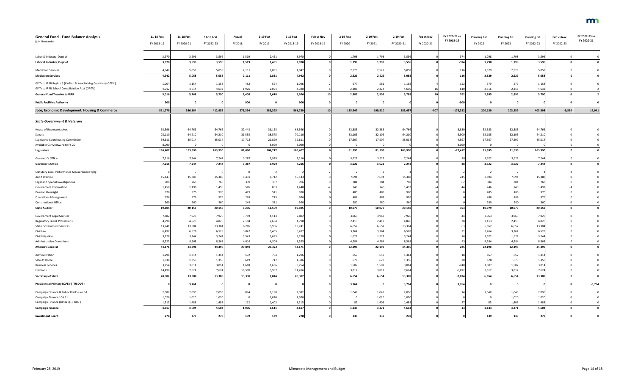| General Fund - Fund Balance Analysis                           | 11-18 Fcst     | 11-18 Fcst     | 11-18 Fcst     | Actual          | 2-19 Fcst      | 2-19 Fcst      | Feb vs Nov | 2-19 Fcst          | 2-19 Fcst      | 2-19 Fcst      | Feb vs Nov | FY 2020-21 vs  | <b>Planning Est</b>  | <b>Planning Est</b> | <b>Planning Est</b> | Feb vs Nov | FY 2022-23 vs           |
|----------------------------------------------------------------|----------------|----------------|----------------|-----------------|----------------|----------------|------------|--------------------|----------------|----------------|------------|----------------|----------------------|---------------------|---------------------|------------|-------------------------|
| (\$ in Thousands)                                              | FY 2018-19     | FY 2020-21     | FY 2022-23     | FY 2018         | FY 2019        | FY 2018-19     | FY 2018-19 | FY 2020            | FY 2021        | FY 2020-21     | FY 2020-21 | FY 2018-19     | FY 2022              | FY 2023             | FY 2022-23          | FY 2022-23 | FY 2020-21              |
|                                                                |                |                |                |                 |                |                |            |                    |                |                |            |                |                      |                     |                     |            |                         |
|                                                                |                |                |                |                 |                |                |            |                    |                |                |            |                |                      |                     |                     |            |                         |
| Labor & Industry, Dept of                                      | 3,970          | 3,596          | 3,596          | 1,519           | 2,451          | 3,970          |            | 1,798              | 1,798          | 3,596          |            | $-374$         | 1,798                | 1,798               | 3,596               |            |                         |
| Labor & Industry, Dept of                                      | 3,970          | 3,596          | 3,596          | 1,519           | 2,451          | 3,970          |            | 1,798              | 1,798          | 3,596          |            | $-374$         | 1,798                | 1,798               | 3,596               |            | $\Omega$                |
| <b>Mediation Services</b>                                      | 4,942          | 5,058          | 5,058          | 2,111           | 2,831          | 4,942          |            | 2,529              | 2,529          | 5,058          |            | 116            | 2,529                | 2,529               | 5,058               |            |                         |
| <b>Mediation Services</b>                                      | 4,942          | 5,058          | 5,058          | 2,111           | 2,831          | 4,942          |            | 2,529              | 2,529          | 5,058          |            | 116            | 2,529                | 2,529               | 5,058               |            | $\overline{\mathbf{0}}$ |
|                                                                |                |                |                |                 |                |                |            |                    |                |                |            |                |                      |                     |                     |            |                         |
| GF Tr to IRRR Region 3 (Carlton & Koochiching Counties) (OPEN) | 1,004          | 1,154          | 1,158          | 482             | 524            | 1,006          |            | 577                | 581            | 1,158          |            | 152            | 579                  | 579                 | 1,158               |            | $\Omega$                |
| GF Tr to IRRR School Consolidation Acct (OPEN)                 | 4,012          | 4,614          | 4,632          | 1,926           | 2,094          | 4,020          |            | 2,306              | 2,324          | 4,630          |            | 610            | 2,316                | 2,316               | 4,632               |            |                         |
| <b>General Fund Transfer to IRRR</b>                           | 5,016          | 5,768          | 5,790          | 2,408           | 2,618          | 5,026          | 10         | 2,883              | 2,905          | 5,788          | 20         | 762            | 2,895                | 2,895               | 5,790               |            | $\overline{2}$          |
| <b>Public Facilities Authority</b>                             | 900            |                |                | 900             |                | 900            |            | $\Omega$           | $\mathbf{0}$   |                |            | $-900$         | $\Omega$             | $\Omega$            |                     |            |                         |
| Jobs, Economic Development, Housing & Commerce                 | 561,779        | 386,364        | 412,952        | 275,394         | 286,395        | 561,789        | 10         | 185,947            | 199,510        | 385,457        | $-907$     | $-176,332$     | 200,139              | 203,259             | 403,398             | $-9,554$   | 17,941                  |
|                                                                |                |                |                |                 |                |                |            |                    |                |                |            |                |                      |                     |                     |            |                         |
| <b>State Government &amp; Veterans</b>                         |                |                |                |                 |                |                |            |                    |                |                |            |                |                      |                     |                     |            |                         |
| House of Representatives                                       | 68,596         | 64,766         | 64,766         | 32,443          | 36,153         | 68,596         |            | 32,383             | 32,383         | 64,766         |            | $-3,830$       | 32,383               | 32,383              | 64,766              |            |                         |
| Senate                                                         | 70,110         | 64,210         | 64,210         | 31,535          | 38,575         | 70,110         |            | 32,105             | 32,105         | 64,210         |            | $-5,900$       | 32,105               | 32,105              | 64,210              |            |                         |
| Legislative Coordinating Commission                            | 39,611         | 35,014         | 35,014         | 17,712          | 21,899         | 39,611         |            | 17,507             | 17,507         | 35,014         |            | $-4,597$       | 17,507               | 17,507              | 35,014              |            | $\Omega$                |
| Available Carryforward to FY 20                                | 8,090          |                |                |                 | 8,090          | 8,090          |            | $\overline{0}$     | $\mathbf{0}$   |                |            | $-8,090$       | $\mathbf{0}$         | $\overline{0}$      |                     |            |                         |
| Legislature                                                    | 186,407        | 163,990        | 163,990        | 81,690          | 104,717        | 186,407        |            | 81,995             | 81,995         | 163,990        |            | $-22,417$      | 81,995               | 81,995              | 163,990             |            | $\bullet$               |
|                                                                |                |                |                |                 |                |                |            |                    |                |                |            |                |                      |                     |                     |            |                         |
| Governor's Office                                              | 7,216          | 7,244          | 7,244          | 3,287           | 3,929          | 7,216          |            | 3,622              | 3,622          | 7,244          |            | 28             | 3,622                | 3,622               | 7,244               |            |                         |
| <b>Governor's Office</b>                                       | 7,216          | 7,244          | 7,244          | 3,287           | 3,929          | 7,216          |            | 3,622              | 3,622          | 7,244          |            | 28             | 3,622                | 3,622               | 7,244               |            |                         |
| Statutory Local Performance Measurement Rptg                   |                |                |                | $^{\circ}$      | $\overline{2}$ |                |            | $\overline{2}$     | $\overline{2}$ |                |            |                | $\overline{2}$       | $\overline{2}$      |                     |            |                         |
| <b>Audit Practice</b>                                          | 15,143         | 15,388         | 15,388         | 6,431           | 8,712          | 15,143         |            | 7,694              | 7,694          | 15,388         |            | 245            | 7,694                | 7,694               | 15,388              |            |                         |
| Legal and Special Investigations                               | 706            | 768            | 768            | 339             | 367            | 706            |            | 384                | 384            | 768            |            | 62             | 384                  | 384                 | 768                 |            |                         |
| Government Information                                         | 1,450          | 1,496          | 1,496          | 585             | 863            | 1,448          |            | 746                | 746            | 1,492          |            |                | 746                  | 746                 | 1,492               |            |                         |
| Pension Oversight                                              | 970            | 970            | 970            | 429             | 541            | 970            |            | 485                | 485            | 970            |            |                | 485                  | 485                 | 970                 |            |                         |
| <b>Operations Management</b>                                   | 976            | 976            | 976            | 263             | 713            | 976            |            | 488                | 488            | 976            |            |                | 488                  | 488                 | 976                 |            |                         |
| Constitutional Office                                          | 560            | 560            | 560            | 249             | 311            | 560            |            | 280                | 280            | 560            |            |                | 280                  | 280                 | 560                 |            |                         |
| <b>State Auditor</b>                                           | 19,805         | 20,158         | 20,158         | 8,296           | 11,509         | 19,805         |            | 10,079             | 10,079         | 20,158         |            | 353            | 10,079               | 10,079              | 20,158              |            |                         |
|                                                                |                |                | 7,926          |                 |                |                |            |                    |                |                |            | $\Delta\Delta$ |                      |                     |                     |            |                         |
| Government Legal Services<br>Regulatory Law & Professions      | 7,882<br>4,798 | 7,926<br>4,826 | 4,826          | 3,769<br>2,194  | 4,113<br>2,604 | 7,882<br>4,798 |            | 3,963<br>2,413     | 3,963<br>2,413 | 7,926<br>4,826 |            | 28             | 3,963<br>2,413       | 3,963<br>2,413      | 7,926<br>4,826      |            |                         |
| <b>State Government Services</b>                               | 13,241         | 13,304         | 13,304         | 6,285           | 6,956          | 13,241         |            | 6,652              | 6,652          | 13,304         |            | 63             | 6,652                | 6,652               | 13,304              |            |                         |
| Civil Law                                                      | 6,497          | 6,528          | 6,528          | 3,042           | 3,455          | 6,497          |            | 3,264              | 3,264          | 6,528          |            | 31             | 3,264                | 3,264               | 6,528               |            |                         |
| Civil Litigation                                               | 3,228          | 3,244          | 3,244          | 1,543           | 1,685          | 3,228          |            | 1,622              | 1,622          | 3,24           |            | 16             | 1,622                | 1,622               | 3,244               |            |                         |
| <b>Administrative Operations</b>                               | 8,525          | 8,568          | 8,568          | 4,016           | 4,509          | 8,525          |            | 4,284              | 4,284          | 8,568          |            | 43             | 4,284                | 4,284               | 8,568               |            |                         |
| <b>Attorney General</b>                                        | 44,171         | 44,396         | 44,396         | 20,849          | 23,322         | 44,171         |            | 22,198             | 22,198         | 44,396         |            | 225            | 22,198               | 22,198              | 44,396              |            |                         |
| Administration                                                 | 1,296          | 1,314          | 1,314          | 592             | 704            | 1,296          |            | 657                | 657            | 1,314          |            | 18             | 657                  | 657                 | 1,314               |            |                         |
| Safe At Home                                                   | 1,336          | 1,356          | 1,356          | 619             | 717            | 1,336          |            | 678                | 678            | 1,356          |            | 20             | 678                  | 678                 | 1,356               |            |                         |
| <b>Business Services</b>                                       | 3,254          | 3,014          | 3,014          | 1,618           | 1,636          | 3,254          |            | 1,507              | 1,507          | 3,014          |            | $-240$         | 1,507                | 1,507               | 3,014               |            |                         |
| Elections                                                      | 14,496         | 7,624          | 7,624          | 10,509          | 3,987          | 14,496         |            | 3,812              | 3,812          | 7,624          |            | $-6,872$       | 3,812                | 3,812               | 7,624               |            |                         |
| <b>Secretary of State</b>                                      | 20,382         | 13,308         | 13,308         | 13,338          | 7,044          | 20,382         |            | 6,654              | 6,654          | 13,308         |            | $-7,074$       | 6,654                | 6,654               | 13,308              |            | $\Omega$                |
| Presidential Primary (OPEN) (TR OUT)                           |                | 3,764          |                | $\Omega$        | - 0            |                |            | 3,764              | - 0            | 3,764          |            | 3,764          | $\Omega$             | $\mathbf{0}$        |                     |            | $-3,764$                |
|                                                                |                |                |                |                 |                |                |            |                    |                |                |            |                |                      |                     |                     |            |                         |
| Campaign Finance & Public Disclosure Bd                        | 2,082          | 2,096          | 2,096          | 894<br>$\Omega$ | 1,188          | 2,082          |            | 1,048              | 1,048          | 2,096          |            | 14             | 1,048<br>$\mathbf 0$ | 1,048               | 2,096               |            |                         |
| Campaign Finance 10A.31<br>Campaign Finance (OPEN) (TR OUT)    | 1,020<br>1,515 | 1,020<br>1,488 | 1,020<br>1,488 | 112             | 1,020<br>1,403 | 1,020<br>1,515 |            | $\mathbf{0}$<br>85 | 1,020<br>1,403 | 1,020<br>1,488 |            | $-27$          | 85                   | 1,020<br>1,403      | 1,020<br>1,488      |            |                         |
|                                                                | 4,617          |                | 4,604          | 1,006           |                |                |            |                    |                | 4,604          |            | $-13$          |                      |                     | 4,604               |            | $\mathbf{0}$            |
| <b>Campaign Finance</b>                                        |                | 4,604          |                |                 | 3,611          | 4,617          |            | 1,133              | 3,471          |                |            |                | 1,133                | 3,471               |                     |            |                         |
| <b>Investment Board</b>                                        | 278            | 278            | 278            | 139             | 139            | 278            |            | 139                | 139            | 278            |            |                | 139                  | 139                 | 278                 |            |                         |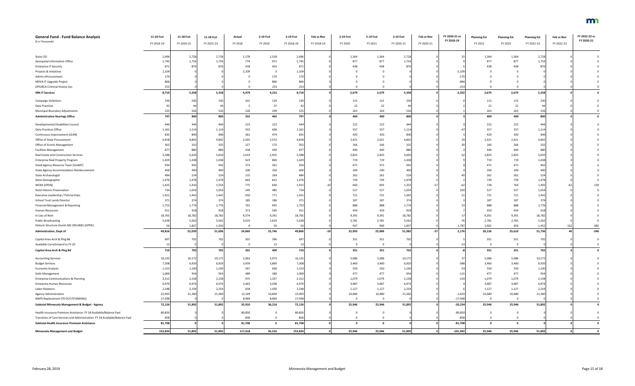| General Fund - Fund Balance Analysis                                        | 11-18 Fcst | 11-18 Fcst | 11-18 Fcst | Actual       | 2-19 Fcst               | 2-19 Fcst      | Feb vs Nov | 2-19 Fcst    | 2-19 Fcst               | 2-19 Fcst  | Feb vs Nov | FY 2020-21 vs | <b>Planning Est</b>     | <b>Planning Est</b>     | <b>Planning Est</b> | Feb vs Nov | FY 2022-23 vs |  |
|-----------------------------------------------------------------------------|------------|------------|------------|--------------|-------------------------|----------------|------------|--------------|-------------------------|------------|------------|---------------|-------------------------|-------------------------|---------------------|------------|---------------|--|
| (\$ in Thousands)                                                           | FY 2018-19 | FY 2020-21 | FY 2022-23 | FY 2018      | FY 2019                 | FY 2018-19     | FY 2018-19 | FY 2020      | FY 2021                 | FY 2020-21 | FY 2020-21 | FY 2018-19    | FY 2022                 | FY 2023                 | FY 2022-23          | FY 2022-23 | FY 2020-21    |  |
|                                                                             |            |            |            |              |                         |                |            |              |                         |            |            |               |                         |                         |                     |            |               |  |
|                                                                             |            |            |            |              |                         |                |            |              |                         |            |            |               |                         |                         |                     |            |               |  |
| State CIO                                                                   | 2,696      | 2,728      | 2,728      | 1,178        | 1,518                   | 2,696          |            | 1,364        | 1,364                   | 2,728      |            | 32            | 1,364                   | 1,364                   | 2,728               |            |               |  |
| <b>Geospatial Information Office</b>                                        | 1,745      | 1,754      | 1,754      | 774          | 971                     | 1,745          |            | 877          | 877                     | 1,754      |            |               | 877                     | 877                     | 1,754               |            |               |  |
| <b>Enterprise IT Security</b>                                               | 871        | 87         | 876        | 418          | 453                     | 871            |            | 438          | 438                     | 87         |            |               | 438                     | 438                     | 876                 |            |               |  |
| Projects & Initiatives                                                      | 2,109      |            |            | 2,109        | $\overline{\mathbf{0}}$ | 2,109          |            | $\Omega$     | $\Omega$                |            |            | $-2,109$      | $\Omega$                | $\mathbf 0$             |                     |            |               |  |
| Admin eProcurement                                                          | 170        |            |            | $\mathbf 0$  | 170                     | 170            |            | $\mathbf 0$  | $\mathbf 0$             |            |            | $-170$        | $\mathbf 0$             | 0                       |                     |            |               |  |
| MDVA IT Upgrade Project                                                     | 866        |            |            | $\mathbf 0$  | 866                     | 866            |            | $\mathbf 0$  | $\overline{0}$          |            |            | $-866$        | $\overline{0}$          | $\mathbf{0}$            |                     |            |               |  |
| DPS/BCA Criminal History Sys                                                | 253        |            |            | $\mathbf 0$  | 253                     | 253            |            | $\Omega$     | $\mathbf{0}$            |            |            | $-253$        | $\overline{0}$          | $\mathbf{0}$            |                     |            |               |  |
| <b>MN-IT Services</b>                                                       | 8,710      | 5,358      | 5,358      | 4,479        | 4,231                   | 8,710          |            | 2,679        | 2,679                   | 5,358      |            | $-3,352$      | 2,679                   | 2,679                   | 5,358               |            | $\mathbf{0}$  |  |
|                                                                             |            |            |            |              |                         |                |            |              |                         |            |            |               |                         |                         |                     |            |               |  |
| Campaign Violations                                                         | 230        | 230        | 230        | 101          | 129                     | 230            |            | 115          | 115                     | 230        |            |               | 115                     | 115                     | 230                 |            |               |  |
| Data Practices                                                              | 47         |            | 44         | 5            | 37                      | $\overline{A}$ |            | 22           | 22                      |            |            |               | 22                      | 22                      | 4 <sub>i</sub>      |            |               |  |
| Municipal Boundary Adjustments                                              | 525        | 526        | 526        | 226          | 299                     | 525            |            | 263          | 263                     | 526        |            |               | 263                     | 263                     | 526                 |            |               |  |
| <b>Administrative Hearings Office</b>                                       | 797        | 800        | 800        | 332          | 465                     | 797            |            | 400          | 400                     | 800        |            |               | 400                     | 400                     | 800                 |            | $\mathbf 0$   |  |
|                                                                             |            |            |            |              |                         |                |            |              |                         |            |            |               |                         |                         |                     |            |               |  |
| Developmental Disabilities Council                                          | 444        | 444        | 444        | 222          | 222                     | 444            |            | 222          | 222                     | 444        |            |               | 222                     | 222                     | 444                 |            |               |  |
| Data Practices Office                                                       | 1,161      | 1,114      | 1,114      | 555          | 606                     | 1,161          |            | 557          | 557                     | 1,114      |            | $-47$         | 557                     | 557                     | 1,114               |            |               |  |
| Continuous Improvement (LEAN)                                               | 835        | 840        | 840        | 361          | 474                     | 835            |            | 420          | 420                     | 840        |            |               | 420                     | 420                     | 840                 |            |               |  |
| Office of State Procurement                                                 | 4,818      | 4,842      | 4,842      | 2,265        | 2,553                   | 4,818          |            | 2,421        | 2,421                   | 4,842      |            | 24            | 2,421                   | 2,421                   | 4,842               |            |               |  |
| Office of Grants Management                                                 | 302        | 332        | 332        | 127          | 175                     | 302            |            | 166          | 166                     | 332        |            | 30            | 166                     | 166                     | 332                 |            |               |  |
| <b>Facilities Management</b>                                                | 87         | 880        | 880        | 438          | 439                     | 877            |            | 440          | 440                     | 880        |            |               | 440                     | 440                     | 880                 |            |               |  |
| Real Estate and Construction Services                                       | 5,588      | 5,650      | 5,650      | 2,633        | 2,955                   | 5,588          |            | 2,825        | 2,825                   | 5,650      |            |               | 2,825                   | 2,825                   | 5,650               |            |               |  |
| <b>Enterprise Real Property Program</b>                                     | 1,429      | 1,438      | 1,438      | 623          | 806                     | 1,429          |            | 719          | 719                     | 1,438      |            |               | 719                     | 719                     | 1,438               |            |               |  |
| Small Agency Resource Team (SmART)                                          | 934        | 942        | 942        | 373          | 561                     | 934            |            | 471          | 471                     | 942        |            |               | 471                     | 471                     | 942                 |            |               |  |
| State Agency Accommodation Reimbursement                                    | 400        | 400        | 400        | 200          | 200                     | 400            |            | 200          | 200                     | 400        |            |               | 200                     | 200                     | 400                 |            |               |  |
| <b>State Archaeologist</b>                                                  | 484        | 52         | 524        | 215          | 269                     | 484            |            | 262          | 262                     | 524        |            |               | 262                     | 262                     | 524                 |            |               |  |
| State Demographer                                                           | 1,476      | 1,478      | 1,478      | 664          | 812                     | 1,476          |            | 739          | 739                     | 1,478      |            |               | 739                     | 739                     | 1,478               |            |               |  |
| WCRA (OPEN)                                                                 | 1,425      | 1,410      | 1,554      | 775          | 640                     | 1,415          | $-10$      | 660          | 693                     | 1,353      |            | $-62$         | 728                     | 764                     | 1,492               |            | 139           |  |
| <b>State Historic Preservation</b>                                          | 734        | 1,054      | 1,054      | 249          | 485                     | 734            |            | 527          | 527                     | 1,054      |            | 320           | 527                     | 527                     | 1,054               |            |               |  |
| Executive Leadership / Partnerships                                         | 1,421      | 1,442      | 1,442      | 650          | 771                     | 1,421          |            | 721          | 721                     | 1,442      |            | 21            | 721                     | 721                     | 1,442               |            |               |  |
| <b>School Trust Lands Director</b>                                          | 371        | 374        | 374        | 185          | 186                     | 371            |            | 187          | 187                     | 374        |            |               | 187                     | 187                     | 374                 |            |               |  |
| Financial Management & Reporting                                            | 1,753      | 1,776      | 1,776      | 761          | 992                     | 1,753          |            | 888          | 888                     | 1,776      |            | 23            | 888                     | 888                     | 1,776               |            |               |  |
| <b>Human Resources</b>                                                      | 911        | 918        | 918        | 371          | 540                     |                |            | 459          | 459                     | 918        |            |               | 459                     | 459                     | 918                 |            |               |  |
|                                                                             |            |            |            |              |                         | 911            |            |              |                         |            |            |               |                         |                         |                     |            |               |  |
| In Lieu of Rent                                                             | 18,765     | 18,782     | 18,782     | 9,374        | 9,391                   | 18,765         |            | 9,391        | 9,391                   | 18,782     |            | 17            | 9,391                   | 9,391                   | 18,782              |            |               |  |
| <b>Public Broadcasting</b>                                                  | 5,638      | 5,562      | 5,562      | 3,019        | 2,619                   | 5,638          |            | 2,781        | 2,781                   | 5,562      |            | $-76$         | 2,781                   | 2,781                   | 5,562               |            |               |  |
| Historic Structure Grants MS 290.0681 (OPEN)                                |            | 1,837      | 1,350      | $\mathbf{0}$ | 50                      | 50             |            | 937          | 900                     | 1,837      |            | 1,787         | 1,002                   | 450                     | 1,452               | 102        | $-385$        |  |
| <b>Administration, Dept of</b>                                              | 49,816     | 52,039     | 51,696     | 24,060       | 25,746                  | 49,806         | $-10$      | 25,993       | 25,989                  | 51,982     | $-57$      | 2,176         | 26,126                  | 25,610                  | 51,736              | 40         | $-246$        |  |
| Capitol Area Arch & Plng Bd                                                 | 697        | 702        | 702        | 301          | 396                     | 697            |            | 351          | 351                     | 702        |            |               | 351                     | 351                     | 702                 |            |               |  |
| Available Carryforward to FY 20                                             | $-13$      |            |            | $\mathbf 0$  | 13                      | 13             |            | $\Omega$     | $\overline{\mathbf{0}}$ |            |            | $-13$         | $\overline{\mathbf{0}}$ | $\mathbf 0$             |                     |            | $\Omega$      |  |
|                                                                             | 710        | 702        | 702        | 301          | 409                     | 710            |            |              |                         | 702        |            | $-8$          |                         |                         |                     |            | $\Omega$      |  |
| Capitol Area Arch & Ping Bd                                                 |            |            |            |              |                         |                |            | 351          | 351                     |            |            |               | 351                     | 351                     | 702                 |            |               |  |
| <b>Accounting Services</b>                                                  | 10,135     | 10,172     | 10,172     | 5,062        | 5,073                   | 10,135         |            | 5,086        | 5,086                   | 10,172     |            | 37            | 5,086                   | 5,086                   | 10,172              |            |               |  |
| <b>Budget Services</b>                                                      | 7,308      | 6,920      | 6,920      | 3,439        | 3,869                   | 7,308          |            | 3,460        | 3,460                   | 6,920      |            | $-388$        | 3,460                   | 3,460                   | 6,920               |            |               |  |
| <b>Economic Analysis</b>                                                    | 1,153      | 1,100      | 1,100      | 547          | 606                     | 1,153          |            | 550          | 550                     | 1,100      |            | $-53$         | 550                     | 550                     | 1,100               |            |               |  |
| Debt Management                                                             | 1,069      | 954        | 954        | 489          | 580                     | 1,069          |            | 477          | 477                     | 954        |            | $-115$        | 477                     | 477                     | 954                 |            |               |  |
| <b>Enterprise Communications &amp; Planning</b>                             | 2,312      | 2,158      | 2,158      | 975          | 1,337                   | 2,312          |            | 1,079        | 1,079                   | 2,158      |            | $-154$        | 1,079                   | 1,079                   | 2,158               |            |               |  |
| <b>Enterprise Human Resources</b>                                           | 6,970      | 6,974      | 6,974      | 3,462        | 3,508                   | 6,970          |            | 3,487        | 3,487                   | 6,974      |            |               | 3,487                   | 3,487                   | 6,974               |            |               |  |
| Labor Relations                                                             | 2,248      | 2,254      | 2,254      | 818          | 1,430                   | 2,248          |            | 1,127        | 1,127                   | 2,254      |            |               | 1,127                   | 1,127                   | 2,254               |            |               |  |
| Agency Administration                                                       | 22,993     | 21,360     | 21,360     | 12,149       | 10,844                  | 22,993         |            | 10,680       | 10,680                  | 21,360     |            | $-1,633$      | 10,680                  | 10,680                  | 21,360              |            |               |  |
|                                                                             |            |            |            |              |                         |                |            | $\mathbf 0$  | $\overline{0}$          |            |            |               | $\overline{0}$          | $\overline{0}$          |                     |            |               |  |
| MAPS Replacement (TR OUT/STANDING)                                          | 17,938     |            |            | 8,969        | 8,969                   | 17,938         |            |              |                         |            |            | $-17,938$     |                         |                         |                     |            |               |  |
| Subtotal Minnesota Management & Budget - Agency                             | 72,126     | 51,892     | 51,892     | 35,910       | 36,216                  | 72,126         |            | 25,946       | 25,946                  | 51,892     |            | $-20,234$     | 25,946                  | 25,946                  | 51,892              |            | $\Omega$      |  |
| Health Insurance Premium Assistance: FY 18 Available/Balance Fwd            | 80,850     |            |            | 80,850       | $\mathbf{0}$            | 80,850         |            | $^{\circ}$   | $\overline{0}$          |            |            | $-80,850$     | $\overline{0}$          | $\overline{\mathbf{0}}$ |                     |            |               |  |
| Transition of Care Services and Administration: FY 18 Available/Balance Fwd | 858        |            |            | 858          | $\overline{0}$          | 858            |            | $\mathbf 0$  | $\mathbf{0}$            |            |            | $-858$        | $\overline{0}$          | $\overline{0}$          |                     |            | $\mathbf 0$   |  |
| Subtotal Health Insurance Premium Assistance                                | 81,708     |            |            | 81,708       | $\mathbf{0}$            | 81,708         |            | $\mathbf{0}$ | $\mathbf{0}$            |            |            | $-81,708$     | $\overline{\mathbf{0}}$ | $\mathbf 0$             |                     |            | $\mathbf{0}$  |  |
|                                                                             |            |            |            |              |                         |                |            |              |                         |            |            |               |                         |                         |                     |            |               |  |
| <b>Minnesota Management and Budget</b>                                      | 153,834    | 51,892     | 51,892     | 117,618      | 36,216                  | 153,834        | $\Omega$   | 25,946       | 25,946                  | 51,892     |            | $-101,942$    | 25,946                  | 25,946                  | 51,892              |            | $\Omega$      |  |
|                                                                             |            |            |            |              |                         |                |            |              |                         |            |            |               |                         |                         |                     |            |               |  |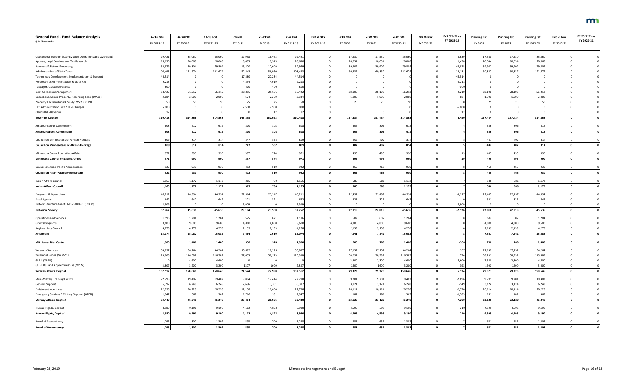| General Fund - Fund Balance Analysis                       | 11-18 Fcst | 11-18 Fcst | 11-18 Fcst | Actual                  | 2-19 Fcst      | 2-19 Fcst      | Feb vs Nov | 2-19 Fcst      | 2-19 Fcst    | 2-19 Fcst  | Feb vs Nov | FY 2020-21 vs | <b>Planning Est</b> | <b>Planning Est</b> | <b>Planning Est</b> | Feb vs Nov | FY 2022-23 vs      |  |
|------------------------------------------------------------|------------|------------|------------|-------------------------|----------------|----------------|------------|----------------|--------------|------------|------------|---------------|---------------------|---------------------|---------------------|------------|--------------------|--|
| (\$ in Thousands)                                          | FY 2018-19 | FY 2020-21 | FY 2022-23 | FY 2018                 | FY 2019        | FY 2018-19     | FY 2018-19 | FY 2020        | FY 2021      | FY 2020-21 | FY 2020-21 | FY 2018-19    | FY 2022             | FY 2023             | FY 2022-23          | FY 2022-23 | FY 2020-21         |  |
|                                                            |            |            |            |                         |                |                |            |                |              |            |            |               |                     |                     |                     |            |                    |  |
|                                                            |            |            |            |                         |                |                |            |                |              |            |            |               |                     |                     |                     |            |                    |  |
| Operational Support (Agency-wide Operations and Oversight) | 29,421     | 35,060     | 35,060     | 12,958                  | 16,463         | 29,421         |            | 17,530         | 17,530       | 35,060     |            | 5,639         | 17,530              | 17,530              | 35,060              |            |                    |  |
| Appeals, Legal Services and Tax Research                   | 18,630     | 20,068     | 20,068     | 8,685                   | 9,945          | 18,630         |            | 10,034         | 10,034       | 20,068     |            | 1,438         | 10,034              | 10,034              | 20,068              |            |                    |  |
| Payment & Return Processing                                | 32,979     | 79,804     | 79,804     | 15,370                  | 17,609         | 32,979         |            | 39,902         | 39,902       | 79,804     |            | 46,825        | 39,902              | 39,902              | 79,804              |            |                    |  |
| Administration of State Taxes                              | 108,493    | 121,674    | 121,674    | 52,443                  | 56,050         | 108,493        |            | 60,837         | 60,837       | 121,674    |            | 13,181        | 60,837              | 60,837              | 121,674             |            |                    |  |
| Technology Development, Implementation & Support           | 44,514     |            |            | 17,280                  | 27,234         | 44,514         |            | $\mathbf 0$    | $^{\circ}$   |            |            | $-44,514$     | $\overline{0}$      | $\Omega$            |                     |            |                    |  |
| Property Tax Administration & State Aid                    | 9,213      |            |            | 4,294                   | 4,919          | 9,213          |            | $\overline{0}$ | $\mathbf{0}$ |            |            | $-9,213$      | $\overline{0}$      |                     |                     |            |                    |  |
| Taxpayer Assistance Grants                                 | 800        |            |            | 400                     | 400            | 800            |            | $\overline{0}$ | $\mathbf{0}$ |            |            | $-800$        | $\mathbf{0}$        |                     |                     |            |                    |  |
| <b>Debt Collection Management</b>                          | 58,422     | 56,212     | 56,212     | 28,816                  | 29,606         | 58,422         |            | 28,106         | 28,106       | 56,212     |            | $-2,210$      | 28,106              | 28,106              | 56,212              |            |                    |  |
| Collections, Seized Property, Recording Fees (OPEN)        | 2,884      | 2,000      | 2,000      | 624                     | 2,260          | 2,884          |            | 1,000          | 1,000        | 2,000      |            | $-884$        | 1,000               | 1,000               | 2,000               |            |                    |  |
| Property Tax Benchmark Study MS 270C.991                   | 50         |            | 50         | 25                      | 25             | 50             |            | 25             | 25           |            |            |               | 25                  | 25                  | -51                 |            |                    |  |
| Tax Administration, 2017 Law Changes                       | 5,000      |            |            | 2,500                   | 2,500          | 5,000          |            | $\mathbf{0}$   | $\mathbf{0}$ |            |            | $-5,000$      | $\overline{0}$      | $\Omega$            |                     |            |                    |  |
| Claims Bill - Revenue                                      |            |            |            | $\overline{0}$          | 12             | $\overline{1}$ |            | $\overline{0}$ | $\mathbf{0}$ |            |            | $-12$         | $\mathbf{0}$        | $\Omega$            |                     |            |                    |  |
| Revenue, Dept of                                           | 310,418    | 314,868    | 314,868    | 143,395                 | 167,023        | 310,418        |            | 157,434        | 157,434      | 314,868    |            | 4,450         | 157,434             | 157,434             | 314,868             |            | $\mathbf 0$        |  |
| <b>Amateur Sports Commission</b>                           | 608        | 612        | 612        | 300                     | 308            | 608            |            | 306            | 306          | 612        |            |               | 306                 | 306                 | 612                 |            | $^{\circ}$         |  |
| <b>Amateur Sports Commission</b>                           | 608        | 612        | 612        | 300                     | 308            | 608            |            | 306            | 306          | 612        |            |               | 306                 | 306                 | 612                 |            | $\pmb{\mathsf{o}}$ |  |
| Council on Minnesotans of African Heritage                 | 809        | 814        | 814        | 247                     | 562            | 809            |            | 407            | 407          | 814        |            |               | 407                 | 407                 | 814                 |            | $\mathbf{0}$       |  |
| <b>Council on Minnesotans of African Heritage</b>          | 809        | 814        | 814        | 247                     | 562            | 809            |            | 407            | 407          | 814        |            |               | 407                 | 407                 | 814                 |            | $\mathbf 0$        |  |
|                                                            |            |            |            |                         |                |                |            |                |              |            |            |               |                     |                     |                     |            |                    |  |
| Minnesota Council on Latino Affairs                        | 971        | 990        | 990        | 397                     | 574            | 971            |            | 495            | 495          | 990        |            | 19            | 495                 | 495                 | 990                 |            | $\mathbf{0}$       |  |
| <b>Minnesota Council on Latino Affairs</b>                 | 971        | 990        | 990        | 397                     | 574            | 971            |            | 495            | 495          | 990        |            | 19            | 495                 | 495                 | 990                 |            | $\mathbf 0$        |  |
| Council on Asian-Pacific Minnesotans                       | 922        | 930        | 930        | 412                     | 510            | 922            |            | 465            | 465          | 930        |            |               | 465                 | 465                 | 930                 |            | $\mathbf 0$        |  |
| <b>Council on Asian-Pacific Minnesotans</b>                | 922        | 930        | 930        | 412                     | 510            | 922            |            | 465            | 465          | 930        |            |               | 465                 | 465                 | 930                 |            | $\mathbf 0$        |  |
| Indian Affairs Council                                     | 1,165      | 1,172      | 1,172      | 385                     | 780            | 1,165          |            | 586            | 586          | 1,172      |            |               | 586                 | 586                 | 1,172               |            | $\mathbf{0}$       |  |
| <b>Indian Affairs Council</b>                              | 1,165      | 1,172      | 1,172      | 385                     | 780            | 1,165          |            | 586            | 586          | 1,172      |            |               | 586                 | 586                 | 1,172               |            | $\mathbf 0$        |  |
|                                                            |            |            |            |                         |                |                |            |                |              |            |            |               |                     |                     |                     |            |                    |  |
| Programs & Operations                                      | 46,211     | 44,994     | 44,994     | 22,964                  | 23,247         | 46,211         |            | 22,497         | 22,497       | 44,994     |            | $-1,217$      | 22,497              | 22,497              | 44,994              |            | $^{\circ}$         |  |
| <b>Fiscal Agents</b>                                       | 642        | 642        | 642        | 321                     | 321            | 642            |            | 321            | 321          | 642        |            |               | 321                 | 321                 | 642                 |            | $^{\circ}$         |  |
| Historic Structure Grants MS 290.0681 (OPEN)               | 5,909      |            |            | 5,909                   | $\Omega$       | 5,909          |            | $\Omega$       | $\Omega$     |            |            | $-5,909$      | $\Omega$            | $\Omega$            |                     |            | $\Omega$           |  |
| <b>Historical Society</b>                                  | 52,762     | 45,636     | 45,636     | 29,194                  | 23,568         | 52,762         |            | 22,818         | 22,818       | 45,636     |            | $-7,126$      | 22,818              | 22,818              | 45,636              |            | $\pmb{\mathsf{o}}$ |  |
| Operations and Services                                    | 1,196      | 1,204      | 1,204      | 525                     | 671            | 1,196          |            | 602            | 602          | 1,204      |            |               | 602                 | 602                 | 1,204               |            | $^{\circ}$         |  |
| <b>Grants Programs</b>                                     | 9,600      | 9,600      | 9,600      | 4,800                   | 4,800          | 9,600          |            | 4,800          | 4,800        | 9,600      |            |               | 4,800               | 4,800               | 9,600               |            | $^{\circ}$         |  |
| Regional Arts Council                                      | 4,278      | 4,278      | 4,278      | 2,139                   | 2,139          | 4,278          |            | 2,139          | 2,139        | 4,278      |            |               | 2,139               | 2,139               | 4,278               |            | $\mathbf{0}$       |  |
| <b>Arts Board</b>                                          | 15,074     | 15,082     | 15,082     | 7,464                   | 7,610          | 15,074         |            | 7,541          | 7,541        | 15,082     |            |               | 7,541               | 7,541               | 15,082              |            | $\pmb{\mathsf{o}}$ |  |
|                                                            |            |            |            |                         |                |                |            |                |              |            |            |               |                     |                     |                     |            |                    |  |
| <b>MN Humanities Center</b>                                | 1,900      | 1,400      | 1,400      | 930                     | 970            | 1,900          |            | 700            | 700          | 1,400      |            | $-500$        | 700                 | 700                 | 1,400               |            |                    |  |
| <b>Veterans Services</b>                                   | 33,897     | 34,264     | 34,264     | 15,682                  | 18,215         | 33,897         |            | 17,132         | 17,132       | 34,264     |            | 367           | 17,132              | 17,132              | 34,264              |            |                    |  |
| Veterans Homes (TR OUT)                                    | 115,808    | 116,582    | 116,582    | 57,635                  | 58,173         | 115,808        |            | 58,291         | 58,291       | 116,582    |            | 774           | 58,291              | 58,291              | 116,582             |            |                    |  |
| GI Bill (OPEN)                                             |            | 4,600      | 4,600      | $\overline{\mathbf{0}}$ | $\overline{0}$ |                |            | 2,300          | 2,300        | 4,600      |            | 4,600         | 2,300               | 2,300               | 4,600               |            |                    |  |
| GI Bill OJT and Apprenticeships (OPEN)                     | 2,807      | 3,200      | 3,200      | 1207                    | 1600           | 2,807          |            | 1600           | 1600         | 3,200      |            | 393           | 1600                | 1600                | 3,200               |            | $\Omega$           |  |
| Veteran Affairs, Dept of                                   | 152,512    | 158,646    | 158,646    | 74,524                  | 77,988         | 152,512        |            | 79,323         | 79,323       | 158,646    |            | 6,134         | 79,323              | 79,323              | 158,646             |            | $\mathbf{o}$       |  |
| Main-Military Training Facility                            | 22,298     | 19,402     | 19,402     | 9,884                   | 12,414         | 22,298         |            | 9,701          | 9,701        | 19,402     |            | $-2,896$      | 9,701               | 9,701               | 19,402              |            |                    |  |
| <b>General Support</b>                                     | 6,397      | 6,248      | 6,248      | 2,696                   | 3,701          | 6,397          |            | 3,124          | 3,124        | 6,248      |            | $-149$        | 3,124               | 3,124               | 6,248               |            |                    |  |
| <b>Enlistment Incentives</b>                               | 22,798     | 20,228     | 20,228     | 12,138                  | 10,660         | 22,798         |            | 10,114         | 10,114       | 20,228     |            | $-2,570$      | 10,114              | 10,114              | 20,228              |            | $\mathbf 0$        |  |
| Emergency Services / Military Support (OPEN)               | 1,947      | 362        | 362        | 1,766                   | 181            | 1,947          |            | 181            | 181          | 362        |            | $-1,585$      | 181                 | 181                 | 362                 |            | $\Omega$           |  |
| Military Affairs, Dept of                                  | 53,440     | 46,240     | 46,240     | 26,484                  | 26,956         | 53,440         |            | 23,120         | 23,120       | 46,240     |            | $-7,200$      | 23,120              | 23,120              | 46,240              |            | $\mathbf 0$        |  |
|                                                            |            |            |            |                         |                |                |            |                |              |            |            |               |                     |                     |                     |            |                    |  |
| Human Rights, Dept of                                      | 8,980      | 9,190      | 9,190      | 4,102                   | 4,878          | 8,980          |            | 4,595          | 4,595        | 9,190      |            | 210           | 4,595               | 4,595               | 9,190               |            | $\mathbf 0$        |  |
| Human Rights, Dept of                                      | 8,980      | 9,190      | 9,190      | 4,102                   | 4,878          | 8,980          |            | 4,595          | 4,595        | 9,190      |            | 210           | 4,595               | 4,595               | 9,190               |            | $\mathbf 0$        |  |
| <b>Board of Accountancy</b>                                | 1,295      | 1,302      | 1.302      | 595                     | 700            | 1,295          |            | 651            | 651          | 1.302      |            |               | 651                 | 651                 | 1,302               |            | $\overline{0}$     |  |
| <b>Board of Accountancy</b>                                | 1,295      | 1,302      | 1,302      | 595                     | 700            | 1,295          |            | 651            | 651          | 1,302      |            |               | 651                 | 651                 | 1,302               |            | $\Omega$           |  |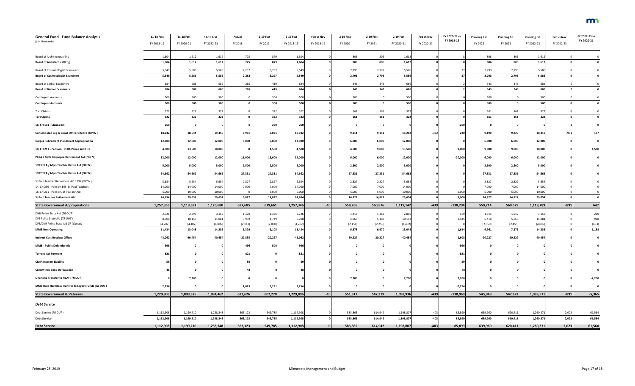| General Fund - Fund Balance Analysis                | 11-18 Fcst | 11-18 Fcst | 11-18 Fcst | Actual       | 2-19 Fcst   | 2-19 Fcst  | Feb vs Nov | 2-19 Fcst    | 2-19 Fcst    | 2-19 Fcst  | <b>Feb vs Nov</b> | FY 2020-21 vs | <b>Planning Est</b> | <b>Planning Est</b> | <b>Planning Est</b> | <b>Feb vs Nov</b> | FY 2022-23 vs |
|-----------------------------------------------------|------------|------------|------------|--------------|-------------|------------|------------|--------------|--------------|------------|-------------------|---------------|---------------------|---------------------|---------------------|-------------------|---------------|
| (\$ in Thousands)                                   | FY 2018-19 | FY 2020-21 | FY 2022-23 | FY 2018      | FY 2019     | FY 2018-19 | FY 2018-19 | FY 2020      | FY 2021      | FY 2020-21 | FY 2020-21        | FY 2018-19    | FY 2022             | FY 2023             | FY 2022-23          | FY 2022-23        | FY 2020-21    |
|                                                     |            |            |            |              |             |            |            |              |              |            |                   |               |                     |                     |                     |                   |               |
|                                                     |            |            |            |              |             |            |            |              |              |            |                   |               |                     |                     |                     |                   |               |
| Board of Architectural/Eng                          | 1,604      | 1,612      | 1,612      | 725          | 879         | 1,604      |            | 806          | 806          | 1,612      |                   |               | 806                 | 806                 | 1,612               |                   |               |
| <b>Board of Architectural/Eng</b>                   | 1,604      | 1,612      | 1,612      | 725          | 879         | 1,604      |            | 806          | 806          | 1,612      |                   |               | 806                 | 806                 | 1,612               |                   | $\mathbf{0}$  |
| Board of Cosmetologist Examiners                    | 5,549      | 5,586      | 5,586      | 2,252        | 3,297       | 5,549      |            | 2,793        | 2,793        | 5,586      |                   | 37            | 2,793               | 2,793               | 5,586               |                   | $\Omega$      |
| <b>Board of Cosmetologist Examiners</b>             | 5,549      | 5,586      | 5,586      | 2,252        | 3,297       | 5,549      |            | 2,793        | 2,793        | 5,586      |                   | 37            | 2,793               | 2,793               | 5,586               |                   | $\mathbf 0$   |
|                                                     |            |            |            |              |             |            |            |              |              |            |                   |               |                     |                     |                     |                   |               |
| Board of Barber Examiners                           | 684        | 686        | 686        | 265          | 419         | 684        |            | 343          | 343          | 686        |                   |               | 343                 | 343                 | 68                  |                   | $\Omega$      |
| <b>Board of Barber Examiners</b>                    | 684        | 686        | 686        | 265          | 419         | 684        |            | 343          | 343          | 686        |                   |               | 343                 | 343                 | 686                 |                   | $\mathbf{0}$  |
| <b>Contingent Accounts</b>                          | 500        | 500        | 500        | $\Omega$     | 500         | 500        |            | 500          | $\Omega$     | 500        |                   |               | 500                 | $\Omega$            | 50                  |                   | $\Omega$      |
| <b>Contingent Accounts</b>                          | 500        | 500        | 500        | $\mathbf 0$  | 500         | 500        |            | 500          | $\mathbf 0$  | 500        |                   |               | 500                 | $\mathbf{0}$        | 500                 |                   | $\mathbf{0}$  |
|                                                     |            |            |            |              |             |            |            |              |              |            |                   |               |                     |                     |                     |                   |               |
| <b>Tort Claims</b>                                  | 322        | 322        | 322        | $\mathbf{0}$ | 322         | 322        |            | 161          | 161          | 322        |                   |               | 161                 | 161                 | 322                 |                   | $\Omega$      |
| <b>Tort Claims</b>                                  | 322        | 322        | 322        | $\mathbf 0$  | 322         | 322        |            | 161          | 161          | 322        |                   |               | 161                 | 161                 | 322                 |                   | $\mathbf{0}$  |
| 18, CH 131 - Claims Bill                            | 250        |            |            | $\Omega$     | 250         | 250        |            | $\mathbf{0}$ | $\mathbf{0}$ |            |                   | $-250$        | $\mathbf{0}$        | $\mathbf 0$         |                     |                   | $\Omega$      |
| Consolidated Leg & Const Officers Retire (OPEN)     |            |            |            |              |             |            |            |              |              |            |                   |               |                     |                     |                     |                   |               |
|                                                     | 18,032     | 18,644     | 19,350     | 8,961        | 9,071       | 18,032     |            | 9,111        | 9,151        | 18,262     | $-382$            | 230           | 9,190               | 9,229               | 18,419              | $-931$            | 157           |
| <b>Judges Retirement Plan Direct Appropriation</b>  | 12,000     | 12,000     | 12,000     | 6,000        | 6,000       | 12,000     |            | 6,000        | 6,000        | 12,000     |                   |               | 6,000               | 6,000               | 12,000              |                   | $\Omega$      |
| 18, CH 211 - Pension, PERA Police and Fire          | 4,500      | 13,500     | 18,000     | $\Omega$     | 4,500       | 4,500      |            | 4,500        | 9,000        | 13,500     |                   | 9,000         | 9,000               | 9,000               | 18,000              |                   | 4,500         |
| PERA / Mpls Employee Retirement Aid (OPEN)          | 32,000     | 12,000     | 12,000     | 16,000       | 16,000      | 32,000     |            | 6,000        | 6,000        | 12,000     |                   | $-20,000$     | 6,000               | 6,000               | 12,000              |                   |               |
| 1993 TRA / Mpls Teacher Retire Aid (OPEN)           | 5,000      | 5,000      | 5,000      | 2,500        | 2,500       | 5,000      |            | 2,500        | 2,500        | 5,000      |                   |               | 2,500               | 2,500               | 5,000               |                   |               |
| 1997 TRA / Mpls Teacher Retire Aid (OPEN)           | 54,662     | 54,662     | 54,662     | 27,331       | 27,331      | 54,662     |            | 27,331       | 27,331       | 54,662     |                   |               | 27,331              | 27,331              | 54,662              |                   |               |
| St Paul Teacher Retirement Aid 1997 (OPEN)          | 5,654      | 5,654      | 5,654      | 2,827        | 2,827       | 5,654      |            | 2,827        | 2,827        | 5,654      |                   |               | 2,827               | 2,827               | 5,654               |                   |               |
| 14, CH 296 - Pension Bill - St Paul Teachers        | 14,000     | 14,000     | 14,000     | 7,000        | 7,000       | 14,000     |            | 7,000        | 7,000        | 14,000     |                   |               | 7,000               | 7,000               | 14,000              |                   |               |
| 18, CH 211 - Pension, St Paul Dir Aid               | 5.000      | 10,000     | 10,000     | $\Omega$     | 5,000       | 5,000      |            | 5,000        | 5,000        | 10,000     |                   | 5,000         | 5,000               | 5,000               | 10,000              |                   | $\Omega$      |
| <b>St Paul Teacher Retirement Aid</b>               | 24,654     | 29,654     | 29,654     | 9,827        | 14,827      | 24,654     |            | 14,827       | 14,827       | 29,654     |                   | 5,000         | 14,827              | 14,827              | 29,654              |                   | $\Omega$      |
|                                                     |            |            |            |              |             |            |            |              |              |            |                   |               |                     |                     |                     |                   | 647           |
| <b>State Government Appropriations</b>              | 1,257,356  | 1,119,581  | 1,120,680  | 637,685      | 619,661     | 1,257,346  | $-10$      | 558,266      | 560,876      | 1,119,142  | $-439$            | $-138,204$    | 559,214             | 560,575             | 1,119,789           | $-891$            |               |
| DNR Police State Aid (TR OUT)                       | 2,726      | 2,895      | 3,155      | 1,370        | 1,356       | 2,726      |            | 1,413        | 1,482        | 2,895      |                   | 169           | 1,543               | 1,612               | 3,155               |                   | 260           |
| DPS Police State Aid (TR OUT)                       | 8,708      | 10,153     | 11,081     | 3,959        | 4,749       | 8,708      |            | 4,965        | 5,188        | 10,153     |                   | 1,445         | 5,418               | 5,663               | 11,081              |                   | 928           |
| DPS/DNR Police State Aid GF [Cancel]                | [4, 202]   | [4, 402]   | [4,805]    | [2, 143]     | [2,060]     | [4, 202]   |            | [2, 151]     | [2,250]      | [4, 402]   |                   |               | [2,350]             | [2,455]             | [4,805]             |                   | [403]         |
| <b>MMB Non-Operating</b>                            | 11,434     | 13,048     | 14,236     | 5,329        | 6,105       | 11,434     |            | 6,378        | 6,670        | 13,048     |                   | 1,614         | 6,961               | 7,275               | 14,236              |                   | 1,188         |
| <b>Indirect Cost Receipts Offset</b>                | $-43,062$  | $-40,454$  | $-40,454$  | $-22,835$    | $-20,227$   | $-43,062$  |            | $-20,227$    | $-20,227$    | $-40,454$  |                   | 2,608         | $-20,227$           | $-20,227$           | $-40,454$           |                   | $\Omega$      |
| MMB - Public Defender Aid                           | 996        |            |            | 496          | 500         | 996        |            | $\mathbf 0$  | $\mathbf{0}$ |            |                   | -996          | $\mathbf{0}$        | n                   |                     |                   |               |
| <b>Torrens Act Payment</b>                          | 821        |            |            | 821          | $\mathbf 0$ | 821        |            | $\mathbf{0}$ | $\Omega$     |            |                   | $-821$        | $\mathbf{0}$        |                     |                     |                   |               |
| <b>CMIA Interest Liability</b>                      |            |            |            | 59           |             |            |            |              |              |            |                   | -59           | 0                   |                     |                     |                   |               |
| <b>Crosswinds Bond Defeasance</b>                   |            |            |            |              |             |            |            | - 0          |              |            |                   | $-48$         | - 0                 |                     |                     |                   |               |
| One time Transfer to HCAF (TR OUT)                  |            | 7,200      |            |              |             |            |            | 7,200        |              | 7,200      |                   | 7,200         | $\Omega$            |                     |                     |                   | $-7,200$      |
| MMB Hold Harmless Transfer to Legacy Funds (TR OUT) | 2,254      |            |            | 1,023        | 1,231       | 2,254      |            | $\mathbf 0$  |              |            |                   | $-2,254$      | $\mathbf{0}$        |                     |                     |                   |               |
| <b>State Government &amp; Veterans</b>              | 1,229,906  | 1,099,375  | 1,094,462  | 622,626      | 607,270     | 1,229,896  | $-10$      | 551,617      | 547,319      | 1,098,936  | $-439$            | $-130,960$    | 545,948             | 547,623             | 1,093,571           | $-891$            | $-5,365$      |
|                                                     |            |            |            |              |             |            |            |              |              |            |                   |               |                     |                     |                     |                   |               |
| <b>Debt Service</b>                                 |            |            |            |              |             |            |            |              |              |            |                   |               |                     |                     |                     |                   |               |
| Debt Service (TR OUT)                               | 1,112,908  | 1,199,210  | 1,258,348  | 563,123      | 549,785     | 1,112,908  |            | 583,865      | 614,942      | 1,198,807  | $-403$            | 85,899        | 639,960             | 620,411             | 1,260,37            | 2,023             | 61,564        |
| <b>Debt Service</b>                                 | 1,112,908  | 1,199,210  | 1,258,348  | 563,123      | 549,785     | 1,112,908  |            | 583,865      | 614,942      | 1,198,807  | $-403$            | 85,899        | 639,960             | 620,411             | 1,260,371           | 2,023             | 61,564        |
|                                                     |            |            |            |              |             |            |            |              |              |            |                   |               |                     |                     |                     |                   |               |
| <b>Debt Service</b>                                 | 1,112,908  | 1,199,210  | 1,258,348  | 563,123      | 549,785     | 1,112,908  |            | 583.865      | 614,942      | 1,198,807  | $-403$            | 85,899        | 639.960             | 620,411             | 1,260,371           | 2,023             | 61,564        |